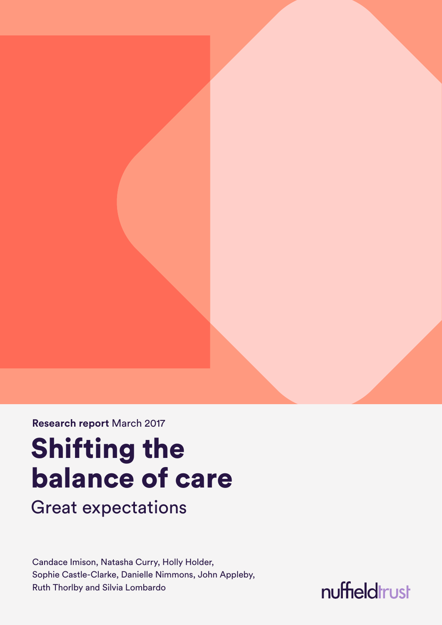**Research report** March 2017

# Shifting the balance of care

Great expectations

Candace Imison, Natasha Curry, Holly Holder, Sophie Castle-Clarke, Danielle Nimmons, John Appleby, Ruth Thorlby and Silvia Lombardo

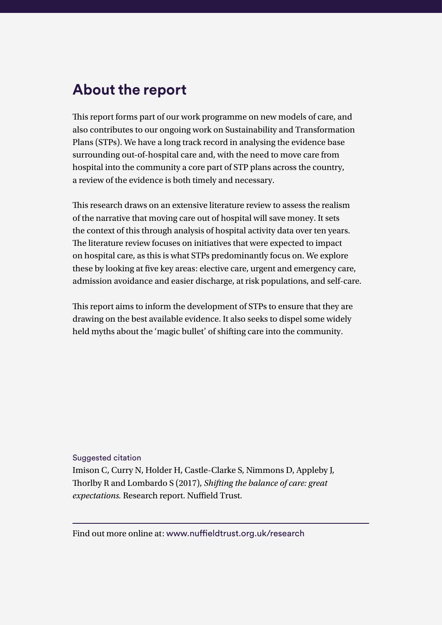### **About the report**

This report forms part of our work programme on new models of care, and also contributes to our ongoing work on Sustainability and Transformation Plans (STPs). We have a long track record in analysing the evidence base surrounding out-of-hospital care and, with the need to move care from hospital into the community a core part of STP plans across the country, a review of the evidence is both timely and necessary.

This research draws on an extensive literature review to assess the realism of the narrative that moving care out of hospital will save money. It sets the context of this through analysis of hospital activity data over ten years. The literature review focuses on initiatives that were expected to impact on hospital care, as this is what STPs predominantly focus on. We explore these by looking at five key areas: elective care, urgent and emergency care, admission avoidance and easier discharge, at risk populations, and self-care.

This report aims to inform the development of STPs to ensure that they are drawing on the best available evidence. It also seeks to dispel some widely held myths about the 'magic bullet' of shifting care into the community.

Suggested citation Imison C, Curry N, Holder H, Castle-Clarke S, Nimmons D, Appleby J, Thorlby R and Lombardo S (2017), *Shifting the balance of care: great expectations.* Research report. Nuffield Trust.

Find out more online at: [www.nuffieldtrust.org.uk/research](http://www.nuffieldtrust.org.uk/research)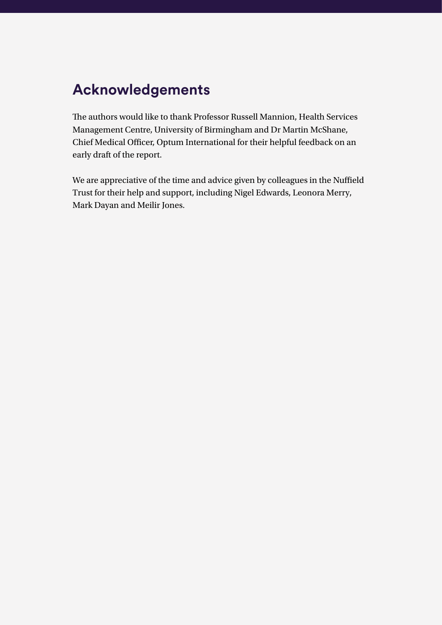### **Acknowledgements**

The authors would like to thank Professor Russell Mannion, Health Services Management Centre, University of Birmingham and Dr Martin McShane, Chief Medical Officer, Optum International for their helpful feedback on an early draft of the report.

We are appreciative of the time and advice given by colleagues in the Nuffield Trust for their help and support, including Nigel Edwards, Leonora Merry, Mark Dayan and Meilir Jones.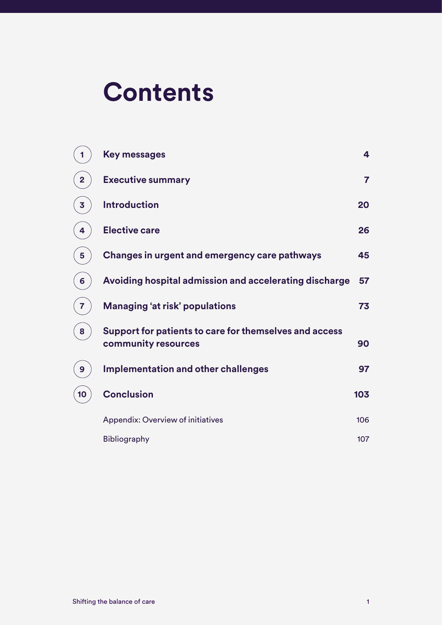# **Contents**

|                | <b>Key messages</b>                                                           | 4              |
|----------------|-------------------------------------------------------------------------------|----------------|
| $\overline{2}$ | <b>Executive summary</b>                                                      | $\overline{7}$ |
| 3              | <b>Introduction</b>                                                           | 20             |
| 4              | <b>Elective care</b>                                                          | 26             |
| 5              | Changes in urgent and emergency care pathways                                 | 45             |
| 6              | Avoiding hospital admission and accelerating discharge                        | 57             |
| 7              | <b>Managing 'at risk' populations</b>                                         | 73             |
| 8              | Support for patients to care for themselves and access<br>community resources | 90             |
| 9              | Implementation and other challenges                                           | 97             |
| 10             | <b>Conclusion</b>                                                             | 103            |
|                | <b>Appendix: Overview of initiatives</b>                                      | 106            |
|                | Bibliography                                                                  | 107            |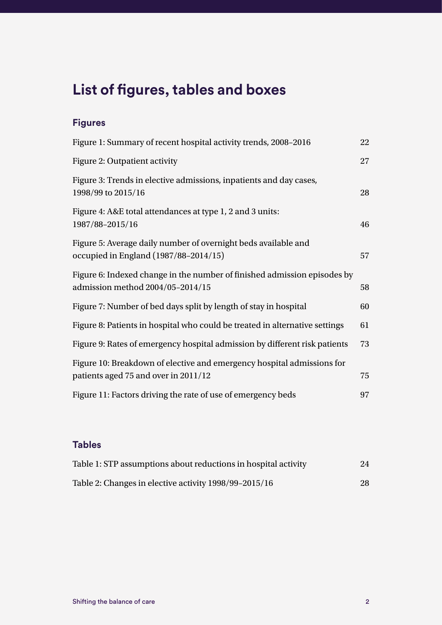### **List of figures, tables and boxes**

#### **Figures**

| Figure 1: Summary of recent hospital activity trends, 2008-2016                                                | 22 |
|----------------------------------------------------------------------------------------------------------------|----|
| Figure 2: Outpatient activity                                                                                  | 27 |
| Figure 3: Trends in elective admissions, inpatients and day cases,<br>1998/99 to 2015/16                       | 28 |
| Figure 4: A&E total attendances at type 1, 2 and 3 units:<br>1987/88-2015/16                                   | 46 |
| Figure 5: Average daily number of overnight beds available and<br>occupied in England (1987/88-2014/15)        | 57 |
| Figure 6: Indexed change in the number of finished admission episodes by<br>admission method 2004/05-2014/15   | 58 |
| Figure 7: Number of bed days split by length of stay in hospital                                               | 60 |
| Figure 8: Patients in hospital who could be treated in alternative settings                                    | 61 |
| Figure 9: Rates of emergency hospital admission by different risk patients                                     | 73 |
| Figure 10: Breakdown of elective and emergency hospital admissions for<br>patients aged 75 and over in 2011/12 | 75 |
| Figure 11: Factors driving the rate of use of emergency beds                                                   | 97 |

#### **Tables**

| Table 1: STP assumptions about reductions in hospital activity | 24 |
|----------------------------------------------------------------|----|
| Table 2: Changes in elective activity 1998/99-2015/16          | 28 |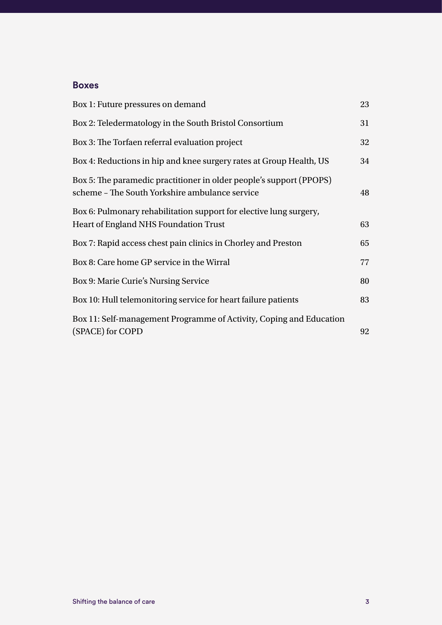#### **Boxes**

| Box 1: Future pressures on demand                                                                                     | 23 |
|-----------------------------------------------------------------------------------------------------------------------|----|
| Box 2: Teledermatology in the South Bristol Consortium                                                                | 31 |
| Box 3: The Torfaen referral evaluation project                                                                        | 32 |
| Box 4: Reductions in hip and knee surgery rates at Group Health, US                                                   | 34 |
| Box 5: The paramedic practitioner in older people's support (PPOPS)<br>scheme - The South Yorkshire ambulance service | 48 |
| Box 6: Pulmonary rehabilitation support for elective lung surgery,<br><b>Heart of England NHS Foundation Trust</b>    | 63 |
| Box 7: Rapid access chest pain clinics in Chorley and Preston                                                         | 65 |
| Box 8: Care home GP service in the Wirral                                                                             | 77 |
| Box 9: Marie Curie's Nursing Service                                                                                  | 80 |
| Box 10: Hull telemonitoring service for heart failure patients                                                        | 83 |
| Box 11: Self-management Programme of Activity, Coping and Education<br>(SPACE) for COPD                               | 92 |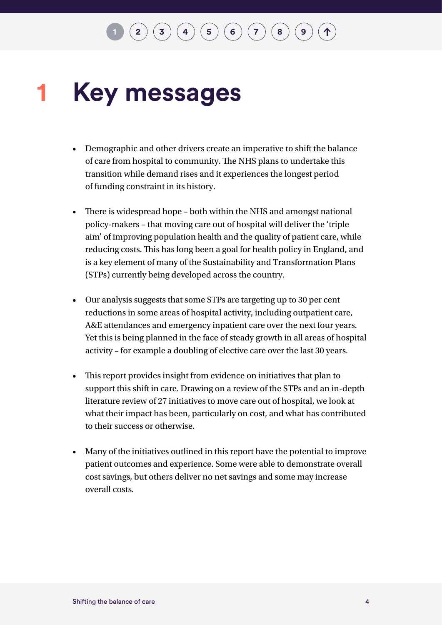#### <span id="page-7-0"></span>**Key messages 1**

- Demographic and other drivers create an imperative to shift the balance of care from hospital to community. The NHS plans to undertake this transition while demand rises and it experiences the longest period of funding constraint in its history.
- There is widespread hope both within the NHS and amongst national policy-makers – that moving care out of hospital will deliver the 'triple aim' of improving population health and the quality of patient care, while reducing costs. This has long been a goal for health policy in England, and is a key element of many of the Sustainability and Transformation Plans (STPs) currently being developed across the country.
- Our analysis suggests that some STPs are targeting up to 30 per cent reductions in some areas of hospital activity, including outpatient care, A&E attendances and emergency inpatient care over the next four years. Yet this is being planned in the face of steady growth in all areas of hospital activity – for example a doubling of elective care over the last 30 years.
- This report provides insight from evidence on initiatives that plan to support this shift in care. Drawing on a review of the STPs and an in-depth literature review of 27 initiatives to move care out of hospital, we look at what their impact has been, particularly on cost, and what has contributed to their success or otherwise.
- Many of the initiatives outlined in this report have the potential to improve patient outcomes and experience. Some were able to demonstrate overall cost savings, but others deliver no net savings and some may increase overall costs.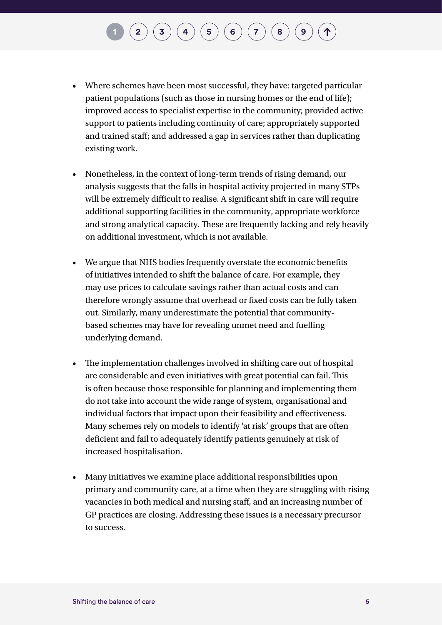- Where schemes have been most successful, they have: targeted particular patient populations (such as those in nursing homes or the end of life); improved access to specialist expertise in the community; provided active support to patients including continuity of care; appropriately supported and trained staff; and addressed a gap in services rather than duplicating existing work.
- Nonetheless, in the context of long-term trends of rising demand, our analysis suggests that the falls in hospital activity projected in many STPs will be extremely difficult to realise. A significant shift in care will require additional supporting facilities in the community, appropriate workforce and strong analytical capacity. These are frequently lacking and rely heavily on additional investment, which is not available.
- We argue that NHS bodies frequently overstate the economic benefits of initiatives intended to shift the balance of care. For example, they may use prices to calculate savings rather than actual costs and can therefore wrongly assume that overhead or fixed costs can be fully taken out. Similarly, many underestimate the potential that communitybased schemes may have for revealing unmet need and fuelling underlying demand.
- The implementation challenges involved in shifting care out of hospital are considerable and even initiatives with great potential can fail. This is often because those responsible for planning and implementing them do not take into account the wide range of system, organisational and individual factors that impact upon their feasibility and effectiveness. Many schemes rely on models to identify 'at risk' groups that are often deficient and fail to adequately identify patients genuinely at risk of increased hospitalisation.
- Many initiatives we examine place additional responsibilities upon primary and community care, at a time when they are struggling with rising vacancies in both medical and nursing staff, and an increasing number of GP practices are closing. Addressing these issues is a necessary precursor to success.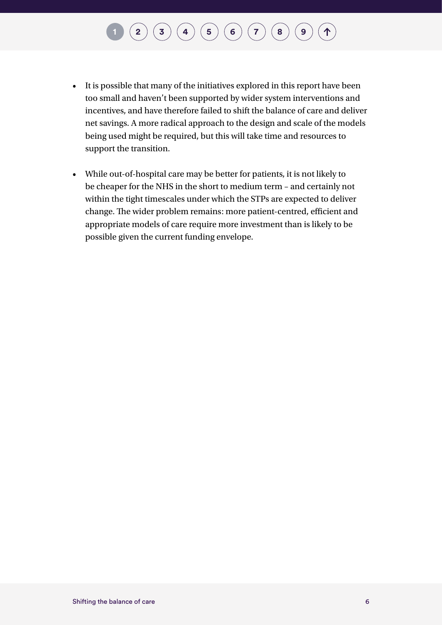## $\binom{2}{\frac{3}{\frac{4}{\frac{6}{\sqrt{2}}}} \binom{4}{\frac{5}{\sqrt{2}}}} \binom{5}{\frac{6}{\sqrt{2}}}\binom{7}{\frac{8}{\sqrt{2}}}\binom{8}{\frac{9}{\sqrt{2}}}}$  $\binom{2}{\frac{3}{\frac{4}{\frac{6}{\sqrt{2}}}} \binom{4}{\frac{5}{\sqrt{2}}}} \binom{5}{\frac{6}{\sqrt{2}}}\binom{7}{\frac{8}{\sqrt{2}}}\binom{8}{\frac{9}{\sqrt{2}}}}$  $\binom{2}{\frac{3}{\frac{4}{\frac{6}{\sqrt{2}}}} \binom{4}{\frac{5}{\sqrt{2}}}} \binom{5}{\frac{6}{\sqrt{2}}}\binom{7}{\frac{8}{\sqrt{2}}}\binom{8}{\frac{9}{\sqrt{2}}}}$  $\binom{2}{\frac{3}{\frac{4}{\frac{6}{\sqrt{2}}}} \binom{4}{\frac{5}{\sqrt{2}}}} \binom{5}{\frac{6}{\sqrt{2}}}\binom{7}{\frac{8}{\sqrt{2}}}\binom{8}{\frac{9}{\sqrt{2}}}}$  $\binom{2}{\frac{3}{\frac{4}{\frac{6}{\sqrt{2}}}} \binom{4}{\frac{5}{\sqrt{2}}}} \binom{5}{\frac{6}{\sqrt{2}}}\binom{7}{\frac{8}{\sqrt{2}}}\binom{8}{\frac{9}{\sqrt{2}}}}$  $\binom{2}{\frac{3}{\frac{4}{\frac{6}{\sqrt{2}}}} \binom{4}{\frac{5}{\sqrt{2}}}} \binom{5}{\frac{6}{\sqrt{2}}}\binom{7}{\frac{8}{\sqrt{2}}}\binom{8}{\frac{9}{\sqrt{2}}}}$  $\binom{2}{\frac{3}{\frac{4}{\frac{6}{\sqrt{2}}}} \binom{4}{\frac{5}{\sqrt{2}}}} \binom{5}{\frac{6}{\sqrt{2}}}\binom{7}{\frac{8}{\sqrt{2}}}\binom{8}{\frac{9}{\sqrt{2}}}}$  $\binom{2}{\frac{3}{\frac{4}{\frac{6}{\sqrt{2}}}} \binom{4}{\frac{5}{\sqrt{2}}}} \binom{5}{\frac{6}{\sqrt{2}}}\binom{7}{\frac{8}{\sqrt{2}}}\binom{8}{\frac{9}{\sqrt{2}}}}$  $\binom{2}{\frac{3}{\frac{4}{\frac{6}{\sqrt{2}}}} \binom{4}{\frac{5}{\sqrt{2}}}} \binom{5}{\frac{6}{\sqrt{2}}}\binom{7}{\frac{8}{\sqrt{2}}}\binom{8}{\frac{9}{\sqrt{2}}}}$  $\binom{2}{\frac{3}{\frac{4}{\frac{6}{\sqrt{2}}}} \binom{4}{\frac{5}{\sqrt{2}}}} \binom{5}{\frac{6}{\sqrt{2}}}\binom{7}{\frac{8}{\sqrt{2}}}\binom{8}{\frac{9}{\sqrt{2}}}}$  $\binom{2}{\frac{3}{\frac{4}{\frac{6}{\sqrt{2}}}} \binom{4}{\frac{5}{\sqrt{2}}}} \binom{5}{\frac{6}{\sqrt{2}}}\binom{7}{\frac{8}{\sqrt{2}}}\binom{8}{\frac{9}{\sqrt{2}}}}$  $\binom{2}{\frac{3}{\frac{4}{\frac{6}{\sqrt{2}}}} \binom{4}{\frac{5}{\sqrt{2}}}} \binom{5}{\frac{6}{\sqrt{2}}}\binom{7}{\frac{8}{\sqrt{2}}}\binom{8}{\frac{9}{\sqrt{2}}}}$  $\binom{2}{\frac{3}{\frac{4}{\frac{6}{\sqrt{2}}}} \binom{4}{\frac{5}{\sqrt{2}}}} \binom{5}{\frac{6}{\sqrt{2}}}\binom{7}{\frac{8}{\sqrt{2}}}\binom{8}{\frac{9}{\sqrt{2}}}}$  $\binom{2}{\frac{3}{\frac{4}{\frac{6}{\sqrt{2}}}} \binom{4}{\frac{5}{\sqrt{2}}}} \binom{5}{\frac{6}{\sqrt{2}}}\binom{7}{\frac{8}{\sqrt{2}}}\binom{8}{\frac{9}{\sqrt{2}}}}$  $\binom{2}{\frac{3}{\frac{4}{\frac{6}{\sqrt{2}}}} \binom{4}{\frac{5}{\sqrt{2}}}} \binom{5}{\frac{6}{\sqrt{2}}}\binom{7}{\frac{8}{\sqrt{2}}}\binom{8}{\frac{9}{\sqrt{2}}}}$  $\binom{2}{\frac{3}{\frac{4}{\frac{6}{\sqrt{2}}}} \binom{4}{\frac{5}{\sqrt{2}}}} \binom{5}{\frac{6}{\sqrt{2}}}\binom{7}{\frac{8}{\sqrt{2}}}\binom{8}{\frac{9}{\sqrt{2}}}}$  $\binom{2}{\frac{3}{\frac{4}{\frac{6}{\sqrt{2}}}} \binom{4}{\frac{5}{\sqrt{2}}}} \binom{5}{\frac{6}{\sqrt{2}}}\binom{7}{\frac{8}{\sqrt{2}}}\binom{8}{\frac{9}{\sqrt{2}}}}$

- It is possible that many of the initiatives explored in this report have been too small and haven't been supported by wider system interventions and incentives, and have therefore failed to shift the balance of care and deliver net savings. A more radical approach to the design and scale of the models being used might be required, but this will take time and resources to support the transition.
- While out-of-hospital care may be better for patients, it is not likely to be cheaper for the NHS in the short to medium term – and certainly not within the tight timescales under which the STPs are expected to deliver change. The wider problem remains: more patient-centred, efficient and appropriate models of care require more investment than is likely to be possible given the current funding envelope.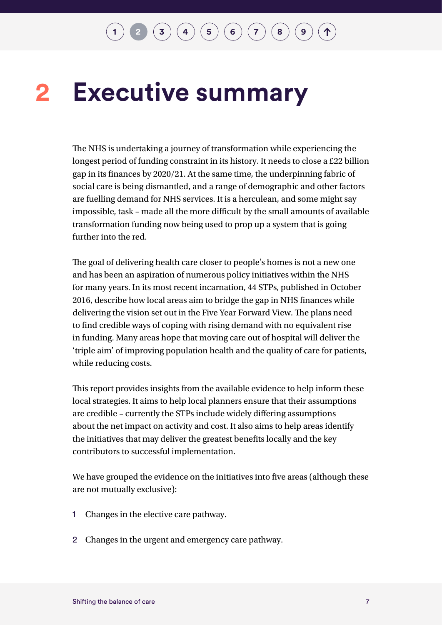#### <span id="page-10-0"></span>**Executive summary 2**

The NHS is undertaking a journey of transformation while experiencing the longest period of funding constraint in its history. It needs to close a £22 billion gap in its finances by 2020/21. At the same time, the underpinning fabric of social care is being dismantled, and a range of demographic and other factors are fuelling demand for NHS services. It is a herculean, and some might say impossible, task – made all the more difficult by the small amounts of available transformation funding now being used to prop up a system that is going further into the red.

The goal of delivering health care closer to people's homes is not a new one and has been an aspiration of numerous policy initiatives within the NHS for many years. In its most recent incarnation, 44 STPs, published in October 2016, describe how local areas aim to bridge the gap in NHS finances while delivering the vision set out in the Five Year Forward View. The plans need to find credible ways of coping with rising demand with no equivalent rise in funding. Many areas hope that moving care out of hospital will deliver the 'triple aim' of improving population health and the quality of care for patients, while reducing costs.

This report provides insights from the available evidence to help inform these local strategies. It aims to help local planners ensure that their assumptions are credible – currently the STPs include widely differing assumptions about the net impact on activity and cost. It also aims to help areas identify the initiatives that may deliver the greatest benefits locally and the key contributors to successful implementation.

We have grouped the evidence on the initiatives into five areas (although these are not mutually exclusive):

- 1 Changes in the elective care pathway.
- 2 Changes in the urgent and emergency care pathway.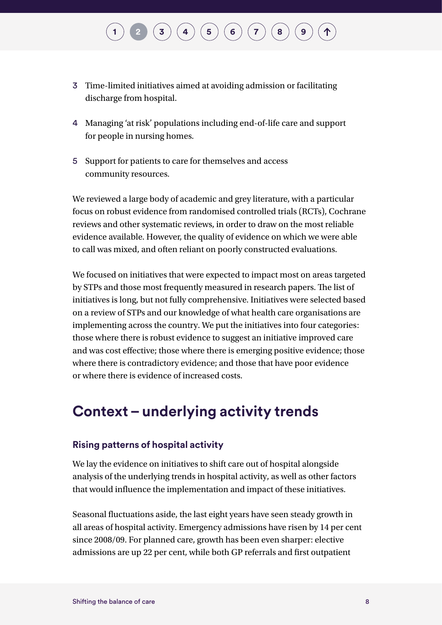- 3 Time-limited initiatives aimed at avoiding admission or facilitating discharge from hospital.
- 4 Managing 'at risk' populations including end-of-life care and support for people in nursing homes.
- 5 Support for patients to care for themselves and access community resources.

We reviewed a large body of academic and grey literature, with a particular focus on robust evidence from randomised controlled trials (RCTs), Cochrane reviews and other systematic reviews, in order to draw on the most reliable evidence available. However, the quality of evidence on which we were able to call was mixed, and often reliant on poorly constructed evaluations.

We focused on initiatives that were expected to impact most on areas targeted by STPs and those most frequently measured in research papers. The list of initiatives is long, but not fully comprehensive. Initiatives were selected based on a review of STPs and our knowledge of what health care organisations are implementing across the country. We put the initiatives into four categories: those where there is robust evidence to suggest an initiative improved care and was cost effective; those where there is emerging positive evidence; those where there is contradictory evidence; and those that have poor evidence or where there is evidence of increased costs.

### **Context – underlying activity trends**

#### **Rising patterns of hospital activity**

We lay the evidence on initiatives to shift care out of hospital alongside analysis of the underlying trends in hospital activity, as well as other factors that would influence the implementation and impact of these initiatives.

Seasonal fluctuations aside, the last eight years have seen steady growth in all areas of hospital activity. Emergency admissions have risen by 14 per cent since 2008/09. For planned care, growth has been even sharper: elective admissions are up 22 per cent, while both GP referrals and first outpatient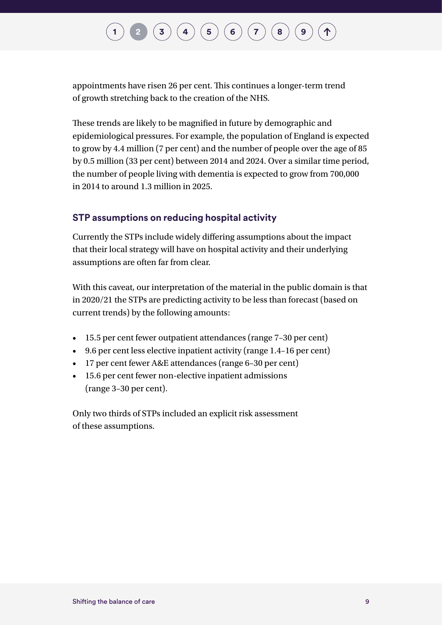## $\bf{(3)}$  $\bf{(3)}$  $\bf{(3)}$   $\bf{(4)}$  $\bf{(4)}$  $\bf{(4)}$   $\bf{(5)}$  $\bf{(5)}$  $\bf{(5)}$   $\bf{(6)}$  $\bf{(6)}$  $\bf{(6)}$   $\bf{(7)}$  $\bf{(7)}$  $\bf{(7)}$   $\bf{(8)}$  $\bf{(8)}$  $\bf{(8)}$

appointments have risen 26 per cent. This continues a longer-term trend of growth stretching back to the creation of the NHS.

These trends are likely to be magnified in future by demographic and epidemiological pressures. For example, the population of England is expected to grow by 4.4 million (7 per cent) and the number of people over the age of 85 by 0.5 million (33 per cent) between 2014 and 2024. Over a similar time period, the number of people living with dementia is expected to grow from 700,000 in 2014 to around 1.3 million in 2025.

#### **STP assumptions on reducing hospital activity**

Currently the STPs include widely differing assumptions about the impact that their local strategy will have on hospital activity and their underlying assumptions are often far from clear.

With this caveat, our interpretation of the material in the public domain is that in 2020/21 the STPs are predicting activity to be less than forecast (based on current trends) by the following amounts:

- 15.5 per cent fewer outpatient attendances (range 7–30 per cent)
- 9.6 per cent less elective inpatient activity (range 1.4–16 per cent)
- 17 per cent fewer A&E attendances (range 6–30 per cent)
- 15.6 per cent fewer non-elective inpatient admissions (range 3–30 per cent).

Only two thirds of STPs included an explicit risk assessment of these assumptions.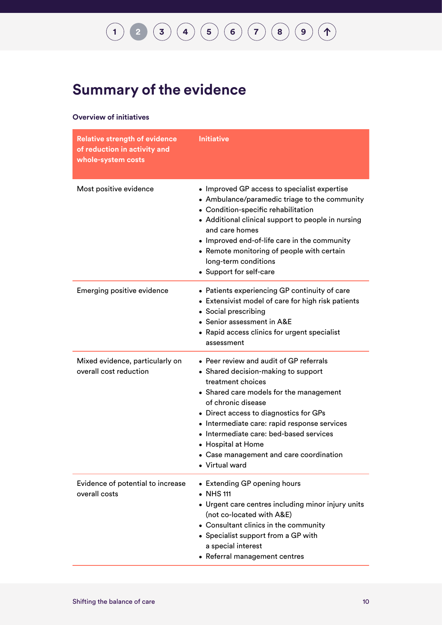## **[1](#page-7-0) [2](#page-10-0) [3](#page-23-0) [4](#page-29-0) [5](#page-48-0) [6](#page-60-0) [7](#page-76-0) [8](#page-93-0) [9](#page-100-0)**

### **Summary of the evidence**

#### **Overview of initiatives**

| <b>Relative strength of evidence</b><br>of reduction in activity and<br>whole-system costs | <b>Initiative</b>                                                                                                                                                                                                                                                                                                                                                                            |
|--------------------------------------------------------------------------------------------|----------------------------------------------------------------------------------------------------------------------------------------------------------------------------------------------------------------------------------------------------------------------------------------------------------------------------------------------------------------------------------------------|
| Most positive evidence                                                                     | • Improved GP access to specialist expertise<br>• Ambulance/paramedic triage to the community<br>• Condition-specific rehabilitation<br>• Additional clinical support to people in nursing<br>and care homes<br>• Improved end-of-life care in the community<br>• Remote monitoring of people with certain<br>long-term conditions<br>• Support for self-care                                |
| <b>Emerging positive evidence</b>                                                          | • Patients experiencing GP continuity of care<br>• Extensivist model of care for high risk patients<br>• Social prescribing<br>• Senior assessment in A&E<br>• Rapid access clinics for urgent specialist<br>assessment                                                                                                                                                                      |
| Mixed evidence, particularly on<br>overall cost reduction                                  | • Peer review and audit of GP referrals<br>• Shared decision-making to support<br>treatment choices<br>• Shared care models for the management<br>of chronic disease<br>• Direct access to diagnostics for GPs<br>• Intermediate care: rapid response services<br>• Intermediate care: bed-based services<br>• Hospital at Home<br>• Case management and care coordination<br>• Virtual ward |
| Evidence of potential to increase<br>overall costs                                         | • Extending GP opening hours<br>• NHS 111<br>• Urgent care centres including minor injury units<br>(not co-located with A&E)<br>• Consultant clinics in the community<br>• Specialist support from a GP with<br>a special interest<br>• Referral management centres                                                                                                                          |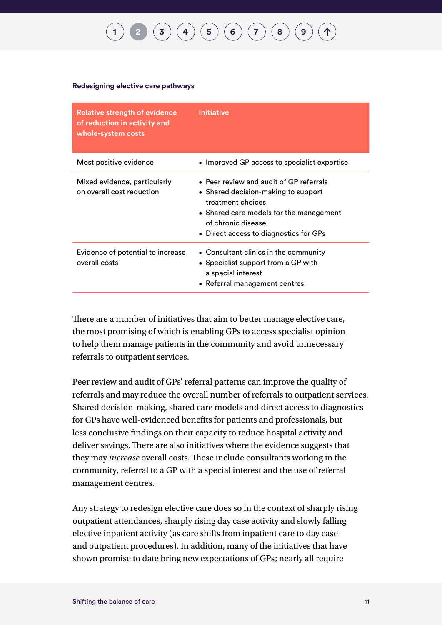#### **Redesigning elective care pathways**

| <b>Relative strength of evidence</b><br>of reduction in activity and<br>whole-system costs | Initiative                                                                                                                                                                                                     |
|--------------------------------------------------------------------------------------------|----------------------------------------------------------------------------------------------------------------------------------------------------------------------------------------------------------------|
| Most positive evidence                                                                     | • Improved GP access to specialist expertise                                                                                                                                                                   |
| Mixed evidence, particularly<br>on overall cost reduction                                  | • Peer review and audit of GP referrals<br>• Shared decision-making to support<br>treatment choices<br>• Shared care models for the management<br>of chronic disease<br>• Direct access to diagnostics for GPs |
| Evidence of potential to increase<br>overall costs                                         | • Consultant clinics in the community<br>• Specialist support from a GP with<br>a special interest<br>• Referral management centres                                                                            |

There are a number of initiatives that aim to better manage elective care, the most promising of which is enabling GPs to access specialist opinion to help them manage patients in the community and avoid unnecessary referrals to outpatient services.

Peer review and audit of GPs' referral patterns can improve the quality of referrals and may reduce the overall number of referrals to outpatient services. Shared decision-making, shared care models and direct access to diagnostics for GPs have well-evidenced benefits for patients and professionals, but less conclusive findings on their capacity to reduce hospital activity and deliver savings. There are also initiatives where the evidence suggests that they may *increase* overall costs. These include consultants working in the community, referral to a GP with a special interest and the use of referral management centres.

Any strategy to redesign elective care does so in the context of sharply rising outpatient attendances, sharply rising day case activity and slowly falling elective inpatient activity (as care shifts from inpatient care to day case and outpatient procedures). In addition, many of the initiatives that have shown promise to date bring new expectations of GPs; nearly all require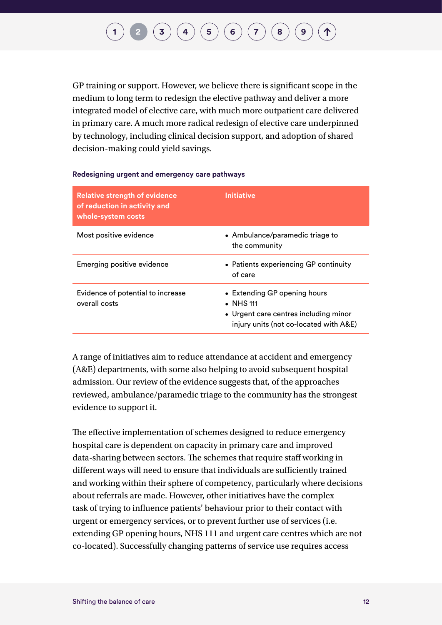GP training or support. However, we believe there is significant scope in the medium to long term to redesign the elective pathway and deliver a more integrated model of elective care, with much more outpatient care delivered in primary care. A much more radical redesign of elective care underpinned by technology, including clinical decision support, and adoption of shared decision-making could yield savings.

#### **Redesigning urgent and emergency care pathways**

| <b>Relative strength of evidence</b><br>of reduction in activity and<br>whole-system costs | <b>Initiative</b>                                                                                                                    |
|--------------------------------------------------------------------------------------------|--------------------------------------------------------------------------------------------------------------------------------------|
| Most positive evidence                                                                     | • Ambulance/paramedic triage to<br>the community                                                                                     |
| Emerging positive evidence                                                                 | • Patients experiencing GP continuity<br>of care                                                                                     |
| Evidence of potential to increase<br>overall costs                                         | • Extending GP opening hours<br>$\bullet$ NHS 111<br>• Urgent care centres including minor<br>injury units (not co-located with A&E) |

A range of initiatives aim to reduce attendance at accident and emergency (A&E) departments, with some also helping to avoid subsequent hospital admission. Our review of the evidence suggests that, of the approaches reviewed, ambulance/paramedic triage to the community has the strongest evidence to support it.

The effective implementation of schemes designed to reduce emergency hospital care is dependent on capacity in primary care and improved data-sharing between sectors. The schemes that require staff working in different ways will need to ensure that individuals are sufficiently trained and working within their sphere of competency, particularly where decisions about referrals are made. However, other initiatives have the complex task of trying to influence patients' behaviour prior to their contact with urgent or emergency services, or to prevent further use of services (i.e. extending GP opening hours, NHS 111 and urgent care centres which are not co-located). Successfully changing patterns of service use requires access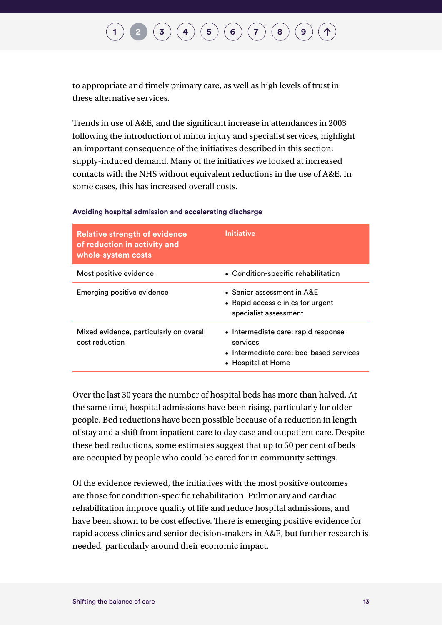to appropriate and timely primary care, as well as high levels of trust in these alternative services.

Trends in use of A&E, and the significant increase in attendances in 2003 following the introduction of minor injury and specialist services, highlight an important consequence of the initiatives described in this section: supply-induced demand. Many of the initiatives we looked at increased contacts with the NHS without equivalent reductions in the use of A&E. In some cases, this has increased overall costs.

| <b>Relative strength of evidence</b><br>of reduction in activity and<br>whole-system costs | <b>Initiative</b>                                                                                                |
|--------------------------------------------------------------------------------------------|------------------------------------------------------------------------------------------------------------------|
| Most positive evidence                                                                     | • Condition-specific rehabilitation                                                                              |
| Emerging positive evidence                                                                 | • Senior assessment in A&E<br>• Rapid access clinics for urgent<br>specialist assessment                         |
| Mixed evidence, particularly on overall<br>cost reduction                                  | • Intermediate care: rapid response<br>services<br>• Intermediate care: bed-based services<br>• Hospital at Home |

#### **Avoiding hospital admission and accelerating discharge**

Over the last 30 years the number of hospital beds has more than halved. At the same time, hospital admissions have been rising, particularly for older people. Bed reductions have been possible because of a reduction in length of stay and a shift from inpatient care to day case and outpatient care. Despite these bed reductions, some estimates suggest that up to 50 per cent of beds are occupied by people who could be cared for in community settings.

Of the evidence reviewed, the initiatives with the most positive outcomes are those for condition-specific rehabilitation. Pulmonary and cardiac rehabilitation improve quality of life and reduce hospital admissions, and have been shown to be cost effective. There is emerging positive evidence for rapid access clinics and senior decision-makers in A&E, but further research is needed, particularly around their economic impact.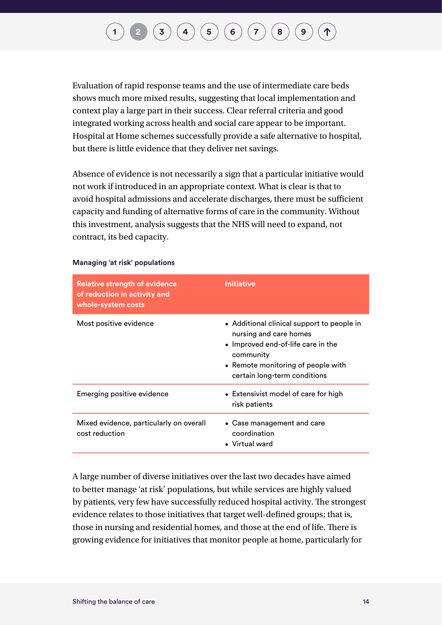Evaluation of rapid response teams and the use of intermediate care beds shows much more mixed results, suggesting that local implementation and context play a large part in their success. Clear referral criteria and good integrated working across health and social care appear to be important. Hospital at Home schemes successfully provide a safe alternative to hospital, but there is little evidence that they deliver net savings.

Absence of evidence is not necessarily a sign that a particular initiative would not work if introduced in an appropriate context. What is clear is that to avoid hospital admissions and accelerate discharges, there must be sufficient capacity and funding of alternative forms of care in the community. Without this investment, analysis suggests that the NHS will need to expand, not contract, its bed capacity.

| <b>Relative strength of evidence</b><br>of reduction in activity and<br>whole-system costs | <b>Initiative</b>                                                                                                                                                                             |
|--------------------------------------------------------------------------------------------|-----------------------------------------------------------------------------------------------------------------------------------------------------------------------------------------------|
| Most positive evidence                                                                     | • Additional clinical support to people in<br>nursing and care homes<br>• Improved end-of-life care in the<br>community<br>• Remote monitoring of people with<br>certain long-term conditions |
| Emerging positive evidence                                                                 | • Extensivist model of care for high<br>risk patients                                                                                                                                         |
| Mixed evidence, particularly on overall<br>cost reduction                                  | • Case management and care<br>coordination<br>• Virtual ward                                                                                                                                  |

#### **Managing 'at risk' populations**

A large number of diverse initiatives over the last two decades have aimed to better manage 'at risk' populations, but while services are highly valued by patients, very few have successfully reduced hospital activity. The strongest evidence relates to those initiatives that target well-defined groups; that is, those in nursing and residential homes, and those at the end of life. There is growing evidence for initiatives that monitor people at home, particularly for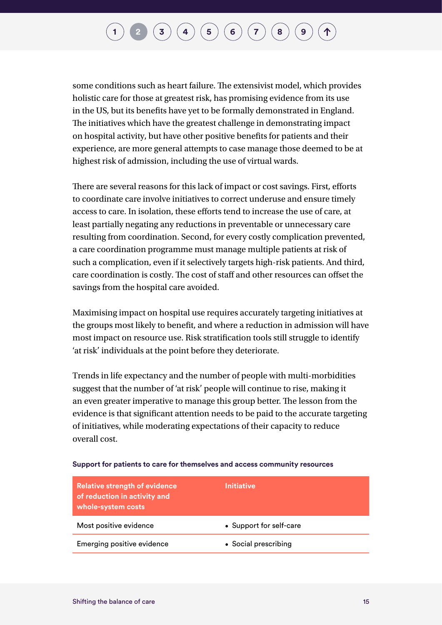some conditions such as heart failure. The extensivist model, which provides holistic care for those at greatest risk, has promising evidence from its use in the US, but its benefits have yet to be formally demonstrated in England. The initiatives which have the greatest challenge in demonstrating impact on hospital activity, but have other positive benefits for patients and their experience, are more general attempts to case manage those deemed to be at highest risk of admission, including the use of virtual wards.

There are several reasons for this lack of impact or cost savings. First, efforts to coordinate care involve initiatives to correct underuse and ensure timely access to care. In isolation, these efforts tend to increase the use of care, at least partially negating any reductions in preventable or unnecessary care resulting from coordination. Second, for every costly complication prevented, a care coordination programme must manage multiple patients at risk of such a complication, even if it selectively targets high-risk patients. And third, care coordination is costly. The cost of staff and other resources can offset the savings from the hospital care avoided.

Maximising impact on hospital use requires accurately targeting initiatives at the groups most likely to benefit, and where a reduction in admission will have most impact on resource use. Risk stratification tools still struggle to identify 'at risk' individuals at the point before they deteriorate.

Trends in life expectancy and the number of people with multi-morbidities suggest that the number of 'at risk' people will continue to rise, making it an even greater imperative to manage this group better. The lesson from the evidence is that significant attention needs to be paid to the accurate targeting of initiatives, while moderating expectations of their capacity to reduce overall cost.

| <b>Relative strength of evidence</b><br>of reduction in activity and<br>whole-system costs | <b>Initiative</b>       |
|--------------------------------------------------------------------------------------------|-------------------------|
| Most positive evidence                                                                     | • Support for self-care |
| Emerging positive evidence                                                                 | • Social prescribing    |

#### **Support for patients to care for themselves and access community resources**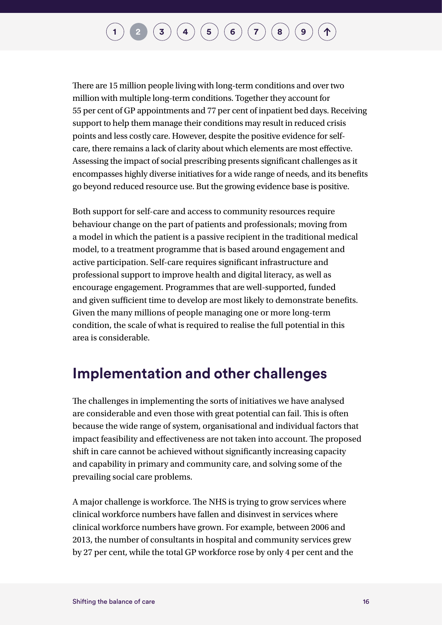## $\bf{(3)}$  $\bf{(3)}$  $\bf{(3)}$   $\bf{(4)}$  $\bf{(4)}$  $\bf{(4)}$   $\bf{(5)}$  $\bf{(5)}$  $\bf{(5)}$   $\bf{(6)}$  $\bf{(6)}$  $\bf{(6)}$   $\bf{(7)}$  $\bf{(7)}$  $\bf{(7)}$   $\bf{(8)}$  $\bf{(8)}$  $\bf{(8)}$   $\bf{(9)}$  $\bf{(9)}$  $\bf{(9)}$

There are 15 million people living with long-term conditions and over two million with multiple long-term conditions. Together they account for 55 per cent of GP appointments and 77 per cent of inpatient bed days. Receiving support to help them manage their conditions may result in reduced crisis points and less costly care. However, despite the positive evidence for selfcare, there remains a lack of clarity about which elements are most effective. Assessing the impact of social prescribing presents significant challenges as it encompasses highly diverse initiatives for a wide range of needs, and its benefits go beyond reduced resource use. But the growing evidence base is positive.

Both support for self-care and access to community resources require behaviour change on the part of patients and professionals; moving from a model in which the patient is a passive recipient in the traditional medical model, to a treatment programme that is based around engagement and active participation. Self-care requires significant infrastructure and professional support to improve health and digital literacy, as well as encourage engagement. Programmes that are well-supported, funded and given sufficient time to develop are most likely to demonstrate benefits. Given the many millions of people managing one or more long-term condition, the scale of what is required to realise the full potential in this area is considerable.

### **Implementation and other challenges**

The challenges in implementing the sorts of initiatives we have analysed are considerable and even those with great potential can fail. This is often because the wide range of system, organisational and individual factors that impact feasibility and effectiveness are not taken into account. The proposed shift in care cannot be achieved without significantly increasing capacity and capability in primary and community care, and solving some of the prevailing social care problems.

A major challenge is workforce. The NHS is trying to grow services where clinical workforce numbers have fallen and disinvest in services where clinical workforce numbers have grown. For example, between 2006 and 2013, the number of consultants in hospital and community services grew by 27 per cent, while the total GP workforce rose by only 4 per cent and the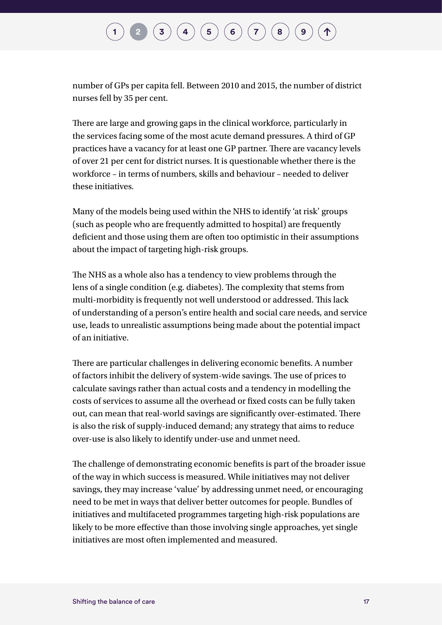number of GPs per capita fell. Between 2010 and 2015, the number of district nurses fell by 35 per cent.

There are large and growing gaps in the clinical workforce, particularly in the services facing some of the most acute demand pressures. A third of GP practices have a vacancy for at least one GP partner. There are vacancy levels of over 21 per cent for district nurses. It is questionable whether there is the workforce – in terms of numbers, skills and behaviour – needed to deliver these initiatives.

Many of the models being used within the NHS to identify 'at risk' groups (such as people who are frequently admitted to hospital) are frequently deficient and those using them are often too optimistic in their assumptions about the impact of targeting high-risk groups.

The NHS as a whole also has a tendency to view problems through the lens of a single condition (e.g. diabetes). The complexity that stems from multi-morbidity is frequently not well understood or addressed. This lack of understanding of a person's entire health and social care needs, and service use, leads to unrealistic assumptions being made about the potential impact of an initiative.

There are particular challenges in delivering economic benefits. A number of factors inhibit the delivery of system-wide savings. The use of prices to calculate savings rather than actual costs and a tendency in modelling the costs of services to assume all the overhead or fixed costs can be fully taken out, can mean that real-world savings are significantly over-estimated. There is also the risk of supply-induced demand; any strategy that aims to reduce over-use is also likely to identify under-use and unmet need.

The challenge of demonstrating economic benefits is part of the broader issue of the way in which success is measured. While initiatives may not deliver savings, they may increase 'value' by addressing unmet need, or encouraging need to be met in ways that deliver better outcomes for people. Bundles of initiatives and multifaceted programmes targeting high-risk populations are likely to be more effective than those involving single approaches, yet single initiatives are most often implemented and measured.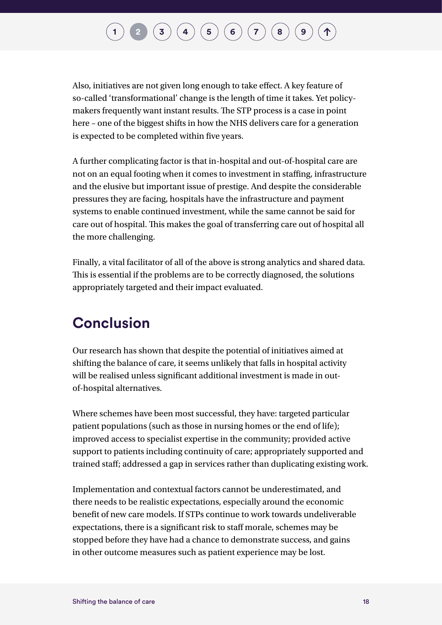## $\mathbf{I}\left(\mathbf{3}\right)\left(\mathbf{4}\right)\left(\mathbf{5}\right)\left(\mathbf{6}\right)\left(\mathbf{7}\right)\left(\mathbf{8}\right)$  $\mathbf{I}\left(\mathbf{3}\right)\left(\mathbf{4}\right)\left(\mathbf{5}\right)\left(\mathbf{6}\right)\left(\mathbf{7}\right)\left(\mathbf{8}\right)$  $\mathbf{I}\left(\mathbf{3}\right)\left(\mathbf{4}\right)\left(\mathbf{5}\right)\left(\mathbf{6}\right)\left(\mathbf{7}\right)\left(\mathbf{8}\right)$  $\mathbf{I}\left(\mathbf{3}\right)\left(\mathbf{4}\right)\left(\mathbf{5}\right)\left(\mathbf{6}\right)\left(\mathbf{7}\right)\left(\mathbf{8}\right)$  $\mathbf{I}\left(\mathbf{3}\right)\left(\mathbf{4}\right)\left(\mathbf{5}\right)\left(\mathbf{6}\right)\left(\mathbf{7}\right)\left(\mathbf{8}\right)$  $\mathbf{I}\left(\mathbf{3}\right)\left(\mathbf{4}\right)\left(\mathbf{5}\right)\left(\mathbf{6}\right)\left(\mathbf{7}\right)\left(\mathbf{8}\right)$  $\mathbf{I}\left(\mathbf{3}\right)\left(\mathbf{4}\right)\left(\mathbf{5}\right)\left(\mathbf{6}\right)\left(\mathbf{7}\right)\left(\mathbf{8}\right)$  $\mathbf{I}\left(\mathbf{3}\right)\left(\mathbf{4}\right)\left(\mathbf{5}\right)\left(\mathbf{6}\right)\left(\mathbf{7}\right)\left(\mathbf{8}\right)$  $\mathbf{I}\left(\mathbf{3}\right)\left(\mathbf{4}\right)\left(\mathbf{5}\right)\left(\mathbf{6}\right)\left(\mathbf{7}\right)\left(\mathbf{8}\right)$  $\mathbf{I}\left(\mathbf{3}\right)\left(\mathbf{4}\right)\left(\mathbf{5}\right)\left(\mathbf{6}\right)\left(\mathbf{7}\right)\left(\mathbf{8}\right)$  $\mathbf{I}\left(\mathbf{3}\right)\left(\mathbf{4}\right)\left(\mathbf{5}\right)\left(\mathbf{6}\right)\left(\mathbf{7}\right)\left(\mathbf{8}\right)$  $\mathbf{I}\left(\mathbf{3}\right)\left(\mathbf{4}\right)\left(\mathbf{5}\right)\left(\mathbf{6}\right)\left(\mathbf{7}\right)\left(\mathbf{8}\right)$  $\mathbf{I}\left(\mathbf{3}\right)\left(\mathbf{4}\right)\left(\mathbf{5}\right)\left(\mathbf{6}\right)\left(\mathbf{7}\right)\left(\mathbf{8}\right)$

Also, initiatives are not given long enough to take effect. A key feature of so-called 'transformational' change is the length of time it takes. Yet policymakers frequently want instant results. The STP process is a case in point here – one of the biggest shifts in how the NHS delivers care for a generation is expected to be completed within five years.

A further complicating factor is that in-hospital and out-of-hospital care are not on an equal footing when it comes to investment in staffing, infrastructure and the elusive but important issue of prestige. And despite the considerable pressures they are facing, hospitals have the infrastructure and payment systems to enable continued investment, while the same cannot be said for care out of hospital. This makes the goal of transferring care out of hospital all the more challenging.

Finally, a vital facilitator of all of the above is strong analytics and shared data. This is essential if the problems are to be correctly diagnosed, the solutions appropriately targeted and their impact evaluated.

### **Conclusion**

Our research has shown that despite the potential of initiatives aimed at shifting the balance of care, it seems unlikely that falls in hospital activity will be realised unless significant additional investment is made in outof-hospital alternatives.

Where schemes have been most successful, they have: targeted particular patient populations (such as those in nursing homes or the end of life); improved access to specialist expertise in the community; provided active support to patients including continuity of care; appropriately supported and trained staff; addressed a gap in services rather than duplicating existing work.

Implementation and contextual factors cannot be underestimated, and there needs to be realistic expectations, especially around the economic benefit of new care models. If STPs continue to work towards undeliverable expectations, there is a significant risk to staff morale, schemes may be stopped before they have had a chance to demonstrate success, and gains in other outcome measures such as patient experience may be lost.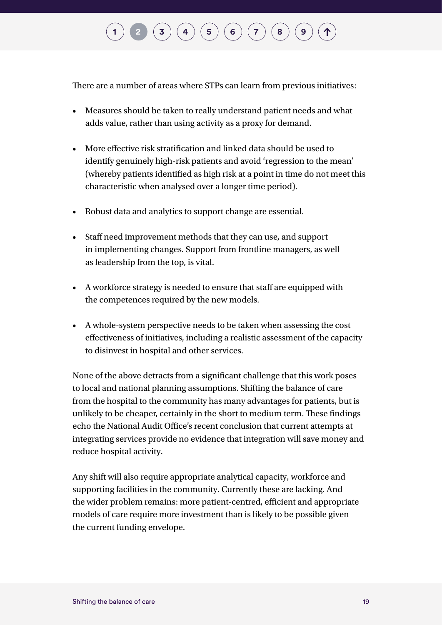## $\mathbf{I} \left( \mathbf{3} \right) \left( \mathbf{4} \right) \left( \mathbf{5} \right) \left( \mathbf{6} \right) \left( \mathbf{7} \right) \left( \mathbf{8} \right)$  $\mathbf{I} \left( \mathbf{3} \right) \left( \mathbf{4} \right) \left( \mathbf{5} \right) \left( \mathbf{6} \right) \left( \mathbf{7} \right) \left( \mathbf{8} \right)$  $\mathbf{I} \left( \mathbf{3} \right) \left( \mathbf{4} \right) \left( \mathbf{5} \right) \left( \mathbf{6} \right) \left( \mathbf{7} \right) \left( \mathbf{8} \right)$  $\mathbf{I} \left( \mathbf{3} \right) \left( \mathbf{4} \right) \left( \mathbf{5} \right) \left( \mathbf{6} \right) \left( \mathbf{7} \right) \left( \mathbf{8} \right)$  $\mathbf{I} \left( \mathbf{3} \right) \left( \mathbf{4} \right) \left( \mathbf{5} \right) \left( \mathbf{6} \right) \left( \mathbf{7} \right) \left( \mathbf{8} \right)$  $\mathbf{I} \left( \mathbf{3} \right) \left( \mathbf{4} \right) \left( \mathbf{5} \right) \left( \mathbf{6} \right) \left( \mathbf{7} \right) \left( \mathbf{8} \right)$  $\mathbf{I} \left( \mathbf{3} \right) \left( \mathbf{4} \right) \left( \mathbf{5} \right) \left( \mathbf{6} \right) \left( \mathbf{7} \right) \left( \mathbf{8} \right)$  $\mathbf{I} \left( \mathbf{3} \right) \left( \mathbf{4} \right) \left( \mathbf{5} \right) \left( \mathbf{6} \right) \left( \mathbf{7} \right) \left( \mathbf{8} \right)$  $\mathbf{I} \left( \mathbf{3} \right) \left( \mathbf{4} \right) \left( \mathbf{5} \right) \left( \mathbf{6} \right) \left( \mathbf{7} \right) \left( \mathbf{8} \right)$  $\mathbf{I} \left( \mathbf{3} \right) \left( \mathbf{4} \right) \left( \mathbf{5} \right) \left( \mathbf{6} \right) \left( \mathbf{7} \right) \left( \mathbf{8} \right)$  $\mathbf{I} \left( \mathbf{3} \right) \left( \mathbf{4} \right) \left( \mathbf{5} \right) \left( \mathbf{6} \right) \left( \mathbf{7} \right) \left( \mathbf{8} \right)$  $\mathbf{I} \left( \mathbf{3} \right) \left( \mathbf{4} \right) \left( \mathbf{5} \right) \left( \mathbf{6} \right) \left( \mathbf{7} \right) \left( \mathbf{8} \right)$  $\mathbf{I} \left( \mathbf{3} \right) \left( \mathbf{4} \right) \left( \mathbf{5} \right) \left( \mathbf{6} \right) \left( \mathbf{7} \right) \left( \mathbf{8} \right)$

There are a number of areas where STPs can learn from previous initiatives:

- Measures should be taken to really understand patient needs and what adds value, rather than using activity as a proxy for demand.
- More effective risk stratification and linked data should be used to identify genuinely high-risk patients and avoid 'regression to the mean' (whereby patients identified as high risk at a point in time do not meet this characteristic when analysed over a longer time period).
- Robust data and analytics to support change are essential.
- Staff need improvement methods that they can use, and support in implementing changes. Support from frontline managers, as well as leadership from the top, is vital.
- A workforce strategy is needed to ensure that staff are equipped with the competences required by the new models.
- A whole-system perspective needs to be taken when assessing the cost effectiveness of initiatives, including a realistic assessment of the capacity to disinvest in hospital and other services.

None of the above detracts from a significant challenge that this work poses to local and national planning assumptions. Shifting the balance of care from the hospital to the community has many advantages for patients, but is unlikely to be cheaper, certainly in the short to medium term. These findings echo the National Audit Office's recent conclusion that current attempts at integrating services provide no evidence that integration will save money and reduce hospital activity.

Any shift will also require appropriate analytical capacity, workforce and supporting facilities in the community. Currently these are lacking. And the wider problem remains: more patient-centred, efficient and appropriate models of care require more investment than is likely to be possible given the current funding envelope.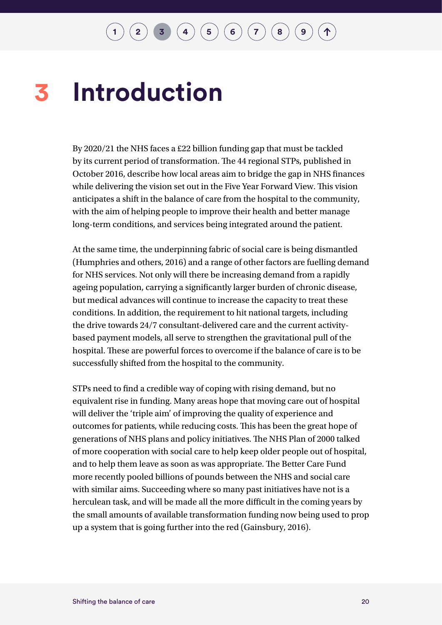#### <span id="page-23-0"></span>**Introduction 3**

By 2020/21 the NHS faces a £22 billion funding gap that must be tackled by its current period of transformation. The 44 regional STPs, published in October 2016, describe how local areas aim to bridge the gap in NHS finances while delivering the vision set out in the Five Year Forward View. This vision anticipates a shift in the balance of care from the hospital to the community, with the aim of helping people to improve their health and better manage long-term conditions, and services being integrated around the patient.

At the same time, the underpinning fabric of social care is being dismantled (Humphries and others, 2016) and a range of other factors are fuelling demand for NHS services. Not only will there be increasing demand from a rapidly ageing population, carrying a significantly larger burden of chronic disease, but medical advances will continue to increase the capacity to treat these conditions. In addition, the requirement to hit national targets, including the drive towards 24/7 consultant-delivered care and the current activitybased payment models, all serve to strengthen the gravitational pull of the hospital. These are powerful forces to overcome if the balance of care is to be successfully shifted from the hospital to the community.

STPs need to find a credible way of coping with rising demand, but no equivalent rise in funding. Many areas hope that moving care out of hospital will deliver the 'triple aim' of improving the quality of experience and outcomes for patients, while reducing costs. This has been the great hope of generations of NHS plans and policy initiatives. The NHS Plan of 2000 talked of more cooperation with social care to help keep older people out of hospital, and to help them leave as soon as was appropriate. The Better Care Fund more recently pooled billions of pounds between the NHS and social care with similar aims. Succeeding where so many past initiatives have not is a herculean task, and will be made all the more difficult in the coming years by the small amounts of available transformation funding now being used to prop up a system that is going further into the red (Gainsbury, 2016).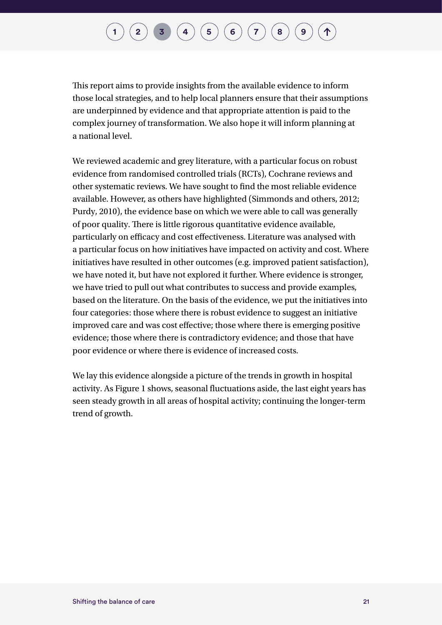### **[1](#page-7-0) [2](#page-10-0) 1 [3](#page-23-0) ([4](#page-29-0) ) ([5](#page-48-0) ) [6](#page-60-0) 6 ([7](#page-76-0) ) ([8](#page-93-0) )**

This report aims to provide insights from the available evidence to inform those local strategies, and to help local planners ensure that their assumptions are underpinned by evidence and that appropriate attention is paid to the complex journey of transformation. We also hope it will inform planning at a national level.

We reviewed academic and grey literature, with a particular focus on robust evidence from randomised controlled trials (RCTs), Cochrane reviews and other systematic reviews. We have sought to find the most reliable evidence available. However, as others have highlighted (Simmonds and others, 2012; Purdy, 2010), the evidence base on which we were able to call was generally of poor quality. There is little rigorous quantitative evidence available, particularly on efficacy and cost effectiveness. Literature was analysed with a particular focus on how initiatives have impacted on activity and cost. Where initiatives have resulted in other outcomes (e.g. improved patient satisfaction), we have noted it, but have not explored it further. Where evidence is stronger, we have tried to pull out what contributes to success and provide examples, based on the literature. On the basis of the evidence, we put the initiatives into four categories: those where there is robust evidence to suggest an initiative improved care and was cost effective; those where there is emerging positive evidence; those where there is contradictory evidence; and those that have poor evidence or where there is evidence of increased costs.

We lay this evidence alongside a picture of the trends in growth in hospital activity. As Figure 1 shows, seasonal fluctuations aside, the last eight years has seen steady growth in all areas of hospital activity; continuing the longer-term trend of growth.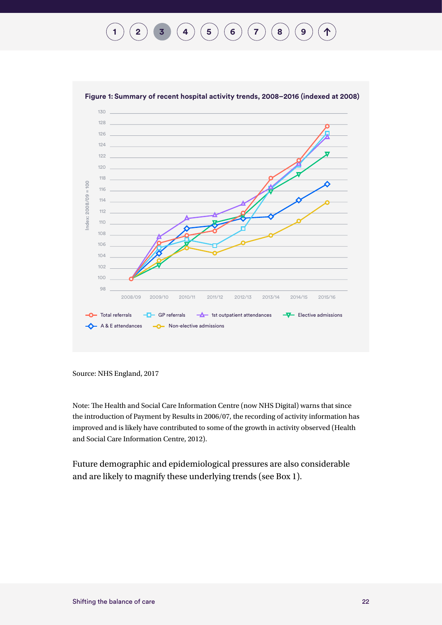#### **[1](#page-7-0)**  $(2)$  $(2)$  $(2)$  **[3](#page-23-0) [4](#page-29-0)**  $(4)$  **[6](#page-60-0)**  $(5)$  $(5)$  $(5)$  **[7](#page-76-0)**  $(8)$  $(8)$  $(8)$  **[9](#page-100-0)** 个



Source: NHS England, 2017

Note: The Health and Social Care Information Centre (now NHS Digital) warns that since the introduction of Payment by Results in 2006/07, the recording of activity information has improved and is likely have contributed to some of the growth in activity observed (Health and Social Care Information Centre, 2012).

Future demographic and epidemiological pressures are also considerable and are likely to magnify these underlying trends (see Box 1).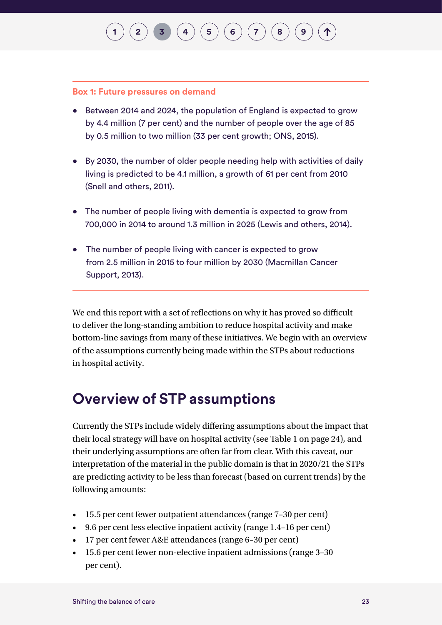## **[2](#page-10-0)**  $\binom{1}{3}$  $\binom{1}{3}$  $\binom{1}{3}$  $\binom{1}{3}$  $\binom{1}{3}$   $\binom{4}{5}$  $\binom{4}{5}$  $\binom{4}{5}$  $\binom{4}{5}$  $\binom{4}{5}$   $\binom{5}{6}$  $\binom{5}{6}$  $\binom{5}{6}$   $\binom{7}{7}$  $\binom{7}{7}$  $\binom{7}{7}$   $\binom{8}{8}$  $\binom{8}{8}$  $\binom{8}{8}$

#### **Box 1: Future pressures on demand**

- Between 2014 and 2024, the population of England is expected to grow by 4.4 million (7 per cent) and the number of people over the age of 85 by 0.5 million to two million (33 per cent growth; ONS, 2015).
- By 2030, the number of older people needing help with activities of daily living is predicted to be 4.1 million, a growth of 61 per cent from 2010 (Snell and others, 2011).
- The number of people living with dementia is expected to grow from 700,000 in 2014 to around 1.3 million in 2025 (Lewis and others, 2014).
- The number of people living with cancer is expected to grow from 2.5 million in 2015 to four million by 2030 (Macmillan Cancer Support, 2013).

We end this report with a set of reflections on why it has proved so difficult to deliver the long-standing ambition to reduce hospital activity and make bottom-line savings from many of these initiatives. We begin with an overview of the assumptions currently being made within the STPs about reductions in hospital activity.

#### **Overview of STP assumptions**

Currently the STPs include widely differing assumptions about the impact that their local strategy will have on hospital activity (see Table 1 on page 24), and their underlying assumptions are often far from clear. With this caveat, our interpretation of the material in the public domain is that in 2020/21 the STPs are predicting activity to be less than forecast (based on current trends) by the following amounts:

- 15.5 per cent fewer outpatient attendances (range 7–30 per cent)
- 9.6 per cent less elective inpatient activity (range 1.4–16 per cent)
- 17 per cent fewer A&E attendances (range 6–30 per cent)
- 15.6 per cent fewer non-elective inpatient admissions (range 3-30) per cent).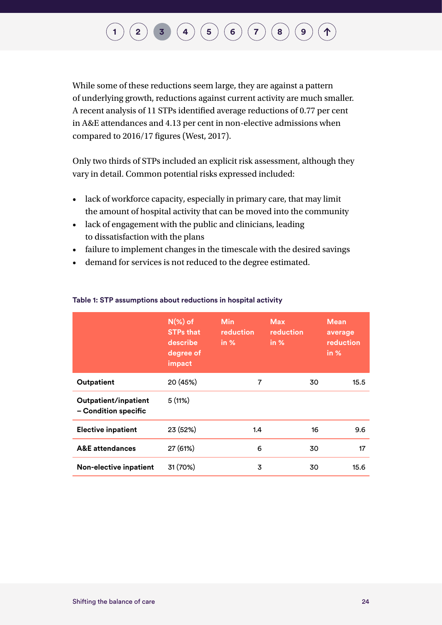## $\binom{2}{\frac{3}{\frac{1}{\frac{6}{\frac{1}{\sqrt{3}}}}}}\binom{4}{\frac{5}{\frac{5}{\sqrt{5}}}}\binom{5}{\frac{6}{\sqrt{7}}}\binom{7}{\frac{8}{\sqrt{9}}}\binom{8}{\frac{9}{\sqrt{9}}}}$  $\binom{2}{\frac{3}{\frac{1}{\frac{6}{\frac{1}{\sqrt{3}}}}}}\binom{4}{\frac{5}{\frac{5}{\sqrt{5}}}}\binom{5}{\frac{6}{\sqrt{7}}}\binom{7}{\frac{8}{\sqrt{9}}}\binom{8}{\frac{9}{\sqrt{9}}}}$  $\binom{2}{\frac{3}{\frac{1}{\frac{6}{\frac{1}{\sqrt{3}}}}}}\binom{4}{\frac{5}{\frac{5}{\sqrt{5}}}}\binom{5}{\frac{6}{\sqrt{7}}}\binom{7}{\frac{8}{\sqrt{9}}}\binom{8}{\frac{9}{\sqrt{9}}}}$  $\binom{2}{\frac{3}{\frac{1}{\frac{6}{\frac{1}{\sqrt{3}}}}}}\binom{4}{\frac{5}{\frac{5}{\sqrt{5}}}}\binom{5}{\frac{6}{\sqrt{7}}}\binom{7}{\frac{8}{\sqrt{9}}}\binom{8}{\frac{9}{\sqrt{9}}}}$  $\binom{2}{\frac{3}{\frac{1}{\frac{6}{\frac{1}{\sqrt{3}}}}}}\binom{4}{\frac{5}{\frac{5}{\sqrt{5}}}}\binom{5}{\frac{6}{\sqrt{7}}}\binom{7}{\frac{8}{\sqrt{9}}}\binom{8}{\frac{9}{\sqrt{9}}}}$  $\binom{2}{\frac{3}{\frac{1}{\frac{6}{\frac{1}{\sqrt{3}}}}}}\binom{4}{\frac{5}{\frac{5}{\sqrt{5}}}}\binom{5}{\frac{6}{\sqrt{7}}}\binom{7}{\frac{8}{\sqrt{9}}}\binom{8}{\frac{9}{\sqrt{9}}}}$  $\binom{2}{\frac{3}{\frac{1}{\frac{6}{\frac{1}{\sqrt{3}}}}}}\binom{4}{\frac{5}{\frac{5}{\sqrt{5}}}}\binom{5}{\frac{6}{\sqrt{7}}}\binom{7}{\frac{8}{\sqrt{9}}}\binom{8}{\frac{9}{\sqrt{9}}}}$  $\binom{2}{\frac{3}{\frac{1}{\frac{6}{\frac{1}{\sqrt{3}}}}}}\binom{4}{\frac{5}{\frac{5}{\sqrt{5}}}}\binom{5}{\frac{6}{\sqrt{7}}}\binom{7}{\frac{8}{\sqrt{9}}}\binom{8}{\frac{9}{\sqrt{9}}}}$  $\binom{2}{\frac{3}{\frac{1}{\frac{6}{\frac{1}{\sqrt{3}}}}}}\binom{4}{\frac{5}{\frac{5}{\sqrt{5}}}}\binom{5}{\frac{6}{\sqrt{7}}}\binom{7}{\frac{8}{\sqrt{9}}}\binom{8}{\frac{9}{\sqrt{9}}}}$  $\binom{2}{\frac{3}{\frac{1}{\frac{6}{\frac{1}{\sqrt{3}}}}}}\binom{4}{\frac{5}{\frac{5}{\sqrt{5}}}}\binom{5}{\frac{6}{\sqrt{7}}}\binom{7}{\frac{8}{\sqrt{9}}}\binom{8}{\frac{9}{\sqrt{9}}}}$  $\binom{2}{\frac{3}{\frac{1}{\frac{6}{\frac{1}{\sqrt{3}}}}}}\binom{4}{\frac{5}{\frac{5}{\sqrt{5}}}}\binom{5}{\frac{6}{\sqrt{7}}}\binom{7}{\frac{8}{\sqrt{9}}}\binom{8}{\frac{9}{\sqrt{9}}}}$  $\binom{2}{\frac{3}{\frac{1}{\frac{6}{\frac{1}{\sqrt{3}}}}}}\binom{4}{\frac{5}{\frac{5}{\sqrt{5}}}}\binom{5}{\frac{6}{\sqrt{7}}}\binom{7}{\frac{8}{\sqrt{9}}}\binom{8}{\frac{9}{\sqrt{9}}}}$  $\binom{2}{\frac{3}{\frac{1}{\frac{6}{\frac{1}{\sqrt{3}}}}}}\binom{4}{\frac{5}{\frac{5}{\sqrt{5}}}}\binom{5}{\frac{6}{\sqrt{7}}}\binom{7}{\frac{8}{\sqrt{9}}}\binom{8}{\frac{9}{\sqrt{9}}}}$  $\binom{2}{\frac{3}{\frac{1}{\frac{6}{\frac{1}{\sqrt{3}}}}}}\binom{4}{\frac{5}{\frac{5}{\sqrt{5}}}}\binom{5}{\frac{6}{\sqrt{7}}}\binom{7}{\frac{8}{\sqrt{9}}}\binom{8}{\frac{9}{\sqrt{9}}}}$  $\binom{2}{\frac{3}{\frac{1}{\frac{6}{\frac{1}{\sqrt{3}}}}}}\binom{4}{\frac{5}{\frac{5}{\sqrt{5}}}}\binom{5}{\frac{6}{\sqrt{7}}}\binom{7}{\frac{8}{\sqrt{9}}}\binom{8}{\frac{9}{\sqrt{9}}}}$  $\binom{2}{\frac{3}{\frac{1}{\frac{6}{\frac{1}{\sqrt{3}}}}}}\binom{4}{\frac{5}{\frac{5}{\sqrt{5}}}}\binom{5}{\frac{6}{\sqrt{7}}}\binom{7}{\frac{8}{\sqrt{9}}}\binom{8}{\frac{9}{\sqrt{9}}}}$  $\binom{2}{\frac{3}{\frac{1}{\frac{6}{\frac{1}{\sqrt{3}}}}}}\binom{4}{\frac{5}{\frac{5}{\sqrt{5}}}}\binom{5}{\frac{6}{\sqrt{7}}}\binom{7}{\frac{8}{\sqrt{9}}}\binom{8}{\frac{9}{\sqrt{9}}}}$

While some of these reductions seem large, they are against a pattern of underlying growth, reductions against current activity are much smaller. A recent analysis of 11 STPs identified average reductions of 0.77 per cent in A&E attendances and 4.13 per cent in non-elective admissions when compared to 2016/17 figures (West, 2017).

Only two thirds of STPs included an explicit risk assessment, although they vary in detail. Common potential risks expressed included:

- lack of workforce capacity, especially in primary care, that may limit the amount of hospital activity that can be moved into the community
- lack of engagement with the public and clinicians, leading to dissatisfaction with the plans
- failure to implement changes in the timescale with the desired savings
- demand for services is not reduced to the degree estimated.

|                                              | $N(\%)$ of<br><b>STPs that</b><br>describe<br>degree of<br>impact | <b>Min</b><br>reduction<br>in $%$ | <b>Max</b><br>reduction<br>in $%$ |    | <b>Mean</b><br>average<br>reduction<br>in % |
|----------------------------------------------|-------------------------------------------------------------------|-----------------------------------|-----------------------------------|----|---------------------------------------------|
| Outpatient                                   | 20 (45%)                                                          | 7                                 |                                   | 30 | 15.5                                        |
| Outpatient/inpatient<br>- Condition specific | 5(11%)                                                            |                                   |                                   |    |                                             |
| <b>Elective inpatient</b>                    | 23 (52%)                                                          | 1.4                               |                                   | 16 | 9.6                                         |
| <b>A&amp;E</b> attendances                   | 27 (61%)                                                          | 6                                 |                                   | 30 | 17                                          |
| <b>Non-elective inpatient</b>                | 31 (70%)                                                          | 3                                 |                                   | 30 | 15.6                                        |

#### **Table 1: STP assumptions about reductions in hospital activity**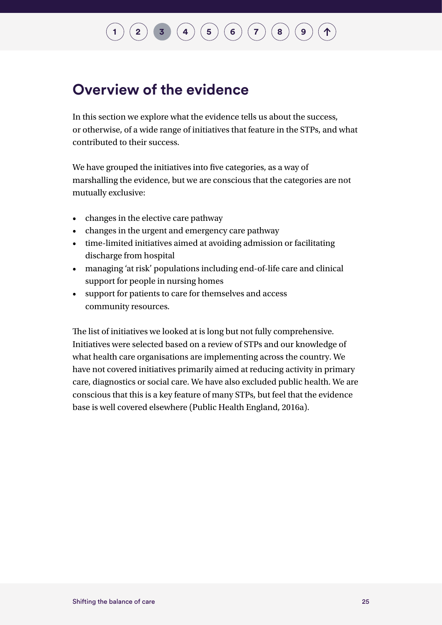## $\binom{1}{2}$  $\binom{1}{2}$  $\binom{1}{2}$  $\binom{1}{2}$  $\binom{1}{2}$  **[3](#page-23-0) [4](#page-29-0)**  $\binom{4}{5}$  $\binom{4}{5}$  $\binom{4}{5}$  **[6](#page-60-0)**  $\binom{7}{6}$  $\binom{7}{6}$  $\binom{7}{6}$  **[8](#page-93-0) [9](#page-100-0)**

### **Overview of the evidence**

In this section we explore what the evidence tells us about the success, or otherwise, of a wide range of initiatives that feature in the STPs, and what contributed to their success.

We have grouped the initiatives into five categories, as a way of marshalling the evidence, but we are conscious that the categories are not mutually exclusive:

- changes in the elective care pathway
- changes in the urgent and emergency care pathway
- time-limited initiatives aimed at avoiding admission or facilitating discharge from hospital
- managing 'at risk' populations including end-of-life care and clinical support for people in nursing homes
- support for patients to care for themselves and access community resources.

The list of initiatives we looked at is long but not fully comprehensive. Initiatives were selected based on a review of STPs and our knowledge of what health care organisations are implementing across the country. We have not covered initiatives primarily aimed at reducing activity in primary care, diagnostics or social care. We have also excluded public health. We are conscious that this is a key feature of many STPs, but feel that the evidence base is well covered elsewhere (Public Health England, 2016a).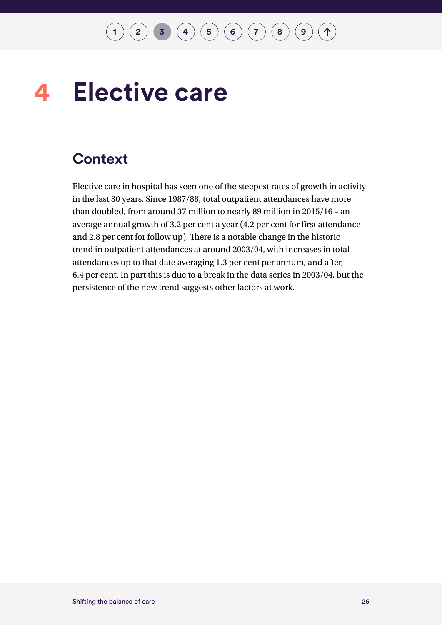#### <span id="page-29-0"></span>**Elective care 4**

### **Context**

Elective care in hospital has seen one of the steepest rates of growth in activity in the last 30 years. Since 1987/88, total outpatient attendances have more than doubled, from around 37 million to nearly 89 million in 2015/16 – an average annual growth of 3.2 per cent a year (4.2 per cent for first attendance and 2.8 per cent for follow up). There is a notable change in the historic trend in outpatient attendances at around 2003/04, with increases in total attendances up to that date averaging 1.3 per cent per annum, and after, 6.4 per cent. In part this is due to a break in the data series in 2003/04, but the persistence of the new trend suggests other factors at work.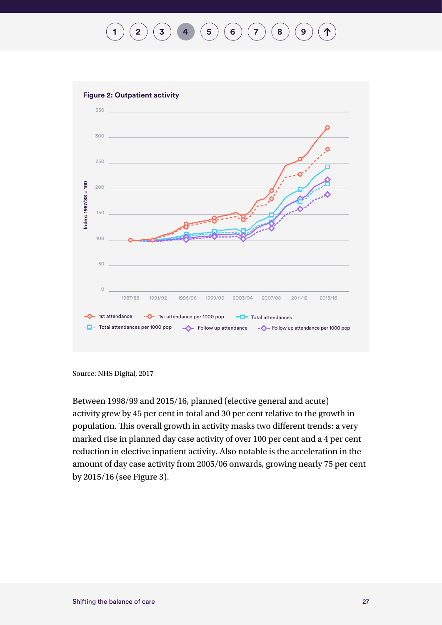## **[1](#page-7-0)**  $(2)(3)(4)(5)(6)(7)(8)(9)$  $(2)(3)(4)(5)(6)(7)(8)(9)$  $(2)(3)(4)(5)(6)(7)(8)(9)$  $(2)(3)(4)(5)(6)(7)(8)(9)$  $(2)(3)(4)(5)(6)(7)(8)(9)$  $(2)(3)(4)(5)(6)(7)(8)(9)$  $(2)(3)(4)(5)(6)(7)(8)(9)$  $(2)(3)(4)(5)(6)(7)(8)(9)$  $(2)(3)(4)(5)(6)(7)(8)(9)$  $(2)(3)(4)(5)(6)(7)(8)(9)$  $(2)(3)(4)(5)(6)(7)(8)(9)$  $(2)(3)(4)(5)(6)(7)(8)(9)$  $(2)(3)(4)(5)(6)(7)(8)(9)$  $(2)(3)(4)(5)(6)(7)(8)(9)$  $(2)(3)(4)(5)(6)(7)(8)(9)$  $(2)(3)(4)(5)(6)(7)(8)(9)$  $(2)(3)(4)(5)(6)(7)(8)(9)$



Source: NHS Digital, 2017

Between 1998/99 and 2015/16, planned (elective general and acute) activity grew by 45 per cent in total and 30 per cent relative to the growth in population. This overall growth in activity masks two different trends: a very marked rise in planned day case activity of over 100 per cent and a 4 per cent reduction in elective inpatient activity. Also notable is the acceleration in the amount of day case activity from 2005/06 onwards, growing nearly 75 per cent by 2015/16 (see Figure 3).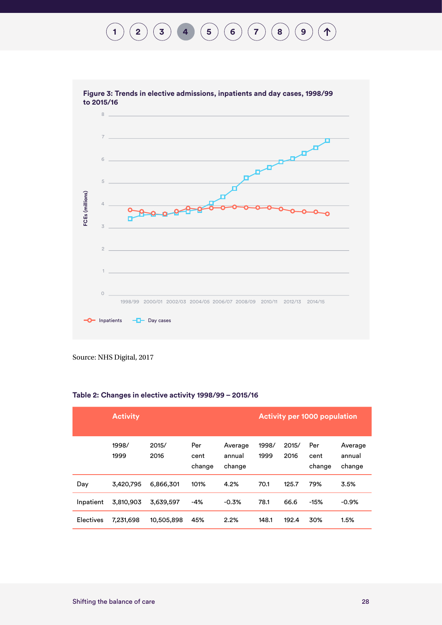



Source: NHS Digital, 2017

| Table 2: Changes in elective activity 1998/99 - 2015/16 |  |  |  |  |  |
|---------------------------------------------------------|--|--|--|--|--|
|---------------------------------------------------------|--|--|--|--|--|

|                  | <b>Activity</b> |               |                       |                             | <b>Activity per 1000 population</b> |               |                       |                             |
|------------------|-----------------|---------------|-----------------------|-----------------------------|-------------------------------------|---------------|-----------------------|-----------------------------|
|                  | 1998/<br>1999   | 2015/<br>2016 | Per<br>cent<br>change | Average<br>annual<br>change | 1998/<br>1999                       | 2015/<br>2016 | Per<br>cent<br>change | Average<br>annual<br>change |
| Day              | 3,420,795       | 6,866,301     | 101%                  | 4.2%                        | 70.1                                | 125.7         | 79%                   | 3.5%                        |
| Inpatient        | 3,810,903       | 3,639,597     | -4%                   | $-0.3%$                     | 78.1                                | 66.6          | $-15%$                | $-0.9%$                     |
| <b>Electives</b> | 7,231,698       | 10,505,898    | 45%                   | 2.2%                        | 148.1                               | 192.4         | 30%                   | 1.5%                        |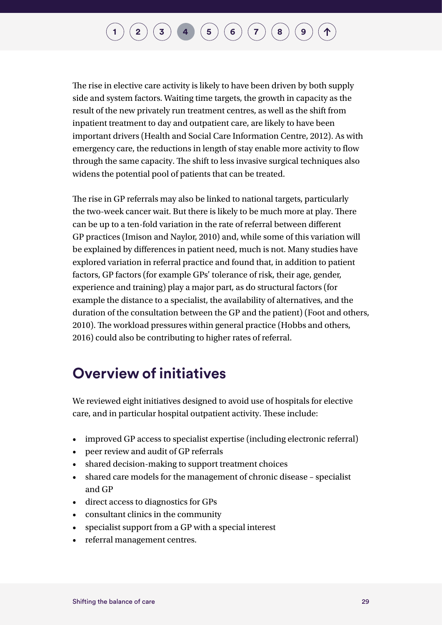### $\binom{1}{2}\binom{3}{4}\binom{4}{5}\binom{5}{6}\binom{7}{7}\binom{8}{9}$  $\binom{1}{2}\binom{3}{4}\binom{4}{5}\binom{5}{6}\binom{7}{7}\binom{8}{9}$  $\binom{1}{2}\binom{3}{4}\binom{4}{5}\binom{5}{6}\binom{7}{7}\binom{8}{9}$  $\binom{1}{2}\binom{3}{4}\binom{4}{5}\binom{5}{6}\binom{7}{7}\binom{8}{9}$  $\binom{1}{2}\binom{3}{4}\binom{4}{5}\binom{5}{6}\binom{7}{7}\binom{8}{9}$  $\binom{1}{2}\binom{3}{4}\binom{4}{5}\binom{5}{6}\binom{7}{7}\binom{8}{9}$  $\binom{1}{2}\binom{3}{4}\binom{4}{5}\binom{5}{6}\binom{7}{7}\binom{8}{9}$  $\binom{1}{2}\binom{3}{4}\binom{4}{5}\binom{5}{6}\binom{7}{7}\binom{8}{9}$  $\binom{1}{2}\binom{3}{4}\binom{4}{5}\binom{5}{6}\binom{7}{7}\binom{8}{9}$  $\binom{1}{2}\binom{3}{4}\binom{4}{5}\binom{5}{6}\binom{7}{7}\binom{8}{9}$  $\binom{1}{2}\binom{3}{4}\binom{4}{5}\binom{5}{6}\binom{7}{7}\binom{8}{9}$  $\binom{1}{2}\binom{3}{4}\binom{4}{5}\binom{5}{6}\binom{7}{7}\binom{8}{9}$  $\binom{1}{2}\binom{3}{4}\binom{4}{5}\binom{5}{6}\binom{7}{7}\binom{8}{9}$  $\binom{1}{2}\binom{3}{4}\binom{4}{5}\binom{5}{6}\binom{7}{7}\binom{8}{9}$  $\binom{1}{2}\binom{3}{4}\binom{4}{5}\binom{5}{6}\binom{7}{7}\binom{8}{9}$  $\binom{1}{2}\binom{3}{4}\binom{4}{5}\binom{5}{6}\binom{7}{7}\binom{8}{9}$  $\binom{1}{2}\binom{3}{4}\binom{4}{5}\binom{5}{6}\binom{7}{7}\binom{8}{9}$  $\binom{1}{2}\binom{3}{4}\binom{4}{5}\binom{5}{6}\binom{7}{7}\binom{8}{9}$  $\binom{1}{2}\binom{3}{4}\binom{4}{5}\binom{5}{6}\binom{7}{7}\binom{8}{9}$

The rise in elective care activity is likely to have been driven by both supply side and system factors. Waiting time targets, the growth in capacity as the result of the new privately run treatment centres, as well as the shift from inpatient treatment to day and outpatient care, are likely to have been important drivers (Health and Social Care Information Centre, 2012). As with emergency care, the reductions in length of stay enable more activity to flow through the same capacity. The shift to less invasive surgical techniques also widens the potential pool of patients that can be treated.

The rise in GP referrals may also be linked to national targets, particularly the two-week cancer wait. But there is likely to be much more at play. There can be up to a ten-fold variation in the rate of referral between different GP practices (Imison and Naylor, 2010) and, while some of this variation will be explained by differences in patient need, much is not. Many studies have explored variation in referral practice and found that, in addition to patient factors, GP factors (for example GPs' tolerance of risk, their age, gender, experience and training) play a major part, as do structural factors (for example the distance to a specialist, the availability of alternatives, and the duration of the consultation between the GP and the patient) (Foot and others, 2010). The workload pressures within general practice (Hobbs and others, 2016) could also be contributing to higher rates of referral.

### **Overview of initiatives**

We reviewed eight initiatives designed to avoid use of hospitals for elective care, and in particular hospital outpatient activity. These include:

- improved GP access to specialist expertise (including electronic referral)
- peer review and audit of GP referrals
- shared decision-making to support treatment choices
- shared care models for the management of chronic disease specialist and GP
- direct access to diagnostics for GPs
- consultant clinics in the community
- specialist support from a GP with a special interest
- referral management centres.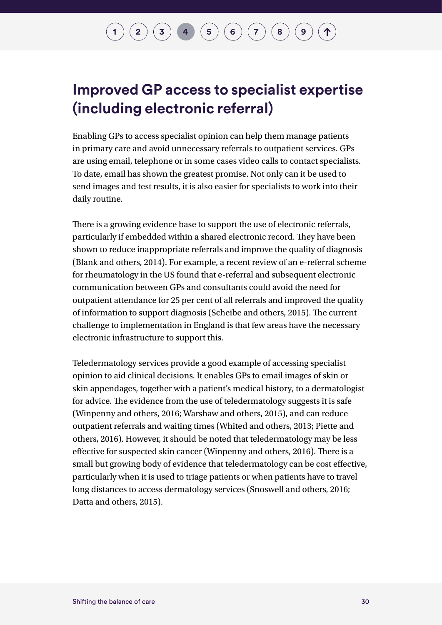### $\binom{1}{2}\binom{3}{4}\binom{4}{5}\binom{5}{6}\binom{7}{7}\binom{8}{9}$  $\binom{1}{2}\binom{3}{4}\binom{4}{5}\binom{5}{6}\binom{7}{7}\binom{8}{9}$  $\binom{1}{2}\binom{3}{4}\binom{4}{5}\binom{5}{6}\binom{7}{7}\binom{8}{9}$  $\binom{1}{2}\binom{3}{4}\binom{4}{5}\binom{5}{6}\binom{7}{7}\binom{8}{9}$  $\binom{1}{2}\binom{3}{4}\binom{4}{5}\binom{5}{6}\binom{7}{7}\binom{8}{9}$  $\binom{1}{2}\binom{3}{4}\binom{4}{5}\binom{5}{6}\binom{7}{7}\binom{8}{9}$  $\binom{1}{2}\binom{3}{4}\binom{4}{5}\binom{5}{6}\binom{7}{7}\binom{8}{9}$  $\binom{1}{2}\binom{3}{4}\binom{4}{5}\binom{5}{6}\binom{7}{7}\binom{8}{9}$  $\binom{1}{2}\binom{3}{4}\binom{4}{5}\binom{5}{6}\binom{7}{7}\binom{8}{9}$  $\binom{1}{2}\binom{3}{4}\binom{4}{5}\binom{5}{6}\binom{7}{7}\binom{8}{9}$  $\binom{1}{2}\binom{3}{4}\binom{4}{5}\binom{5}{6}\binom{7}{7}\binom{8}{9}$  $\binom{1}{2}\binom{3}{4}\binom{4}{5}\binom{5}{6}\binom{7}{7}\binom{8}{9}$  $\binom{1}{2}\binom{3}{4}\binom{4}{5}\binom{5}{6}\binom{7}{7}\binom{8}{9}$  $\binom{1}{2}\binom{3}{4}\binom{4}{5}\binom{5}{6}\binom{7}{7}\binom{8}{9}$  $\binom{1}{2}\binom{3}{4}\binom{4}{5}\binom{5}{6}\binom{7}{7}\binom{8}{9}$  $\binom{1}{2}\binom{3}{4}\binom{4}{5}\binom{5}{6}\binom{7}{7}\binom{8}{9}$  $\binom{1}{2}\binom{3}{4}\binom{4}{5}\binom{5}{6}\binom{7}{7}\binom{8}{9}$  $\binom{1}{2}\binom{3}{4}\binom{4}{5}\binom{5}{6}\binom{7}{7}\binom{8}{9}$  $\binom{1}{2}\binom{3}{4}\binom{4}{5}\binom{5}{6}\binom{7}{7}\binom{8}{9}$

### **Improved GP access to specialist expertise (including electronic referral)**

Enabling GPs to access specialist opinion can help them manage patients in primary care and avoid unnecessary referrals to outpatient services. GPs are using email, telephone or in some cases video calls to contact specialists. To date, email has shown the greatest promise. Not only can it be used to send images and test results, it is also easier for specialists to work into their daily routine.

There is a growing evidence base to support the use of electronic referrals, particularly if embedded within a shared electronic record. They have been shown to reduce inappropriate referrals and improve the quality of diagnosis (Blank and others, 2014). For example, a recent review of an e-referral scheme for rheumatology in the US found that e-referral and subsequent electronic communication between GPs and consultants could avoid the need for outpatient attendance for 25 per cent of all referrals and improved the quality of information to support diagnosis (Scheibe and others, 2015). The current challenge to implementation in England is that few areas have the necessary electronic infrastructure to support this.

Teledermatology services provide a good example of accessing specialist opinion to aid clinical decisions. It enables GPs to email images of skin or skin appendages, together with a patient's medical history, to a dermatologist for advice. The evidence from the use of teledermatology suggests it is safe (Winpenny and others, 2016; Warshaw and others, 2015), and can reduce outpatient referrals and waiting times (Whited and others, 2013; Piette and others, 2016). However, it should be noted that teledermatology may be less effective for suspected skin cancer (Winpenny and others, 2016). There is a small but growing body of evidence that teledermatology can be cost effective, particularly when it is used to triage patients or when patients have to travel long distances to access dermatology services (Snoswell and others, 2016; Datta and others, 2015).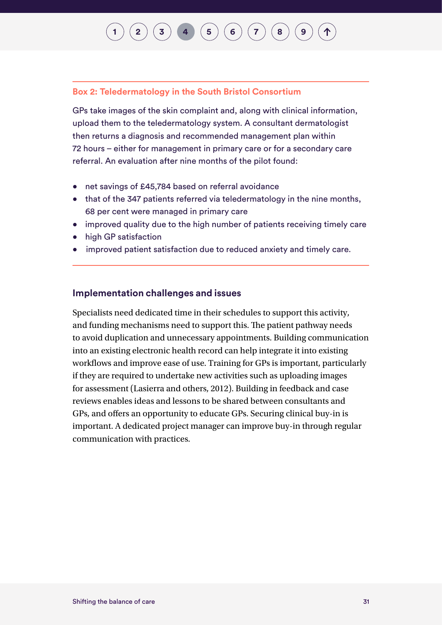## **[1](#page-7-0) [2](#page-10-0)**  $\left($  **[3](#page-23-0)**  $\right)$  **[4](#page-29-0)**  $\left($  **[5](#page-48-0)**  $\right)$  **[6](#page-60-0)**  $\left($  **6**  $\right)$  **([7](#page-76-0)**  $\right)$  **([8](#page-93-0)**

#### **Box 2: Teledermatology in the South Bristol Consortium**

GPs take images of the skin complaint and, along with clinical information, upload them to the teledermatology system. A consultant dermatologist then returns a diagnosis and recommended management plan within 72 hours – either for management in primary care or for a secondary care referral. An evaluation after nine months of the pilot found:

- net savings of £45,784 based on referral avoidance
- that of the 347 patients referred via teledermatology in the nine months, 68 per cent were managed in primary care
- improved quality due to the high number of patients receiving timely care
- high GP satisfaction
- improved patient satisfaction due to reduced anxiety and timely care.

#### **Implementation challenges and issues**

Specialists need dedicated time in their schedules to support this activity, and funding mechanisms need to support this. The patient pathway needs to avoid duplication and unnecessary appointments. Building communication into an existing electronic health record can help integrate it into existing workflows and improve ease of use. Training for GPs is important, particularly if they are required to undertake new activities such as uploading images for assessment (Lasierra and others, 2012). Building in feedback and case reviews enables ideas and lessons to be shared between consultants and GPs, and offers an opportunity to educate GPs. Securing clinical buy-in is important. A dedicated project manager can improve buy-in through regular communication with practices.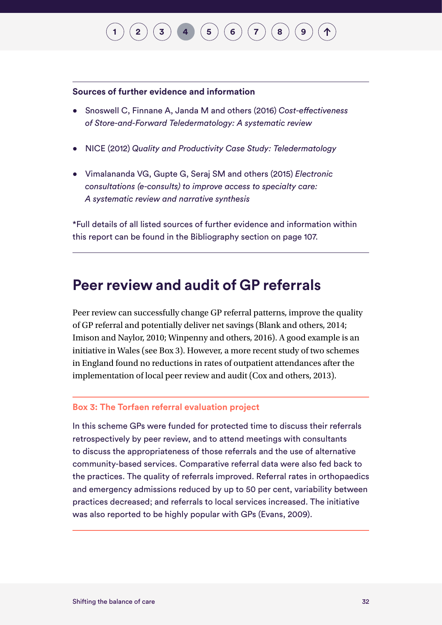## $\binom{1}{2}\binom{3}{4}\binom{4}{5}\binom{5}{6}\binom{7}{7}\binom{8}{8}$  $\binom{1}{2}\binom{3}{4}\binom{4}{5}\binom{5}{6}\binom{7}{7}\binom{8}{8}$  $\binom{1}{2}\binom{3}{4}\binom{4}{5}\binom{5}{6}\binom{7}{7}\binom{8}{8}$  $\binom{1}{2}\binom{3}{4}\binom{4}{5}\binom{5}{6}\binom{7}{7}\binom{8}{8}$  $\binom{1}{2}\binom{3}{4}\binom{4}{5}\binom{5}{6}\binom{7}{7}\binom{8}{8}$  $\binom{1}{2}\binom{3}{4}\binom{4}{5}\binom{5}{6}\binom{7}{7}\binom{8}{8}$  $\binom{1}{2}\binom{3}{4}\binom{4}{5}\binom{5}{6}\binom{7}{7}\binom{8}{8}$  $\binom{1}{2}\binom{3}{4}\binom{4}{5}\binom{5}{6}\binom{7}{7}\binom{8}{8}$  $\binom{1}{2}\binom{3}{4}\binom{4}{5}\binom{5}{6}\binom{7}{7}\binom{8}{8}$  $\binom{1}{2}\binom{3}{4}\binom{4}{5}\binom{5}{6}\binom{7}{7}\binom{8}{8}$  $\binom{1}{2}\binom{3}{4}\binom{4}{5}\binom{5}{6}\binom{7}{7}\binom{8}{8}$  $\binom{1}{2}\binom{3}{4}\binom{4}{5}\binom{5}{6}\binom{7}{7}\binom{8}{8}$  $\binom{1}{2}\binom{3}{4}\binom{4}{5}\binom{5}{6}\binom{7}{7}\binom{8}{8}$  $\binom{1}{2}\binom{3}{4}\binom{4}{5}\binom{5}{6}\binom{7}{7}\binom{8}{8}$  $\binom{1}{2}\binom{3}{4}\binom{4}{5}\binom{5}{6}\binom{7}{7}\binom{8}{8}$  $\binom{1}{2}\binom{3}{4}\binom{4}{5}\binom{5}{6}\binom{7}{7}\binom{8}{8}$  $\binom{1}{2}\binom{3}{4}\binom{4}{5}\binom{5}{6}\binom{7}{7}\binom{8}{8}$

#### **Sources of further evidence and information**

- Snoswell C, Finnane A, Janda M and others (2016) *Cost-effectiveness of Store-and-Forward Teledermatology: A systematic review*
- NICE (2012) *Quality and Productivity Case Study: Teledermatology*
- Vimalananda VG, Gupte G, Seraj SM and others (2015) *Electronic consultations (e-consults) to improve access to specialty care: A systematic review and narrative synthesis*

\*Full details of all listed sources of further evidence and information within this report can be found in the Bibliography section on page 107.

#### **Peer review and audit of GP referrals**

Peer review can successfully change GP referral patterns, improve the quality of GP referral and potentially deliver net savings (Blank and others, 2014; Imison and Naylor, 2010; Winpenny and others, 2016). A good example is an initiative in Wales (see Box 3). However, a more recent study of two schemes in England found no reductions in rates of outpatient attendances after the implementation of local peer review and audit (Cox and others, 2013).

#### **Box 3: The Torfaen referral evaluation project**

In this scheme GPs were funded for protected time to discuss their referrals retrospectively by peer review, and to attend meetings with consultants to discuss the appropriateness of those referrals and the use of alternative community-based services. Comparative referral data were also fed back to the practices. The quality of referrals improved. Referral rates in orthopaedics and emergency admissions reduced by up to 50 per cent, variability between practices decreased; and referrals to local services increased. The initiative was also reported to be highly popular with GPs (Evans, 2009).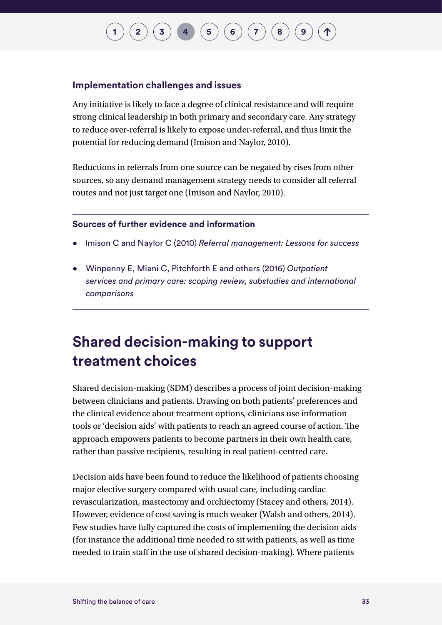## **[1](#page-7-0) [2](#page-10-0)**  $(\bf{3})$  $(\bf{3})$  $(\bf{3})$  **[4](#page-29-0) ([5](#page-48-0)**  $(\bf{6})$  $(\bf{6})$  $(\bf{6})$   $(\bf{7})$  $(\bf{7})$  $(\bf{7})$   $(\bf{8})$  $(\bf{8})$  $(\bf{8})$

#### **Implementation challenges and issues**

Any initiative is likely to face a degree of clinical resistance and will require strong clinical leadership in both primary and secondary care. Any strategy to reduce over-referral is likely to expose under-referral, and thus limit the potential for reducing demand (Imison and Naylor, 2010).

Reductions in referrals from one source can be negated by rises from other sources, so any demand management strategy needs to consider all referral routes and not just target one (Imison and Naylor, 2010).

### **Sources of further evidence and information**

- Imison C and Naylor C (2010) *Referral management: Lessons for success*
- Winpenny E, Miani C, Pitchforth E and others (2016) *Outpatient services and primary care: scoping review, substudies and international comparisons*

### **Shared decision-making to support treatment choices**

Shared decision-making (SDM) describes a process of joint decision-making between clinicians and patients. Drawing on both patients' preferences and the clinical evidence about treatment options, clinicians use information tools or 'decision aids' with patients to reach an agreed course of action. The approach empowers patients to become partners in their own health care, rather than passive recipients, resulting in real patient-centred care.

Decision aids have been found to reduce the likelihood of patients choosing major elective surgery compared with usual care, including cardiac revascularization, mastectomy and orchiectomy (Stacey and others, 2014). However, evidence of cost saving is much weaker (Walsh and others, 2014). Few studies have fully captured the costs of implementing the decision aids (for instance the additional time needed to sit with patients, as well as time needed to train staff in the use of shared decision-making). Where patients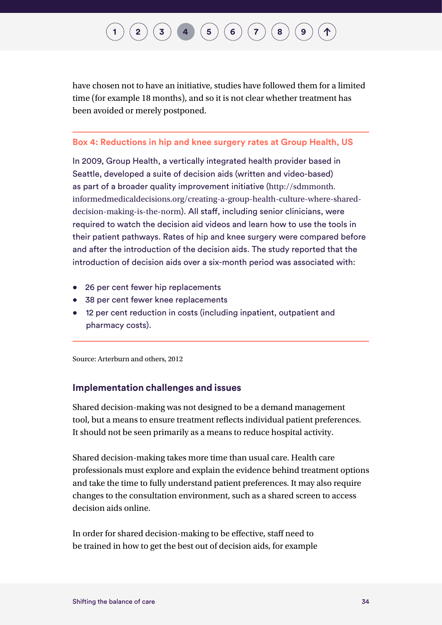## **[2](#page-10-0)**  $(\bf{3})$  $(\bf{3})$  $(\bf{3})$  **[4](#page-29-0)**  $(\bf{5})$  $(\bf{5})$  $(\bf{5})$   $(\bf{6})$  $(\bf{6})$  $(\bf{6})$   $(\bf{7})$  $(\bf{7})$  $(\bf{7})$   $(\bf{8})$  $(\bf{8})$  $(\bf{8})$

have chosen not to have an initiative, studies have followed them for a limited time (for example 18 months), and so it is not clear whether treatment has been avoided or merely postponed.

#### **Box 4: Reductions in hip and knee surgery rates at Group Health, US**

In 2009, Group Health, a vertically integrated health provider based in Seattle, developed a suite of decision aids (written and video-based) as part of a broader quality improvement initiative ([http://sdmmonth.](http://sdmmonth.informedmedicaldecisions.org/creating-a-group-health-culture-where-shared-decision-making-is-the-norm/) [informedmedicaldecisions.org/creating-a-group-health-culture-where-shared](http://sdmmonth.informedmedicaldecisions.org/creating-a-group-health-culture-where-shared-decision-making-is-the-norm/)[decision-making-is-the-norm](http://sdmmonth.informedmedicaldecisions.org/creating-a-group-health-culture-where-shared-decision-making-is-the-norm/)). All staff, including senior clinicians, were required to watch the decision aid videos and learn how to use the tools in their patient pathways. Rates of hip and knee surgery were compared before and after the introduction of the decision aids. The study reported that the introduction of decision aids over a six-month period was associated with:

- 26 per cent fewer hip replacements
- 38 per cent fewer knee replacements
- 12 per cent reduction in costs (including inpatient, outpatient and pharmacy costs).

Source: Arterburn and others, 2012

#### **Implementation challenges and issues**

Shared decision-making was not designed to be a demand management tool, but a means to ensure treatment reflects individual patient preferences. It should not be seen primarily as a means to reduce hospital activity.

Shared decision-making takes more time than usual care. Health care professionals must explore and explain the evidence behind treatment options and take the time to fully understand patient preferences. It may also require changes to the consultation environment, such as a shared screen to access decision aids online.

In order for shared decision-making to be effective, staff need to be trained in how to get the best out of decision aids, for example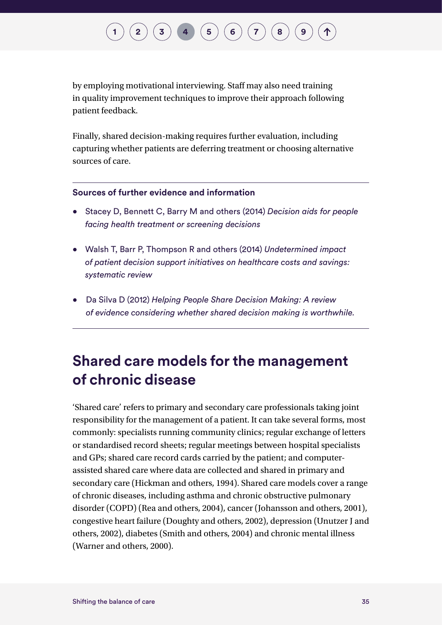## **[1](#page-7-0) [2](#page-10-0)**  $(\bf{3})$  $(\bf{3})$  $(\bf{3})$  **[4](#page-29-0) [6](#page-60-0)**  $(\bf{5})$  $(\bf{5})$  $(\bf{5})$   $(\bf{6})$   $(\bf{7})$  $(\bf{7})$  $(\bf{7})$   $(\bf{8})$  $(\bf{8})$  $(\bf{8})$

by employing motivational interviewing. Staff may also need training in quality improvement techniques to improve their approach following patient feedback.

Finally, shared decision-making requires further evaluation, including capturing whether patients are deferring treatment or choosing alternative sources of care.

#### **Sources of further evidence and information**

- Stacey D, Bennett C, Barry M and others (2014) *Decision aids for people facing health treatment or screening decisions*
- Walsh T, Barr P, Thompson R and others (2014) *Undetermined impact of patient decision support initiatives on healthcare costs and savings: systematic review*
- Da Silva D (2012) *Helping People Share Decision Making: A review of evidence considering whether shared decision making is worthwhile.*

### **Shared care models for the management of chronic disease**

'Shared care' refers to primary and secondary care professionals taking joint responsibility for the management of a patient. It can take several forms, most commonly: specialists running community clinics; regular exchange of letters or standardised record sheets; regular meetings between hospital specialists and GPs; shared care record cards carried by the patient; and computerassisted shared care where data are collected and shared in primary and secondary care (Hickman and others, 1994). Shared care models cover a range of chronic diseases, including asthma and chronic obstructive pulmonary disorder (COPD) (Rea and others, 2004), cancer (Johansson and others, 2001), congestive heart failure (Doughty and others, 2002), depression (Unutzer J and others, 2002), diabetes (Smith and others, 2004) and chronic mental illness (Warner and others, 2000).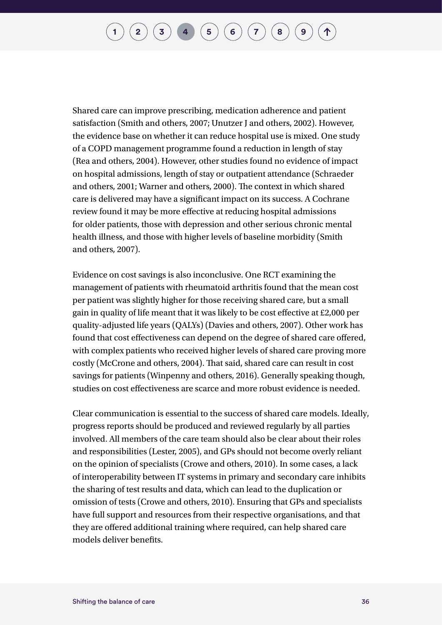## $\binom{1}{2}$  $\binom{1}{2}$  $\binom{1}{2}$  $\binom{1}{2}$  $\binom{1}{2}$   $\binom{3}{3}$  $\binom{3}{3}$  $\binom{3}{3}$   $\binom{4}{4}$  $\binom{4}{4}$  $\binom{4}{4}$   $\binom{5}{5}$  $\binom{5}{5}$  $\binom{5}{5}$   $\binom{6}{7}$  $\binom{6}{7}$  $\binom{6}{7}$  $\binom{6}{7}$  $\binom{6}{7}$   $\binom{7}{8}$  $\binom{7}{8}$  $\binom{7}{8}$

Shared care can improve prescribing, medication adherence and patient satisfaction (Smith and others, 2007; Unutzer J and others, 2002). However, the evidence base on whether it can reduce hospital use is mixed. One study of a COPD management programme found a reduction in length of stay (Rea and others, 2004). However, other studies found no evidence of impact on hospital admissions, length of stay or outpatient attendance (Schraeder and others, 2001; Warner and others, 2000). The context in which shared care is delivered may have a significant impact on its success. A Cochrane review found it may be more effective at reducing hospital admissions for older patients, those with depression and other serious chronic mental health illness, and those with higher levels of baseline morbidity (Smith and others, 2007).

Evidence on cost savings is also inconclusive. One RCT examining the management of patients with rheumatoid arthritis found that the mean cost per patient was slightly higher for those receiving shared care, but a small gain in quality of life meant that it was likely to be cost effective at £2,000 per quality-adjusted life years (QALYs) (Davies and others, 2007). Other work has found that cost effectiveness can depend on the degree of shared care offered, with complex patients who received higher levels of shared care proving more costly (McCrone and others, 2004). That said, shared care can result in cost savings for patients (Winpenny and others, 2016). Generally speaking though, studies on cost effectiveness are scarce and more robust evidence is needed.

Clear communication is essential to the success of shared care models. Ideally, progress reports should be produced and reviewed regularly by all parties involved. All members of the care team should also be clear about their roles and responsibilities (Lester, 2005), and GPs should not become overly reliant on the opinion of specialists (Crowe and others, 2010). In some cases, a lack of interoperability between IT systems in primary and secondary care inhibits the sharing of test results and data, which can lead to the duplication or omission of tests (Crowe and others, 2010). Ensuring that GPs and specialists have full support and resources from their respective organisations, and that they are offered additional training where required, can help shared care models deliver benefits.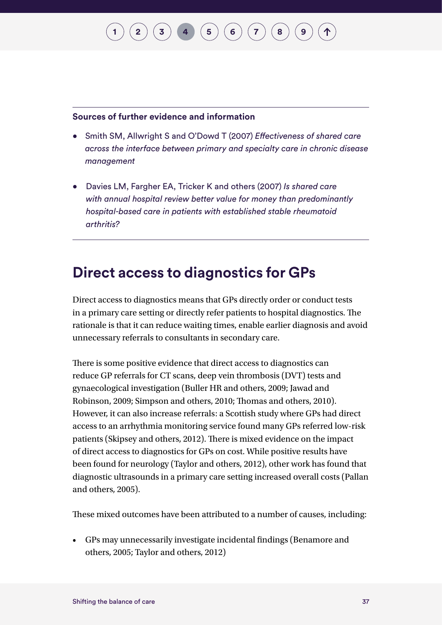### **Sources of further evidence and information**

• Smith SM, Allwright S and O'Dowd T (2007) *Effectiveness of shared care across the interface between primary and specialty care in chronic disease management*

**[1](#page-7-0) [2](#page-10-0)**  $\binom{1}{3}$  $\binom{1}{3}$  $\binom{1}{3}$  **[4](#page-29-0) [6](#page-60-0)**  $\binom{5}{6}$  $\binom{5}{6}$  $\binom{5}{6}$  **[7](#page-76-0)**  $\binom{7}{6}$ 

• Davies LM, Fargher EA, Tricker K and others (2007) *Is shared care with annual hospital review better value for money than predominantly hospital-based care in patients with established stable rheumatoid arthritis?*

### **Direct access to diagnostics for GPs**

Direct access to diagnostics means that GPs directly order or conduct tests in a primary care setting or directly refer patients to hospital diagnostics. The rationale is that it can reduce waiting times, enable earlier diagnosis and avoid unnecessary referrals to consultants in secondary care.

There is some positive evidence that direct access to diagnostics can reduce GP referrals for CT scans, deep vein thrombosis (DVT) tests and gynaecological investigation (Buller HR and others, 2009; Jawad and Robinson, 2009; Simpson and others, 2010; Thomas and others, 2010). However, it can also increase referrals: a Scottish study where GPs had direct access to an arrhythmia monitoring service found many GPs referred low-risk patients (Skipsey and others, 2012). There is mixed evidence on the impact of direct access to diagnostics for GPs on cost. While positive results have been found for neurology (Taylor and others, 2012), other work has found that diagnostic ultrasounds in a primary care setting increased overall costs (Pallan and others, 2005).

These mixed outcomes have been attributed to a number of causes, including:

• GPs may unnecessarily investigate incidental findings (Benamore and others, 2005; Taylor and others, 2012)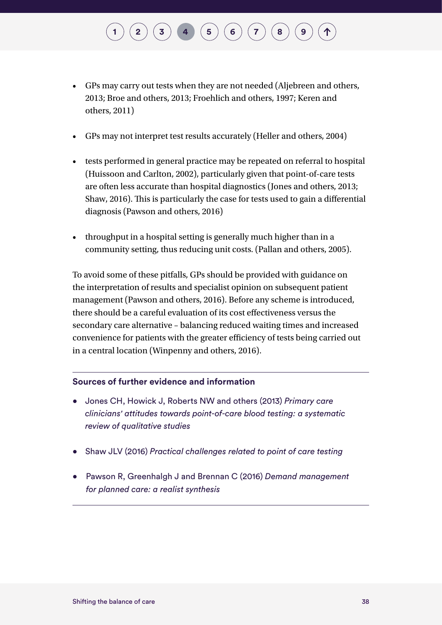# • GPs may carry out tests when they are not needed (Aljebreen and others,

 $\left( \begin{array}{c} 2 \end{array} \right)$  $\left( \begin{array}{c} 2 \end{array} \right)$  $\left( \begin{array}{c} 2 \end{array} \right)$   $\left( \begin{array}{c} 4 \end{array} \right)$  $\left( \begin{array}{c} 4 \end{array} \right)$  $\left( \begin{array}{c} 4 \end{array} \right)$   $\left( \begin{array}{c} 5 \end{array} \right)$  $\left( \begin{array}{c} 5 \end{array} \right)$  $\left( \begin{array}{c} 5 \end{array} \right)$   $\left( \begin{array}{c} 6 \end{array} \right)$  $\left( \begin{array}{c} 6 \end{array} \right)$  $\left( \begin{array}{c} 6 \end{array} \right)$   $\left( \begin{array}{c} 7 \end{array} \right)$  $\left( \begin{array}{c} 7 \end{array} \right)$  $\left( \begin{array}{c} 7 \end{array} \right)$   $\left( \begin{array}{c} 8 \end{array} \right)$  $\left( \begin{array}{c} 8 \end{array} \right)$  $\left( \begin{array}{c} 8 \end{array} \right)$ 

- 2013; Broe and others, 2013; Froehlich and others, 1997; Keren and others, 2011)
- GPs may not interpret test results accurately (Heller and others, 2004)
- tests performed in general practice may be repeated on referral to hospital (Huissoon and Carlton, 2002), particularly given that point-of-care tests are often less accurate than hospital diagnostics (Jones and others, 2013; Shaw, 2016). This is particularly the case for tests used to gain a differential diagnosis (Pawson and others, 2016)
- throughput in a hospital setting is generally much higher than in a community setting, thus reducing unit costs. (Pallan and others, 2005).

To avoid some of these pitfalls, GPs should be provided with guidance on the interpretation of results and specialist opinion on subsequent patient management (Pawson and others, 2016). Before any scheme is introduced, there should be a careful evaluation of its cost effectiveness versus the secondary care alternative – balancing reduced waiting times and increased convenience for patients with the greater efficiency of tests being carried out in a central location (Winpenny and others, 2016).

### **Sources of further evidence and information**

- Jones CH, Howick J, Roberts NW and others (2013) *Primary care clinicians' attitudes towards point-of-care blood testing: a systematic review of qualitative studies*
- Shaw JLV (2016) *Practical challenges related to point of care testing*
- Pawson R, Greenhalgh J and Brennan C (2016) *Demand management for planned care: a realist synthesis*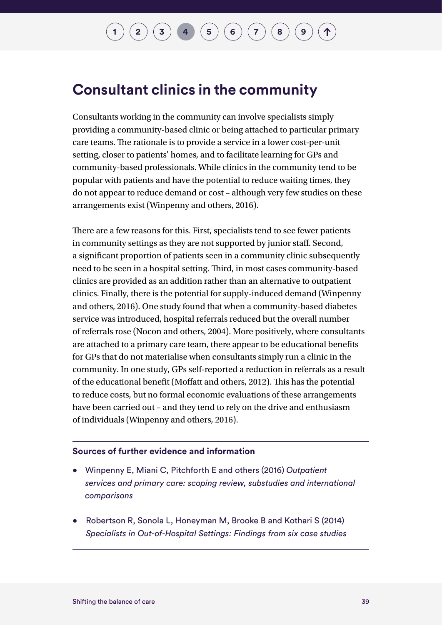### **Consultant clinics in the community**

Consultants working in the community can involve specialists simply providing a community-based clinic or being attached to particular primary care teams. The rationale is to provide a service in a lower cost-per-unit setting, closer to patients' homes, and to facilitate learning for GPs and community-based professionals. While clinics in the community tend to be popular with patients and have the potential to reduce waiting times, they do not appear to reduce demand or cost – although very few studies on these arrangements exist (Winpenny and others, 2016).

There are a few reasons for this. First, specialists tend to see fewer patients in community settings as they are not supported by junior staff. Second, a significant proportion of patients seen in a community clinic subsequently need to be seen in a hospital setting. Third, in most cases community-based clinics are provided as an addition rather than an alternative to outpatient clinics. Finally, there is the potential for supply-induced demand (Winpenny and others, 2016). One study found that when a community-based diabetes service was introduced, hospital referrals reduced but the overall number of referrals rose (Nocon and others, 2004). More positively, where consultants are attached to a primary care team, there appear to be educational benefits for GPs that do not materialise when consultants simply run a clinic in the community. In one study, GPs self-reported a reduction in referrals as a result of the educational benefit (Moffatt and others, 2012). This has the potential to reduce costs, but no formal economic evaluations of these arrangements have been carried out – and they tend to rely on the drive and enthusiasm of individuals (Winpenny and others, 2016).

### **Sources of further evidence and information**

- Winpenny E, Miani C, Pitchforth E and others (2016) *Outpatient services and primary care: scoping review, substudies and international comparisons*
- Robertson R, Sonola L, Honeyman M, Brooke B and Kothari S (2014) *Specialists in Out-of-Hospital Settings: Findings from six case studies*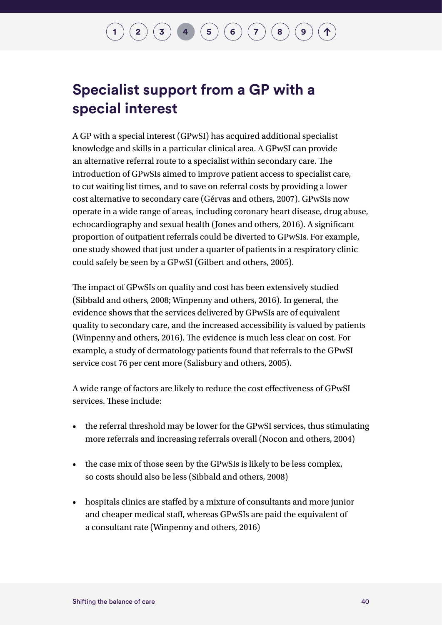### **Specialist support from a GP with a special interest**

A GP with a special interest (GPwSI) has acquired additional specialist knowledge and skills in a particular clinical area. A GPwSI can provide an alternative referral route to a specialist within secondary care. The introduction of GPwSIs aimed to improve patient access to specialist care, to cut waiting list times, and to save on referral costs by providing a lower cost alternative to secondary care (Gérvas and others, 2007). GPwSIs now operate in a wide range of areas, including coronary heart disease, drug abuse, echocardiography and sexual health (Jones and others, 2016). A significant proportion of outpatient referrals could be diverted to GPwSIs. For example, one study showed that just under a quarter of patients in a respiratory clinic could safely be seen by a GPwSI (Gilbert and others, 2005).

The impact of GPwSIs on quality and cost has been extensively studied (Sibbald and others, 2008; Winpenny and others, 2016). In general, the evidence shows that the services delivered by GPwSIs are of equivalent quality to secondary care, and the increased accessibility is valued by patients (Winpenny and others, 2016). The evidence is much less clear on cost. For example, a study of dermatology patients found that referrals to the GPwSI service cost 76 per cent more (Salisbury and others, 2005).

A wide range of factors are likely to reduce the cost effectiveness of GPwSI services. These include:

- the referral threshold may be lower for the GPwSI services, thus stimulating more referrals and increasing referrals overall (Nocon and others, 2004)
- the case mix of those seen by the GPwSIs is likely to be less complex, so costs should also be less (Sibbald and others, 2008)
- hospitals clinics are staffed by a mixture of consultants and more junior and cheaper medical staff, whereas GPwSIs are paid the equivalent of a consultant rate (Winpenny and others, 2016)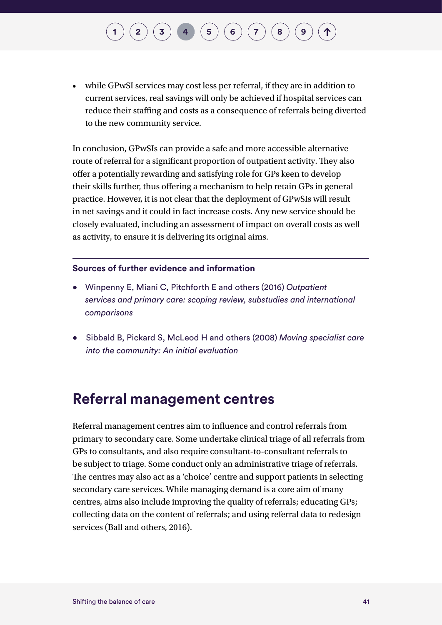## $\binom{1}{2}\binom{3}{4}\binom{4}{5}\binom{5}{6}\binom{7}{7}$  $\binom{1}{2}\binom{3}{4}\binom{4}{5}\binom{5}{6}\binom{7}{7}$  $\binom{1}{2}\binom{3}{4}\binom{4}{5}\binom{5}{6}\binom{7}{7}$  $\binom{1}{2}\binom{3}{4}\binom{4}{5}\binom{5}{6}\binom{7}{7}$  $\binom{1}{2}\binom{3}{4}\binom{4}{5}\binom{5}{6}\binom{7}{7}$  $\binom{1}{2}\binom{3}{4}\binom{4}{5}\binom{5}{6}\binom{7}{7}$  $\binom{1}{2}\binom{3}{4}\binom{4}{5}\binom{5}{6}\binom{7}{7}$  $\binom{1}{2}\binom{3}{4}\binom{4}{5}\binom{5}{6}\binom{7}{7}$  $\binom{1}{2}\binom{3}{4}\binom{4}{5}\binom{5}{6}\binom{7}{7}$  $\binom{1}{2}\binom{3}{4}\binom{4}{5}\binom{5}{6}\binom{7}{7}$  $\binom{1}{2}\binom{3}{4}\binom{4}{5}\binom{5}{6}\binom{7}{7}$  $\binom{1}{2}\binom{3}{4}\binom{4}{5}\binom{5}{6}\binom{7}{7}$  $\binom{1}{2}\binom{3}{4}\binom{4}{5}\binom{5}{6}\binom{7}{7}$  $\binom{1}{2}\binom{3}{4}\binom{4}{5}\binom{5}{6}\binom{7}{7}$  $\binom{1}{2}\binom{3}{4}\binom{4}{5}\binom{5}{6}\binom{7}{7}$

• while GPwSI services may cost less per referral, if they are in addition to current services, real savings will only be achieved if hospital services can reduce their staffing and costs as a consequence of referrals being diverted to the new community service.

In conclusion, GPwSIs can provide a safe and more accessible alternative route of referral for a significant proportion of outpatient activity. They also offer a potentially rewarding and satisfying role for GPs keen to develop their skills further, thus offering a mechanism to help retain GPs in general practice. However, it is not clear that the deployment of GPwSIs will result in net savings and it could in fact increase costs. Any new service should be closely evaluated, including an assessment of impact on overall costs as well as activity, to ensure it is delivering its original aims.

#### **Sources of further evidence and information**

- Winpenny E, Miani C, Pitchforth E and others (2016) *Outpatient services and primary care: scoping review, substudies and international comparisons*
- Sibbald B, Pickard S, McLeod H and others (2008) *Moving specialist care into the community: An initial evaluation*

### **Referral management centres**

Referral management centres aim to influence and control referrals from primary to secondary care. Some undertake clinical triage of all referrals from GPs to consultants, and also require consultant-to-consultant referrals to be subject to triage. Some conduct only an administrative triage of referrals. The centres may also act as a 'choice' centre and support patients in selecting secondary care services. While managing demand is a core aim of many centres, aims also include improving the quality of referrals; educating GPs; collecting data on the content of referrals; and using referral data to redesign services (Ball and others, 2016).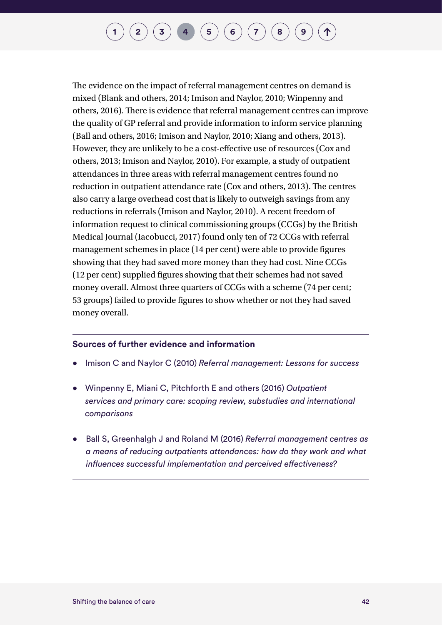## **[1](#page-7-0) [2](#page-10-0)**  $\binom{1}{3}$  $\binom{1}{3}$  $\binom{1}{3}$  **[4](#page-29-0) [6](#page-60-0)**  $\binom{5}{4}$  $\binom{5}{4}$  $\binom{5}{4}$  **6**  $\binom{7}{3}$  $\binom{7}{3}$  $\binom{7}{3}$  **[8](#page-93-0)**

The evidence on the impact of referral management centres on demand is mixed (Blank and others, 2014; Imison and Naylor, 2010; Winpenny and others, 2016). There is evidence that referral management centres can improve the quality of GP referral and provide information to inform service planning (Ball and others, 2016; Imison and Naylor, 2010; Xiang and others, 2013). However, they are unlikely to be a cost-effective use of resources (Cox and others, 2013; Imison and Naylor, 2010). For example, a study of outpatient attendances in three areas with referral management centres found no reduction in outpatient attendance rate (Cox and others, 2013). The centres also carry a large overhead cost that is likely to outweigh savings from any reductions in referrals (Imison and Naylor, 2010). A recent freedom of information request to clinical commissioning groups (CCGs) by the British Medical Journal (Iacobucci, 2017) found only ten of 72 CCGs with referral management schemes in place (14 per cent) were able to provide figures showing that they had saved more money than they had cost. Nine CCGs (12 per cent) supplied figures showing that their schemes had not saved money overall. Almost three quarters of CCGs with a scheme (74 per cent; 53 groups) failed to provide figures to show whether or not they had saved money overall.

#### **Sources of further evidence and information**

- Imison C and Naylor C (2010) *Referral management: Lessons for success*
- Winpenny E, Miani C, Pitchforth E and others (2016) *Outpatient services and primary care: scoping review, substudies and international comparisons*
- Ball S, Greenhalgh J and Roland M (2016) *Referral management centres as a means of reducing outpatients attendances: how do they work and what influences successful implementation and perceived effectiveness?*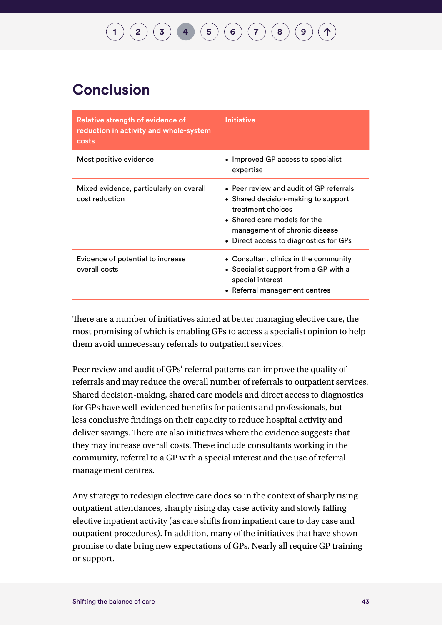### **Conclusion**

| <b>Relative strength of evidence of</b><br>reduction in activity and whole-system<br>costs | <b>Initiative</b>                                                                                                                                                                                              |
|--------------------------------------------------------------------------------------------|----------------------------------------------------------------------------------------------------------------------------------------------------------------------------------------------------------------|
| Most positive evidence                                                                     | • Improved GP access to specialist<br>expertise                                                                                                                                                                |
| Mixed evidence, particularly on overall<br>cost reduction                                  | • Peer review and audit of GP referrals<br>• Shared decision-making to support<br>treatment choices<br>• Shared care models for the<br>management of chronic disease<br>• Direct access to diagnostics for GPs |
| Evidence of potential to increase<br>overall costs                                         | • Consultant clinics in the community<br>• Specialist support from a GP with a<br>special interest<br>• Referral management centres                                                                            |

There are a number of initiatives aimed at better managing elective care, the most promising of which is enabling GPs to access a specialist opinion to help them avoid unnecessary referrals to outpatient services.

Peer review and audit of GPs' referral patterns can improve the quality of referrals and may reduce the overall number of referrals to outpatient services. Shared decision-making, shared care models and direct access to diagnostics for GPs have well-evidenced benefits for patients and professionals, but less conclusive findings on their capacity to reduce hospital activity and deliver savings. There are also initiatives where the evidence suggests that they may increase overall costs. These include consultants working in the community, referral to a GP with a special interest and the use of referral management centres.

Any strategy to redesign elective care does so in the context of sharply rising outpatient attendances, sharply rising day case activity and slowly falling elective inpatient activity (as care shifts from inpatient care to day case and outpatient procedures). In addition, many of the initiatives that have shown promise to date bring new expectations of GPs. Nearly all require GP training or support.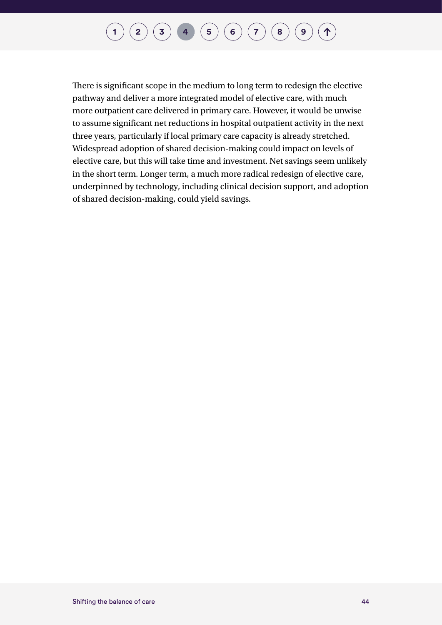## **[1](#page-7-0)**  $(2)(3)(4)(5)(6)(7)(8)(9)$  $(2)(3)(4)(5)(6)(7)(8)(9)$  $(2)(3)(4)(5)(6)(7)(8)(9)$  $(2)(3)(4)(5)(6)(7)(8)(9)$  $(2)(3)(4)(5)(6)(7)(8)(9)$  $(2)(3)(4)(5)(6)(7)(8)(9)$  $(2)(3)(4)(5)(6)(7)(8)(9)$  $(2)(3)(4)(5)(6)(7)(8)(9)$  $(2)(3)(4)(5)(6)(7)(8)(9)$  $(2)(3)(4)(5)(6)(7)(8)(9)$  $(2)(3)(4)(5)(6)(7)(8)(9)$  $(2)(3)(4)(5)(6)(7)(8)(9)$  $(2)(3)(4)(5)(6)(7)(8)(9)$  $(2)(3)(4)(5)(6)(7)(8)(9)$  $(2)(3)(4)(5)(6)(7)(8)(9)$  $(2)(3)(4)(5)(6)(7)(8)(9)$  $(2)(3)(4)(5)(6)(7)(8)(9)$

There is significant scope in the medium to long term to redesign the elective pathway and deliver a more integrated model of elective care, with much more outpatient care delivered in primary care. However, it would be unwise to assume significant net reductions in hospital outpatient activity in the next three years, particularly if local primary care capacity is already stretched. Widespread adoption of shared decision-making could impact on levels of elective care, but this will take time and investment. Net savings seem unlikely in the short term. Longer term, a much more radical redesign of elective care, underpinned by technology, including clinical decision support, and adoption of shared decision-making, could yield savings.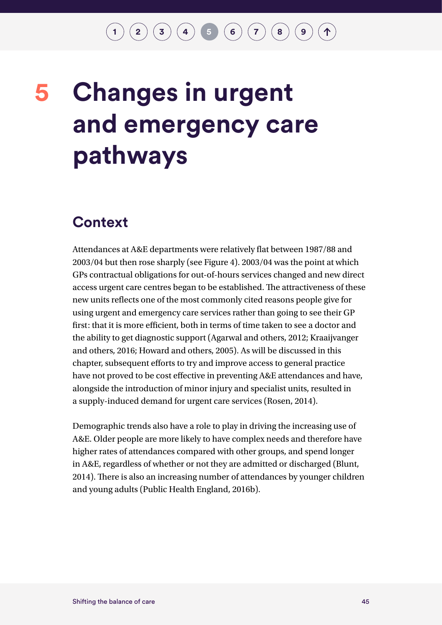### $\binom{2}{3}\binom{3}{4}$  $\binom{2}{3}\binom{3}{4}$  $\binom{2}{3}\binom{3}{4}$  $\binom{2}{3}\binom{3}{4}$  $\binom{2}{3}\binom{3}{4}$  $\binom{2}{3}\binom{3}{4}$  $\binom{2}{3}\binom{3}{4}$  **5 [6](#page-60-0)**  $\binom{7}{3}\binom{8}{9}$  $\binom{7}{3}\binom{8}{9}$  $\binom{7}{3}\binom{8}{9}$  $\binom{7}{3}\binom{8}{9}$  $\binom{7}{3}\binom{8}{9}$  $\binom{7}{3}\binom{8}{9}$  $\binom{7}{3}\binom{8}{9}$

## <span id="page-48-0"></span>**Changes in urgent and emergency care pathways 5**

### **Context**

Attendances at A&E departments were relatively flat between 1987/88 and 2003/04 but then rose sharply (see Figure 4). 2003/04 was the point at which GPs contractual obligations for out-of-hours services changed and new direct access urgent care centres began to be established. The attractiveness of these new units reflects one of the most commonly cited reasons people give for using urgent and emergency care services rather than going to see their GP first: that it is more efficient, both in terms of time taken to see a doctor and the ability to get diagnostic support (Agarwal and others, 2012; Kraaijvanger and others, 2016; Howard and others, 2005). As will be discussed in this chapter, subsequent efforts to try and improve access to general practice have not proved to be cost effective in preventing A&E attendances and have, alongside the introduction of minor injury and specialist units, resulted in a supply-induced demand for urgent care services (Rosen, 2014).

Demographic trends also have a role to play in driving the increasing use of A&E. Older people are more likely to have complex needs and therefore have higher rates of attendances compared with other groups, and spend longer in A&E, regardless of whether or not they are admitted or discharged (Blunt, 2014). There is also an increasing number of attendances by younger children and young adults (Public Health England, 2016b).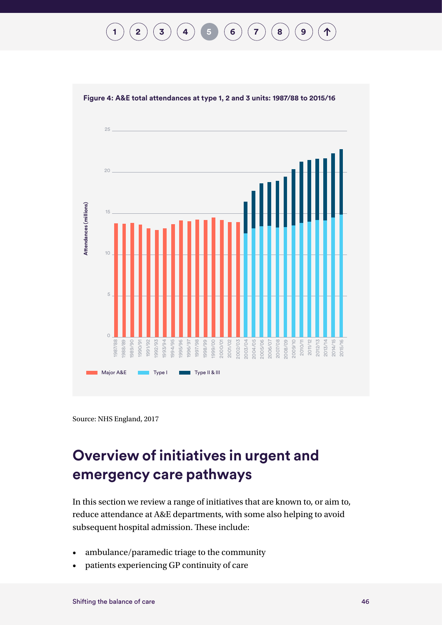$$
(1) (2) (3) (4) (5) (6) (7) (8) (9) (1)
$$





Source: NHS England, 2017

### **Overview of initiatives in urgent and emergency care pathways**

In this section we review a range of initiatives that are known to, or aim to, reduce attendance at A&E departments, with some also helping to avoid subsequent hospital admission. These include:

- ambulance/paramedic triage to the community
- patients experiencing GP continuity of care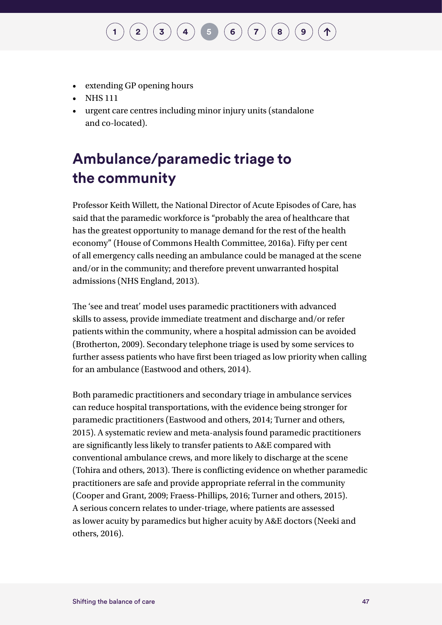- extending GP opening hours
- NHS 111
- urgent care centres including minor injury units (standalone and co-located).

### **Ambulance/paramedic triage to the community**

Professor Keith Willett, the National Director of Acute Episodes of Care, has said that the paramedic workforce is "probably the area of healthcare that has the greatest opportunity to manage demand for the rest of the health economy" (House of Commons Health Committee, 2016a). Fifty per cent of all emergency calls needing an ambulance could be managed at the scene and/or in the community; and therefore prevent unwarranted hospital admissions (NHS England, 2013).

The 'see and treat' model uses paramedic practitioners with advanced skills to assess, provide immediate treatment and discharge and/or refer patients within the community, where a hospital admission can be avoided (Brotherton, 2009). Secondary telephone triage is used by some services to further assess patients who have first been triaged as low priority when calling for an ambulance (Eastwood and others, 2014).

Both paramedic practitioners and secondary triage in ambulance services can reduce hospital transportations, with the evidence being stronger for paramedic practitioners (Eastwood and others, 2014; Turner and others, 2015). A systematic review and meta-analysis found paramedic practitioners are significantly less likely to transfer patients to A&E compared with conventional ambulance crews, and more likely to discharge at the scene (Tohira and others, 2013). There is conflicting evidence on whether paramedic practitioners are safe and provide appropriate referral in the community (Cooper and Grant, 2009; Fraess-Phillips, 2016; Turner and others, 2015). A serious concern relates to under-triage, where patients are assessed as lower acuity by paramedics but higher acuity by A&E doctors (Neeki and others, 2016).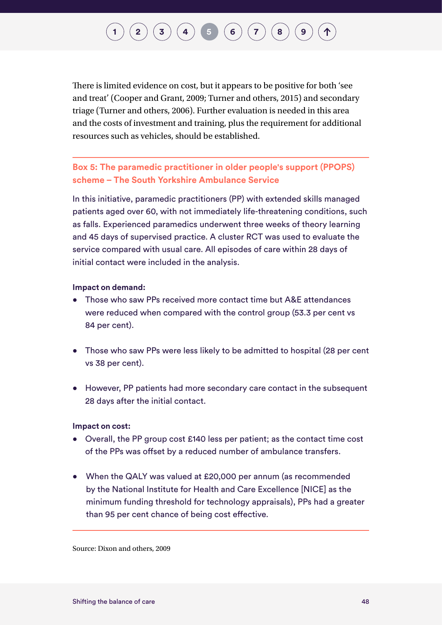There is limited evidence on cost, but it appears to be positive for both 'see and treat' (Cooper and Grant, 2009; Turner and others, 2015) and secondary triage (Turner and others, 2006). Further evaluation is needed in this area and the costs of investment and training, plus the requirement for additional resources such as vehicles, should be established.

**Box 5: The paramedic practitioner in older people's support (PPOPS) scheme – The South Yorkshire Ambulance Service** 

In this initiative, paramedic practitioners (PP) with extended skills managed patients aged over 60, with not immediately life-threatening conditions, such as falls. Experienced paramedics underwent three weeks of theory learning and 45 days of supervised practice. A cluster RCT was used to evaluate the service compared with usual care. All episodes of care within 28 days of initial contact were included in the analysis.

#### **Impact on demand:**

- Those who saw PPs received more contact time but A&E attendances were reduced when compared with the control group (53.3 per cent vs 84 per cent).
- Those who saw PPs were less likely to be admitted to hospital (28 per cent vs 38 per cent).
- However, PP patients had more secondary care contact in the subsequent 28 days after the initial contact.

#### **Impact on cost:**

- Overall, the PP group cost £140 less per patient; as the contact time cost of the PPs was offset by a reduced number of ambulance transfers.
- When the QALY was valued at £20,000 per annum (as recommended by the National Institute for Health and Care Excellence [NICE] as the minimum funding threshold for technology appraisals), PPs had a greater than 95 per cent chance of being cost effective.

Source: Dixon and others, 2009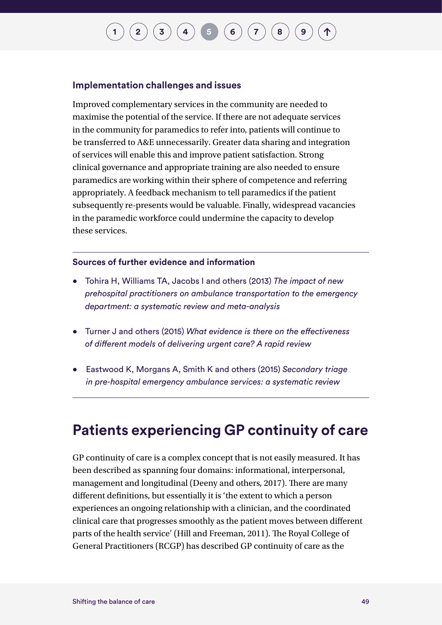#### **Implementation challenges and issues**

Improved complementary services in the community are needed to maximise the potential of the service. If there are not adequate services in the community for paramedics to refer into, patients will continue to be transferred to A&E unnecessarily. Greater data sharing and integration of services will enable this and improve patient satisfaction. Strong clinical governance and appropriate training are also needed to ensure paramedics are working within their sphere of competence and referring appropriately. A feedback mechanism to tell paramedics if the patient subsequently re-presents would be valuable. Finally, widespread vacancies in the paramedic workforce could undermine the capacity to develop these services.

#### **Sources of further evidence and information**

- Tohira H, Williams TA, Jacobs I and others (2013) *The impact of new prehospital practitioners on ambulance transportation to the emergency department: a systematic review and meta-analysis*
- Turner J and others (2015) *What evidence is there on the effectiveness of different models of delivering urgent care? A rapid review*
- Eastwood K, Morgans A, Smith K and others (2015) *Secondary triage in pre-hospital emergency ambulance services: a systematic review*

### **Patients experiencing GP continuity of care**

GP continuity of care is a complex concept that is not easily measured. It has been described as spanning four domains: informational, interpersonal, management and longitudinal (Deeny and others, 2017). There are many different definitions, but essentially it is 'the extent to which a person experiences an ongoing relationship with a clinician, and the coordinated clinical care that progresses smoothly as the patient moves between different parts of the health service' (Hill and Freeman, 2011). The Royal College of General Practitioners (RCGP) has described GP continuity of care as the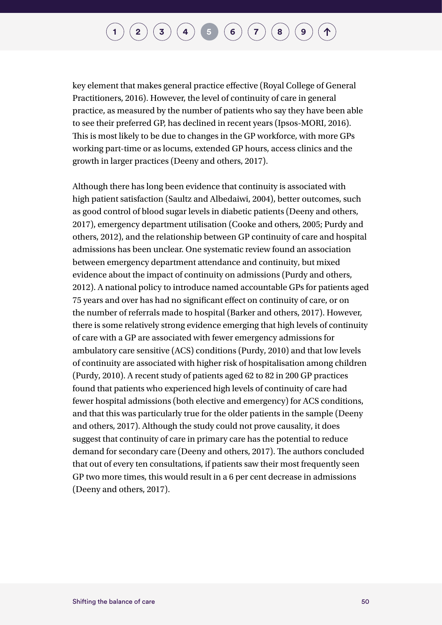key element that makes general practice effective (Royal College of General Practitioners, 2016). However, the level of continuity of care in general practice, as measured by the number of patients who say they have been able to see their preferred GP, has declined in recent years (Ipsos-MORI, 2016). This is most likely to be due to changes in the GP workforce, with more GPs working part-time or as locums, extended GP hours, access clinics and the growth in larger practices (Deeny and others, 2017).

Although there has long been evidence that continuity is associated with high patient satisfaction (Saultz and Albedaiwi, 2004), better outcomes, such as good control of blood sugar levels in diabetic patients (Deeny and others, 2017), emergency department utilisation (Cooke and others, 2005; Purdy and others, 2012), and the relationship between GP continuity of care and hospital admissions has been unclear. One systematic review found an association between emergency department attendance and continuity, but mixed evidence about the impact of continuity on admissions (Purdy and others, 2012). A national policy to introduce named accountable GPs for patients aged 75 years and over has had no significant effect on continuity of care, or on the number of referrals made to hospital (Barker and others, 2017). However, there is some relatively strong evidence emerging that high levels of continuity of care with a GP are associated with fewer emergency admissions for ambulatory care sensitive (ACS) conditions (Purdy, 2010) and that low levels of continuity are associated with higher risk of hospitalisation among children (Purdy, 2010). A recent study of patients aged 62 to 82 in 200 GP practices found that patients who experienced high levels of continuity of care had fewer hospital admissions (both elective and emergency) for ACS conditions, and that this was particularly true for the older patients in the sample (Deeny and others, 2017). Although the study could not prove causality, it does suggest that continuity of care in primary care has the potential to reduce demand for secondary care (Deeny and others, 2017). The authors concluded that out of every ten consultations, if patients saw their most frequently seen GP two more times, this would result in a 6 per cent decrease in admissions (Deeny and others, 2017).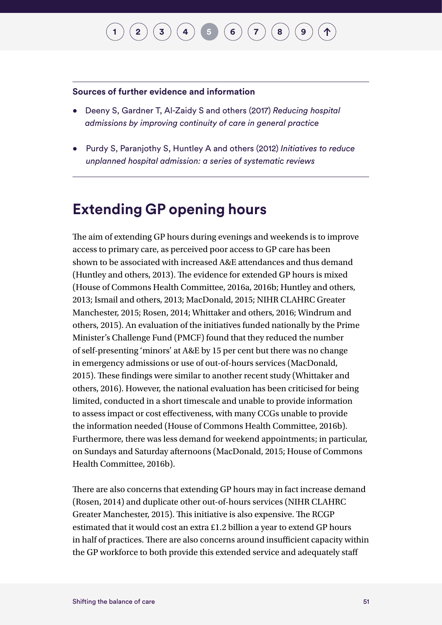#### **Sources of further evidence and information**

- Deeny S, Gardner T, Al-Zaidy S and others (2017) *Reducing hospital admissions by improving continuity of care in general practice*
- Purdy S, Paranjothy S, Huntley A and others (2012) *Initiatives to reduce unplanned hospital admission: a series of systematic reviews*

### **Extending GP opening hours**

The aim of extending GP hours during evenings and weekends is to improve access to primary care, as perceived poor access to GP care has been shown to be associated with increased A&E attendances and thus demand (Huntley and others, 2013). The evidence for extended GP hours is mixed (House of Commons Health Committee, 2016a, 2016b; Huntley and others, 2013; Ismail and others, 2013; MacDonald, 2015; NIHR CLAHRC Greater Manchester, 2015; Rosen, 2014; Whittaker and others, 2016; Windrum and others, 2015). An evaluation of the initiatives funded nationally by the Prime Minister's Challenge Fund (PMCF) found that they reduced the number of self-presenting 'minors' at A&E by 15 per cent but there was no change in emergency admissions or use of out-of-hours services (MacDonald, 2015). These findings were similar to another recent study (Whittaker and others, 2016). However, the national evaluation has been criticised for being limited, conducted in a short timescale and unable to provide information to assess impact or cost effectiveness, with many CCGs unable to provide the information needed (House of Commons Health Committee, 2016b). Furthermore, there was less demand for weekend appointments; in particular, on Sundays and Saturday afternoons (MacDonald, 2015; House of Commons Health Committee, 2016b).

There are also concerns that extending GP hours may in fact increase demand (Rosen, 2014) and duplicate other out-of-hours services (NIHR CLAHRC Greater Manchester, 2015). This initiative is also expensive. The RCGP estimated that it would cost an extra £1.2 billion a year to extend GP hours in half of practices. There are also concerns around insufficient capacity within the GP workforce to both provide this extended service and adequately staff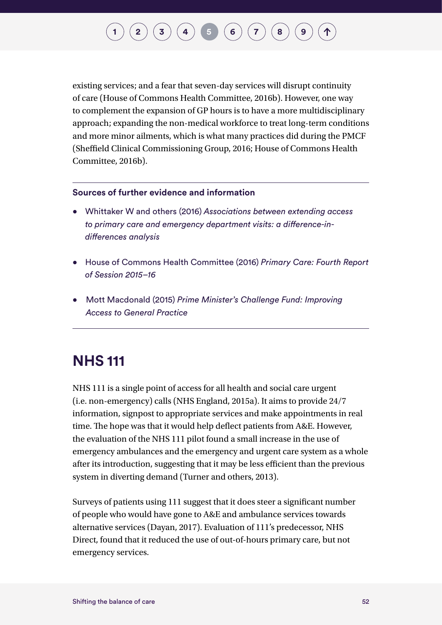existing services; and a fear that seven-day services will disrupt continuity of care (House of Commons Health Committee, 2016b). However, one way to complement the expansion of GP hours is to have a more multidisciplinary approach; expanding the non-medical workforce to treat long-term conditions and more minor ailments, which is what many practices did during the PMCF (Sheffield Clinical Commissioning Group, 2016; House of Commons Health Committee, 2016b).

#### **Sources of further evidence and information**

- Whittaker W and others (2016) *Associations between extending access to primary care and emergency department visits: a difference-indifferences analysis*
- House of Commons Health Committee (2016) *Primary Care: Fourth Report of Session 2015–16*
- Mott Macdonald (2015) *Prime Minister's Challenge Fund: Improving Access to General Practice*

### **NHS 111**

NHS 111 is a single point of access for all health and social care urgent (i.e. non-emergency) calls (NHS England, 2015a). It aims to provide 24/7 information, signpost to appropriate services and make appointments in real time. The hope was that it would help deflect patients from A&E. However, the evaluation of the NHS 111 pilot found a small increase in the use of emergency ambulances and the emergency and urgent care system as a whole after its introduction, suggesting that it may be less efficient than the previous system in diverting demand (Turner and others, 2013).

Surveys of patients using 111 suggest that it does steer a significant number of people who would have gone to A&E and ambulance services towards alternative services (Dayan, 2017). Evaluation of 111's predecessor, NHS Direct, found that it reduced the use of out-of-hours primary care, but not emergency services.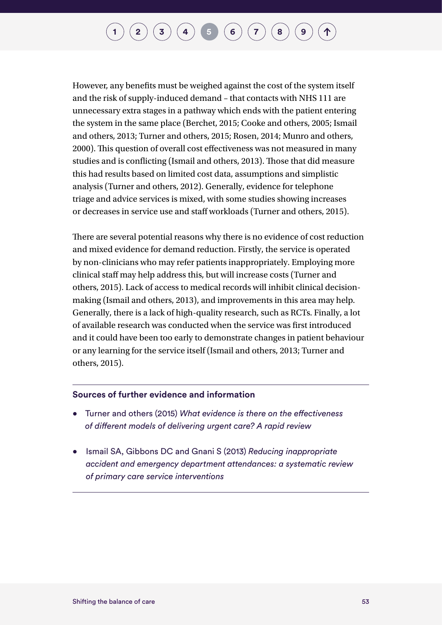However, any benefits must be weighed against the cost of the system itself and the risk of supply-induced demand – that contacts with NHS 111 are unnecessary extra stages in a pathway which ends with the patient entering the system in the same place (Berchet, 2015; Cooke and others, 2005; Ismail and others, 2013; Turner and others, 2015; Rosen, 2014; Munro and others, 2000). This question of overall cost effectiveness was not measured in many studies and is conflicting (Ismail and others, 2013). Those that did measure this had results based on limited cost data, assumptions and simplistic analysis (Turner and others, 2012). Generally, evidence for telephone triage and advice services is mixed, with some studies showing increases or decreases in service use and staff workloads (Turner and others, 2015).

There are several potential reasons why there is no evidence of cost reduction and mixed evidence for demand reduction. Firstly, the service is operated by non-clinicians who may refer patients inappropriately. Employing more clinical staff may help address this, but will increase costs (Turner and others, 2015). Lack of access to medical records will inhibit clinical decisionmaking (Ismail and others, 2013), and improvements in this area may help. Generally, there is a lack of high-quality research, such as RCTs. Finally, a lot of available research was conducted when the service was first introduced and it could have been too early to demonstrate changes in patient behaviour or any learning for the service itself (Ismail and others, 2013; Turner and others, 2015).

#### **Sources of further evidence and information**

- Turner and others (2015) *What evidence is there on the effectiveness of different models of delivering urgent care? A rapid review*
- Ismail SA, Gibbons DC and Gnani S (2013) *Reducing inappropriate accident and emergency department attendances: a systematic review of primary care service interventions*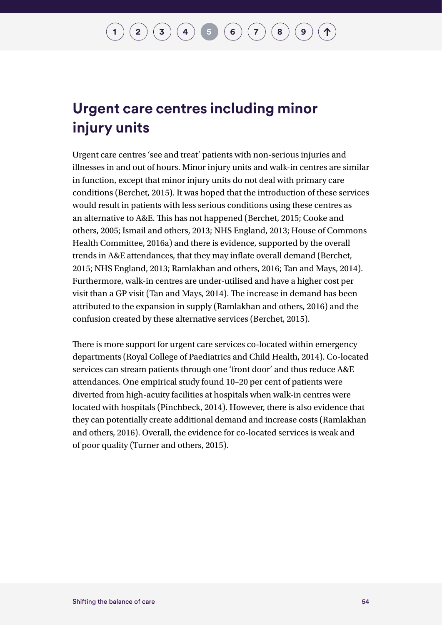### **Urgent care centres including minor injury units**

Urgent care centres 'see and treat' patients with non-serious injuries and illnesses in and out of hours. Minor injury units and walk-in centres are similar in function, except that minor injury units do not deal with primary care conditions (Berchet, 2015). It was hoped that the introduction of these services would result in patients with less serious conditions using these centres as an alternative to A&E. This has not happened (Berchet, 2015; Cooke and others, 2005; Ismail and others, 2013; NHS England, 2013; House of Commons Health Committee, 2016a) and there is evidence, supported by the overall trends in A&E attendances, that they may inflate overall demand (Berchet, 2015; NHS England, 2013; Ramlakhan and others, 2016; Tan and Mays, 2014). Furthermore, walk-in centres are under-utilised and have a higher cost per visit than a GP visit (Tan and Mays, 2014). The increase in demand has been attributed to the expansion in supply (Ramlakhan and others, 2016) and the confusion created by these alternative services (Berchet, 2015).

There is more support for urgent care services co-located within emergency departments (Royal College of Paediatrics and Child Health, 2014). Co-located services can stream patients through one 'front door' and thus reduce A&E attendances. One empirical study found 10–20 per cent of patients were diverted from high-acuity facilities at hospitals when walk-in centres were located with hospitals (Pinchbeck, 2014). However, there is also evidence that they can potentially create additional demand and increase costs (Ramlakhan and others, 2016). Overall, the evidence for co-located services is weak and of poor quality (Turner and others, 2015).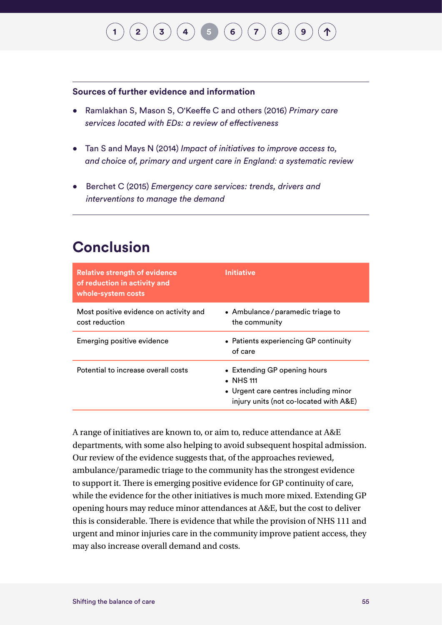## $\binom{2}{3}\binom{3}{4}\binom{4}{5}\binom{6}{7}\binom{7}{8}\binom{9}{9}$  $\binom{2}{3}\binom{3}{4}\binom{4}{5}\binom{6}{7}\binom{7}{8}\binom{9}{9}$  $\binom{2}{3}\binom{3}{4}\binom{4}{5}\binom{6}{7}\binom{7}{8}\binom{9}{9}$  $\binom{2}{3}\binom{3}{4}\binom{4}{5}\binom{6}{7}\binom{7}{8}\binom{9}{9}$  $\binom{2}{3}\binom{3}{4}\binom{4}{5}\binom{6}{7}\binom{7}{8}\binom{9}{9}$  $\binom{2}{3}\binom{3}{4}\binom{4}{5}\binom{6}{7}\binom{7}{8}\binom{9}{9}$  $\binom{2}{3}\binom{3}{4}\binom{4}{5}\binom{6}{7}\binom{7}{8}\binom{9}{9}$  $\binom{2}{3}\binom{3}{4}\binom{4}{5}\binom{6}{7}\binom{7}{8}\binom{9}{9}$  $\binom{2}{3}\binom{3}{4}\binom{4}{5}\binom{6}{7}\binom{7}{8}\binom{9}{9}$  $\binom{2}{3}\binom{3}{4}\binom{4}{5}\binom{6}{7}\binom{7}{8}\binom{9}{9}$  $\binom{2}{3}\binom{3}{4}\binom{4}{5}\binom{6}{7}\binom{7}{8}\binom{9}{9}$  $\binom{2}{3}\binom{3}{4}\binom{4}{5}\binom{6}{7}\binom{7}{8}\binom{9}{9}$  $\binom{2}{3}\binom{3}{4}\binom{4}{5}\binom{6}{7}\binom{7}{8}\binom{9}{9}$  $\binom{2}{3}\binom{3}{4}\binom{4}{5}\binom{6}{7}\binom{7}{8}\binom{9}{9}$  $\binom{2}{3}\binom{3}{4}\binom{4}{5}\binom{6}{7}\binom{7}{8}\binom{9}{9}$  $\binom{2}{3}\binom{3}{4}\binom{4}{5}\binom{6}{7}\binom{7}{8}\binom{9}{9}$  $\binom{2}{3}\binom{3}{4}\binom{4}{5}\binom{6}{7}\binom{7}{8}\binom{9}{9}$

#### **Sources of further evidence and information**

- Ramlakhan S, Mason S, O'Keeffe C and others (2016) *Primary care services located with EDs: a review of effectiveness*
- Tan S and Mays N (2014) *Impact of initiatives to improve access to, and choice of, primary and urgent care in England: a systematic review*
- Berchet C (2015) *Emergency care services: trends, drivers and interventions to manage the demand*

### **Conclusion**

| <b>Relative strength of evidence</b><br>of reduction in activity and<br>whole-system costs | <b>Initiative</b>                                                                                                                    |
|--------------------------------------------------------------------------------------------|--------------------------------------------------------------------------------------------------------------------------------------|
| Most positive evidence on activity and<br>cost reduction                                   | • Ambulance/paramedic triage to<br>the community                                                                                     |
| Emerging positive evidence                                                                 | • Patients experiencing GP continuity<br>of care                                                                                     |
| Potential to increase overall costs                                                        | • Extending GP opening hours<br>$\bullet$ NHS 111<br>• Urgent care centres including minor<br>injury units (not co-located with A&E) |

A range of initiatives are known to, or aim to, reduce attendance at A&E departments, with some also helping to avoid subsequent hospital admission. Our review of the evidence suggests that, of the approaches reviewed, ambulance/paramedic triage to the community has the strongest evidence to support it. There is emerging positive evidence for GP continuity of care, while the evidence for the other initiatives is much more mixed. Extending GP opening hours may reduce minor attendances at A&E, but the cost to deliver this is considerable. There is evidence that while the provision of NHS 111 and urgent and minor injuries care in the community improve patient access, they may also increase overall demand and costs.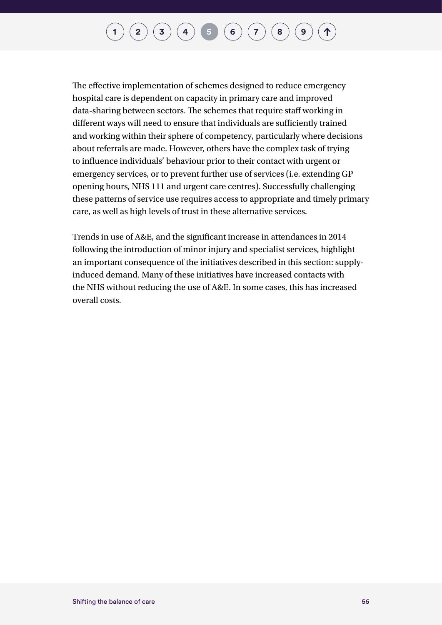The effective implementation of schemes designed to reduce emergency hospital care is dependent on capacity in primary care and improved data-sharing between sectors. The schemes that require staff working in different ways will need to ensure that individuals are sufficiently trained and working within their sphere of competency, particularly where decisions about referrals are made. However, others have the complex task of trying to influence individuals' behaviour prior to their contact with urgent or emergency services, or to prevent further use of services (i.e. extending GP opening hours, NHS 111 and urgent care centres). Successfully challenging these patterns of service use requires access to appropriate and timely primary care, as well as high levels of trust in these alternative services.

Trends in use of A&E, and the significant increase in attendances in 2014 following the introduction of minor injury and specialist services, highlight an important consequence of the initiatives described in this section: supplyinduced demand. Many of these initiatives have increased contacts with the NHS without reducing the use of A&E. In some cases, this has increased overall costs.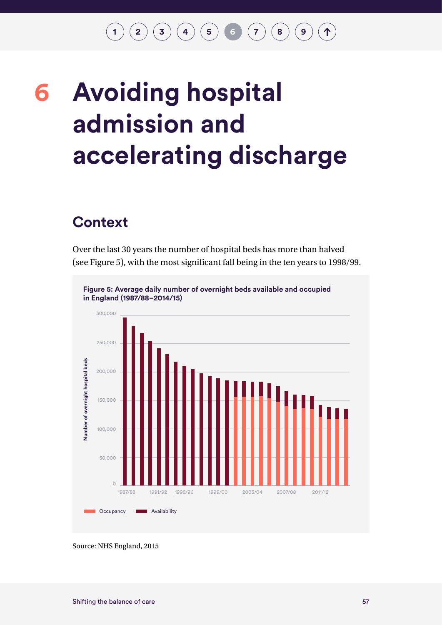$\binom{1}{2}\binom{2}{3}\binom{4}{4}\binom{5}{5}$  $\binom{1}{2}\binom{2}{3}\binom{4}{4}\binom{5}{5}$  $\binom{1}{2}\binom{2}{3}\binom{4}{4}\binom{5}{5}$  $\binom{1}{2}\binom{2}{3}\binom{4}{4}\binom{5}{5}$  $\binom{1}{2}\binom{2}{3}\binom{4}{4}\binom{5}{5}$  $\binom{1}{2}\binom{2}{3}\binom{4}{4}\binom{5}{5}$  $\binom{1}{2}\binom{2}{3}\binom{4}{4}\binom{5}{5}$  $\binom{1}{2}\binom{2}{3}\binom{4}{4}\binom{5}{5}$  $\binom{1}{2}\binom{2}{3}\binom{4}{4}\binom{5}{5}$  $\binom{1}{2}\binom{2}{3}\binom{4}{4}\binom{5}{5}$  $\binom{1}{2}\binom{2}{3}\binom{4}{4}\binom{5}{5}$  **6**  $\binom{7}{2}\binom{8}{9}$  $\binom{7}{2}\binom{8}{9}$  $\binom{7}{2}\binom{8}{9}$  $\binom{7}{2}\binom{8}{9}$  $\binom{7}{2}\binom{8}{9}$  $\binom{7}{2}\binom{8}{9}$  $\binom{7}{2}\binom{8}{9}$ 个

## <span id="page-60-0"></span>**Avoiding hospital admission and accelerating discharge 6**

### **Context**

Over the last 30 years the number of hospital beds has more than halved (see Figure 5), with the most significant fall being in the ten years to 1998/99.



Source: NHS England, 2015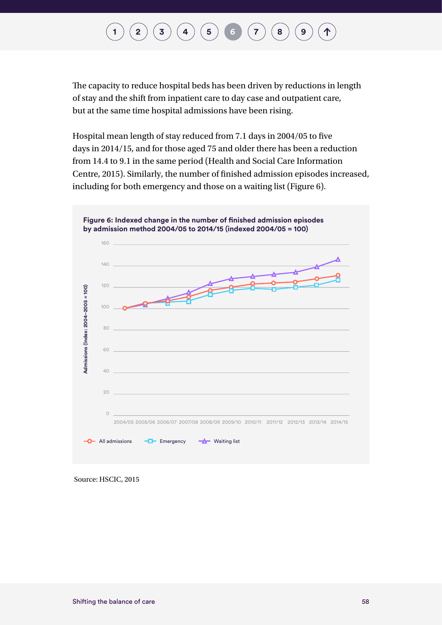## **[1](#page-7-0)**  $(2)(3)(4)(5)$  $(2)(3)(4)(5)$  $(2)(3)(4)(5)$  $(2)(3)(4)(5)$  $(2)(3)(4)(5)$  $(2)(3)(4)(5)$  $(2)(3)(4)(5)$  $(2)(3)(4)(5)$  $(2)(3)(4)(5)$  **[6](#page-60-0)**  $(7)(8)(9)$  $(7)(8)(9)$  $(7)(8)(9)$  $(7)(8)(9)$  $(7)(8)(9)$  $(7)(8)(9)$  $(7)(8)(9)$

The capacity to reduce hospital beds has been driven by reductions in length of stay and the shift from inpatient care to day case and outpatient care, but at the same time hospital admissions have been rising.

Hospital mean length of stay reduced from 7.1 days in 2004/05 to five days in 2014/15, and for those aged 75 and older there has been a reduction from 14.4 to 9.1 in the same period (Health and Social Care Information Centre, 2015). Similarly, the number of finished admission episodes increased, including for both emergency and those on a waiting list (Figure 6).



Source: HSCIC, 2015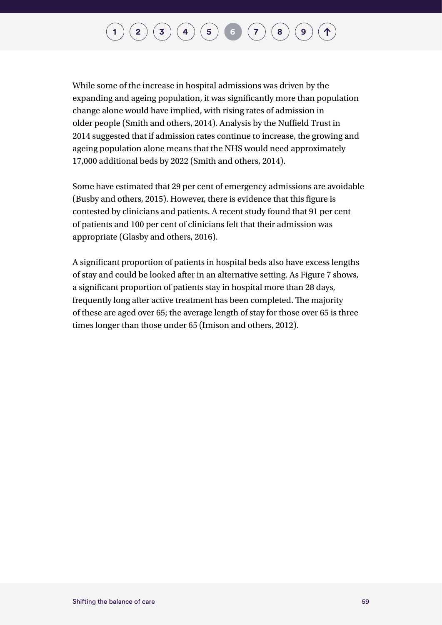While some of the increase in hospital admissions was driven by the expanding and ageing population, it was significantly more than population change alone would have implied, with rising rates of admission in older people (Smith and others, 2014). Analysis by the Nuffield Trust in 2014 suggested that if admission rates continue to increase, the growing and ageing population alone means that the NHS would need approximately 17,000 additional beds by 2022 (Smith and others, 2014).

Some have estimated that 29 per cent of emergency admissions are avoidable (Busby and others, 2015). However, there is evidence that this figure is contested by clinicians and patients. A recent study found that 91 per cent of patients and 100 per cent of clinicians felt that their admission was appropriate (Glasby and others, 2016).

A significant proportion of patients in hospital beds also have excess lengths of stay and could be looked after in an alternative setting. As Figure 7 shows, a significant proportion of patients stay in hospital more than 28 days, frequently long after active treatment has been completed. The majority of these are aged over 65; the average length of stay for those over 65 is three times longer than those under 65 (Imison and others, 2012).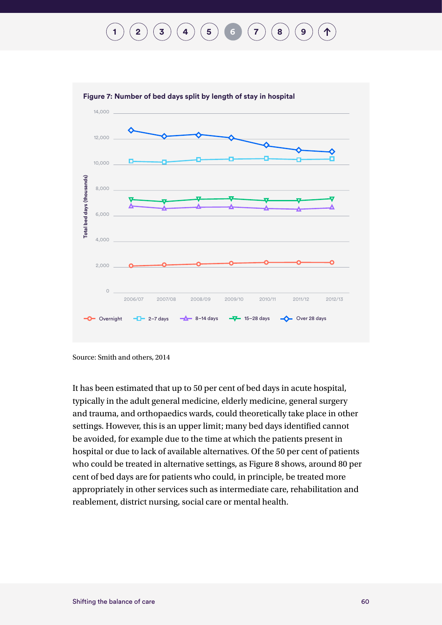## **[1](#page-7-0) [2](#page-10-0) [3](#page-23-0) [4](#page-29-0) [5](#page-48-0) [6](#page-60-0) [7](#page-76-0) [8](#page-93-0) [9](#page-100-0)**



Source: Smith and others, 2014

It has been estimated that up to 50 per cent of bed days in acute hospital, typically in the adult general medicine, elderly medicine, general surgery and trauma, and orthopaedics wards, could theoretically take place in other settings. However, this is an upper limit; many bed days identified cannot be avoided, for example due to the time at which the patients present in hospital or due to lack of available alternatives. Of the 50 per cent of patients who could be treated in alternative settings, as Figure 8 shows, around 80 per cent of bed days are for patients who could, in principle, be treated more appropriately in other services such as intermediate care, rehabilitation and reablement, district nursing, social care or mental health.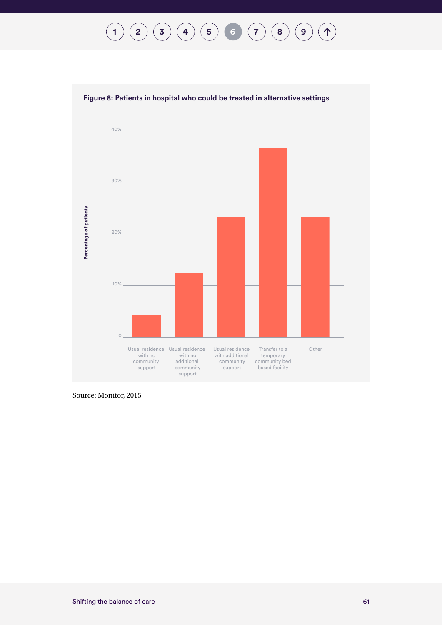$$
(1) (2) (3) (4) (5) (6) (7) (8) (9) (1)
$$



#### **Figure 8: Patients in hospital who could be treated in alternative settings**

Source: Monitor, 2015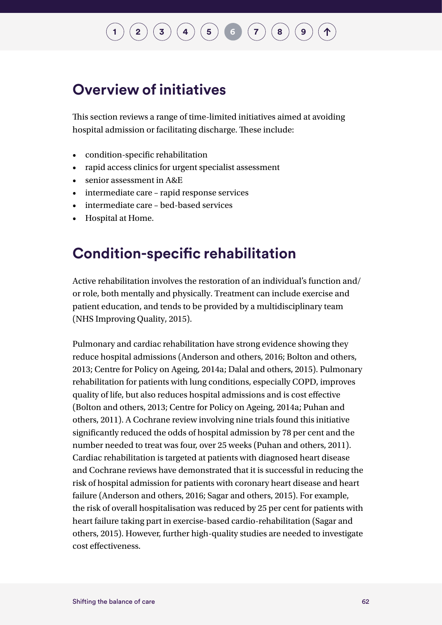### **Overview of initiatives**

This section reviews a range of time-limited initiatives aimed at avoiding hospital admission or facilitating discharge. These include:

- condition-specific rehabilitation
- rapid access clinics for urgent specialist assessment
- senior assessment in A&E
- intermediate care rapid response services
- intermediate care bed-based services
- Hospital at Home.

### **Condition-specific rehabilitation**

Active rehabilitation involves the restoration of an individual's function and/ or role, both mentally and physically. Treatment can include exercise and patient education, and tends to be provided by a multidisciplinary team (NHS Improving Quality, 2015).

Pulmonary and cardiac rehabilitation have strong evidence showing they reduce hospital admissions (Anderson and others, 2016; Bolton and others, 2013; Centre for Policy on Ageing, 2014a; Dalal and others, 2015). Pulmonary rehabilitation for patients with lung conditions, especially COPD, improves quality of life, but also reduces hospital admissions and is cost effective (Bolton and others, 2013; Centre for Policy on Ageing, 2014a; Puhan and others, 2011). A Cochrane review involving nine trials found this initiative significantly reduced the odds of hospital admission by 78 per cent and the number needed to treat was four, over 25 weeks (Puhan and others, 2011). Cardiac rehabilitation is targeted at patients with diagnosed heart disease and Cochrane reviews have demonstrated that it is successful in reducing the risk of hospital admission for patients with coronary heart disease and heart failure (Anderson and others, 2016; Sagar and others, 2015). For example, the risk of overall hospitalisation was reduced by 25 per cent for patients with heart failure taking part in exercise-based cardio-rehabilitation (Sagar and others, 2015). However, further high-quality studies are needed to investigate cost effectiveness.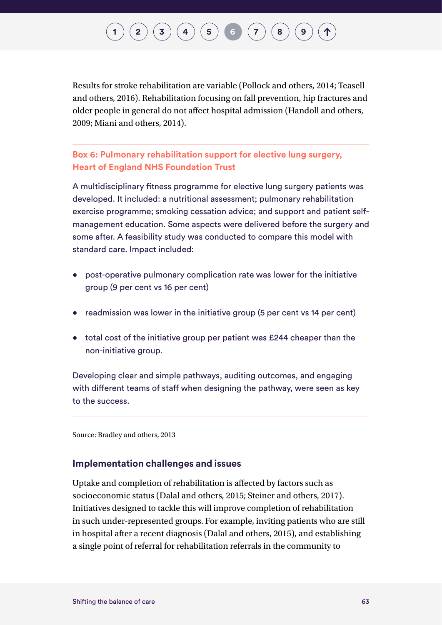Results for stroke rehabilitation are variable (Pollock and others, 2014; Teasell and others, 2016). Rehabilitation focusing on fall prevention, hip fractures and older people in general do not affect hospital admission (Handoll and others, 2009; Miani and others, 2014).

### **Box 6: Pulmonary rehabilitation support for elective lung surgery, Heart of England NHS Foundation Trust**

A multidisciplinary fitness programme for elective lung surgery patients was developed. It included: a nutritional assessment; pulmonary rehabilitation exercise programme; smoking cessation advice; and support and patient selfmanagement education. Some aspects were delivered before the surgery and some after. A feasibility study was conducted to compare this model with standard care. Impact included:

- post-operative pulmonary complication rate was lower for the initiative group (9 per cent vs 16 per cent)
- readmission was lower in the initiative group (5 per cent vs 14 per cent)
- total cost of the initiative group per patient was £244 cheaper than the non-initiative group.

Developing clear and simple pathways, auditing outcomes, and engaging with different teams of staff when designing the pathway, were seen as key to the success.

Source: Bradley and others, 2013

### **Implementation challenges and issues**

Uptake and completion of rehabilitation is affected by factors such as socioeconomic status (Dalal and others, 2015; Steiner and others, 2017). Initiatives designed to tackle this will improve completion of rehabilitation in such under-represented groups. For example, inviting patients who are still in hospital after a recent diagnosis (Dalal and others, 2015), and establishing a single point of referral for rehabilitation referrals in the community to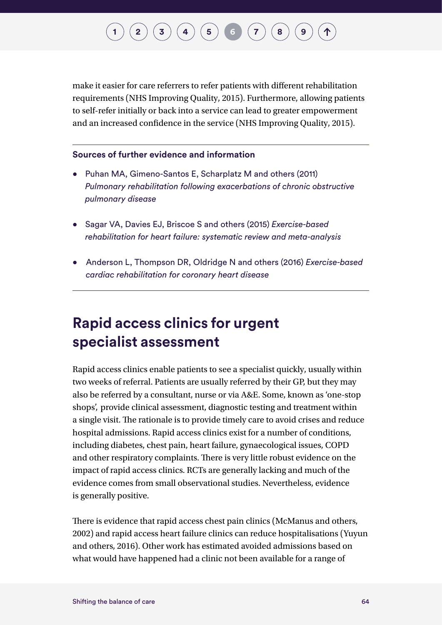make it easier for care referrers to refer patients with different rehabilitation requirements (NHS Improving Quality, 2015). Furthermore, allowing patients to self-refer initially or back into a service can lead to greater empowerment and an increased confidence in the service (NHS Improving Quality, 2015).

#### **Sources of further evidence and information**

- Puhan MA, Gimeno-Santos E, Scharplatz M and others (2011) *Pulmonary rehabilitation following exacerbations of chronic obstructive pulmonary disease*
- Sagar VA, Davies EJ, Briscoe S and others (2015) *Exercise-based rehabilitation for heart failure: systematic review and meta-analysis*
- Anderson L, Thompson DR, Oldridge N and others (2016) *Exercise-based cardiac rehabilitation for coronary heart disease*

### **Rapid access clinics for urgent specialist assessment**

Rapid access clinics enable patients to see a specialist quickly, usually within two weeks of referral. Patients are usually referred by their GP, but they may also be referred by a consultant, nurse or via A&E. Some, known as 'one-stop shops', provide clinical assessment, diagnostic testing and treatment within a single visit. The rationale is to provide timely care to avoid crises and reduce hospital admissions. Rapid access clinics exist for a number of conditions, including diabetes, chest pain, heart failure, gynaecological issues, COPD and other respiratory complaints. There is very little robust evidence on the impact of rapid access clinics. RCTs are generally lacking and much of the evidence comes from small observational studies. Nevertheless, evidence is generally positive.

There is evidence that rapid access chest pain clinics (McManus and others, 2002) and rapid access heart failure clinics can reduce hospitalisations (Yuyun and others, 2016). Other work has estimated avoided admissions based on what would have happened had a clinic not been available for a range of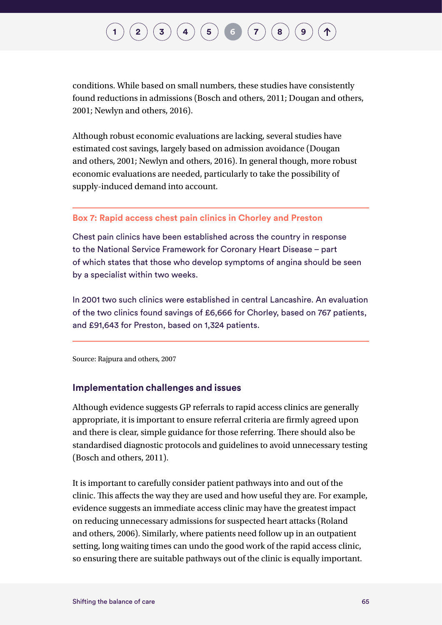conditions. While based on small numbers, these studies have consistently found reductions in admissions (Bosch and others, 2011; Dougan and others, 2001; Newlyn and others, 2016).

Although robust economic evaluations are lacking, several studies have estimated cost savings, largely based on admission avoidance (Dougan and others, 2001; Newlyn and others, 2016). In general though, more robust economic evaluations are needed, particularly to take the possibility of supply-induced demand into account.

#### **Box 7: Rapid access chest pain clinics in Chorley and Preston**

Chest pain clinics have been established across the country in response to the National Service Framework for Coronary Heart Disease – part of which states that those who develop symptoms of angina should be seen by a specialist within two weeks.

In 2001 two such clinics were established in central Lancashire. An evaluation of the two clinics found savings of £6,666 for Chorley, based on 767 patients, and £91,643 for Preston, based on 1,324 patients.

Source: Rajpura and others, 2007

#### **Implementation challenges and issues**

Although evidence suggests GP referrals to rapid access clinics are generally appropriate, it is important to ensure referral criteria are firmly agreed upon and there is clear, simple guidance for those referring. There should also be standardised diagnostic protocols and guidelines to avoid unnecessary testing (Bosch and others, 2011).

It is important to carefully consider patient pathways into and out of the clinic. This affects the way they are used and how useful they are. For example, evidence suggests an immediate access clinic may have the greatest impact on reducing unnecessary admissions for suspected heart attacks (Roland and others, 2006). Similarly, where patients need follow up in an outpatient setting, long waiting times can undo the good work of the rapid access clinic, so ensuring there are suitable pathways out of the clinic is equally important.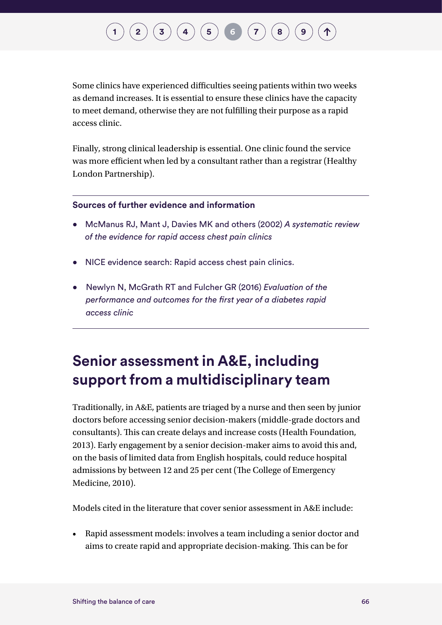Some clinics have experienced difficulties seeing patients within two weeks as demand increases. It is essential to ensure these clinics have the capacity to meet demand, otherwise they are not fulfilling their purpose as a rapid access clinic.

Finally, strong clinical leadership is essential. One clinic found the service was more efficient when led by a consultant rather than a registrar (Healthy London Partnership).

#### **Sources of further evidence and information**

- McManus RJ, Mant J, Davies MK and others (2002) *A systematic review of the evidence for rapid access chest pain clinics*
- NICE evidence search: Rapid access chest pain clinics.
- Newlyn N, McGrath RT and Fulcher GR (2016) *Evaluation of the performance and outcomes for the first year of a diabetes rapid access clinic*

### **Senior assessment in A&E, including support from a multidisciplinary team**

Traditionally, in A&E, patients are triaged by a nurse and then seen by junior doctors before accessing senior decision-makers (middle-grade doctors and consultants). This can create delays and increase costs (Health Foundation, 2013). Early engagement by a senior decision-maker aims to avoid this and, on the basis of limited data from English hospitals, could reduce hospital admissions by between 12 and 25 per cent (The College of Emergency Medicine, 2010).

Models cited in the literature that cover senior assessment in A&E include:

• Rapid assessment models: involves a team including a senior doctor and aims to create rapid and appropriate decision-making. This can be for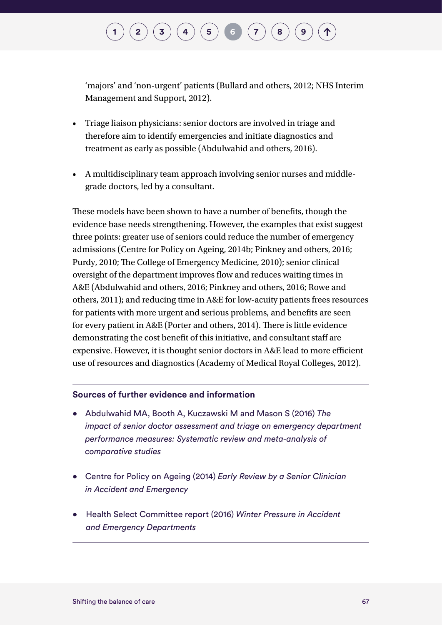'majors' and 'non-urgent' patients (Bullard and others, 2012; NHS Interim Management and Support, 2012).

- Triage liaison physicians: senior doctors are involved in triage and therefore aim to identify emergencies and initiate diagnostics and treatment as early as possible (Abdulwahid and others, 2016).
- A multidisciplinary team approach involving senior nurses and middlegrade doctors, led by a consultant.

These models have been shown to have a number of benefits, though the evidence base needs strengthening. However, the examples that exist suggest three points: greater use of seniors could reduce the number of emergency admissions (Centre for Policy on Ageing, 2014b; Pinkney and others, 2016; Purdy, 2010; The College of Emergency Medicine, 2010); senior clinical oversight of the department improves flow and reduces waiting times in A&E (Abdulwahid and others, 2016; Pinkney and others, 2016; Rowe and others, 2011); and reducing time in A&E for low-acuity patients frees resources for patients with more urgent and serious problems, and benefits are seen for every patient in A&E (Porter and others, 2014). There is little evidence demonstrating the cost benefit of this initiative, and consultant staff are expensive. However, it is thought senior doctors in A&E lead to more efficient use of resources and diagnostics (Academy of Medical Royal Colleges, 2012).

#### **Sources of further evidence and information**

- Abdulwahid MA, Booth A, Kuczawski M and Mason S (2016) *The impact of senior doctor assessment and triage on emergency department performance measures: Systematic review and meta-analysis of comparative studies*
- Centre for Policy on Ageing (2014) *Early Review by a Senior Clinician in Accident and Emergency*
- Health Select Committee report (2016) *Winter Pressure in Accident and Emergency Departments*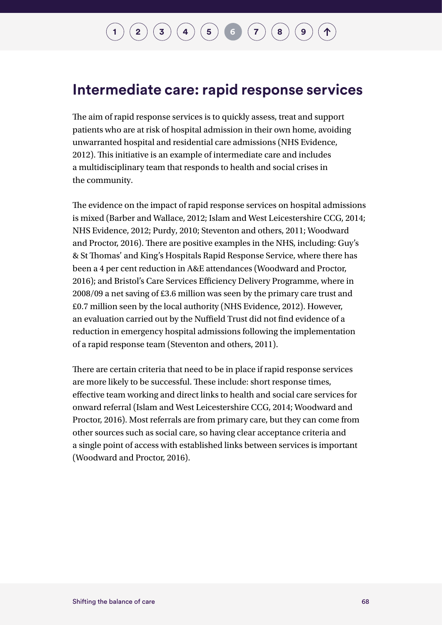### **Intermediate care: rapid response services**

The aim of rapid response services is to quickly assess, treat and support patients who are at risk of hospital admission in their own home, avoiding unwarranted hospital and residential care admissions (NHS Evidence, 2012). This initiative is an example of intermediate care and includes a multidisciplinary team that responds to health and social crises in the community.

The evidence on the impact of rapid response services on hospital admissions is mixed (Barber and Wallace, 2012; Islam and West Leicestershire CCG, 2014; NHS Evidence, 2012; Purdy, 2010; Steventon and others, 2011; Woodward and Proctor, 2016). There are positive examples in the NHS, including: Guy's & St Thomas' and King's Hospitals Rapid Response Service, where there has been a 4 per cent reduction in A&E attendances (Woodward and Proctor, 2016); and Bristol's Care Services Efficiency Delivery Programme, where in 2008/09 a net saving of £3.6 million was seen by the primary care trust and £0.7 million seen by the local authority (NHS Evidence, 2012). However, an evaluation carried out by the Nuffield Trust did not find evidence of a reduction in emergency hospital admissions following the implementation of a rapid response team (Steventon and others, 2011).

There are certain criteria that need to be in place if rapid response services are more likely to be successful. These include: short response times, effective team working and direct links to health and social care services for onward referral (Islam and West Leicestershire CCG, 2014; Woodward and Proctor, 2016). Most referrals are from primary care, but they can come from other sources such as social care, so having clear acceptance criteria and a single point of access with established links between services is important (Woodward and Proctor, 2016).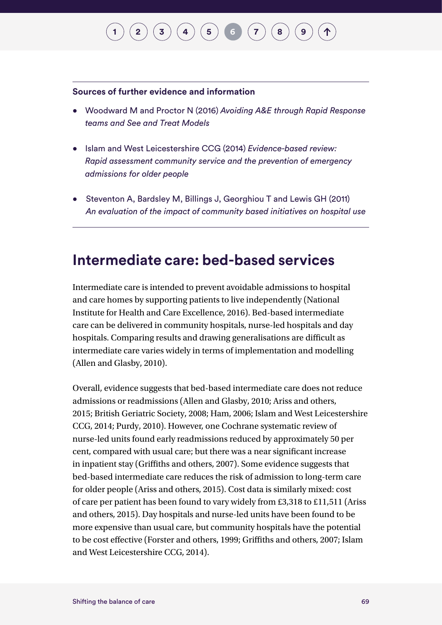#### **Sources of further evidence and information**

- Woodward M and Proctor N (2016) *Avoiding A&E through Rapid Response teams and See and Treat Models*
- Islam and West Leicestershire CCG (2014) *Evidence-based review: Rapid assessment community service and the prevention of emergency admissions for older people*
- Steventon A, Bardsley M, Billings J, Georghiou T and Lewis GH (2011) *An evaluation of the impact of community based initiatives on hospital use*

#### **Intermediate care: bed-based services**

Intermediate care is intended to prevent avoidable admissions to hospital and care homes by supporting patients to live independently (National Institute for Health and Care Excellence, 2016). Bed-based intermediate care can be delivered in community hospitals, nurse-led hospitals and day hospitals. Comparing results and drawing generalisations are difficult as intermediate care varies widely in terms of implementation and modelling (Allen and Glasby, 2010).

Overall, evidence suggests that bed-based intermediate care does not reduce admissions or readmissions (Allen and Glasby, 2010; Ariss and others, 2015; British Geriatric Society, 2008; Ham, 2006; Islam and West Leicestershire CCG, 2014; Purdy, 2010). However, one Cochrane systematic review of nurse-led units found early readmissions reduced by approximately 50 per cent, compared with usual care; but there was a near significant increase in inpatient stay (Griffiths and others, 2007). Some evidence suggests that bed-based intermediate care reduces the risk of admission to long-term care for older people (Ariss and others, 2015). Cost data is similarly mixed: cost of care per patient has been found to vary widely from £3,318 to £11,511 (Ariss and others, 2015). Day hospitals and nurse-led units have been found to be more expensive than usual care, but community hospitals have the potential to be cost effective (Forster and others, 1999; Griffiths and others, 2007; Islam and West Leicestershire CCG, 2014).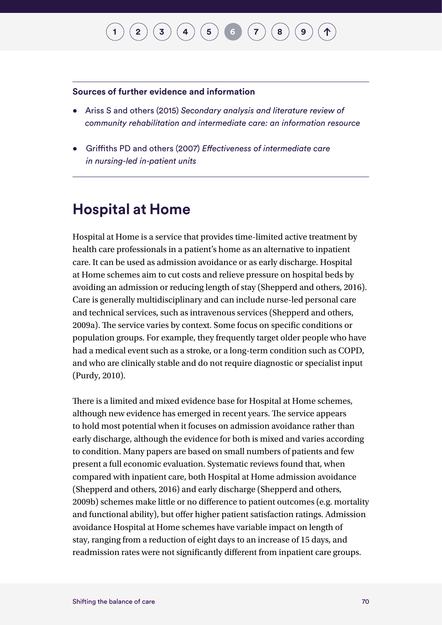#### **Sources of further evidence and information**

- Ariss S and others (2015) *Secondary analysis and literature review of community rehabilitation and intermediate care: an information resource*
- Griffiths PD and others (2007) *Effectiveness of intermediate care in nursing-led in-patient units*

### **Hospital at Home**

Hospital at Home is a service that provides time-limited active treatment by health care professionals in a patient's home as an alternative to inpatient care. It can be used as admission avoidance or as early discharge. Hospital at Home schemes aim to cut costs and relieve pressure on hospital beds by avoiding an admission or reducing length of stay (Shepperd and others, 2016). Care is generally multidisciplinary and can include nurse-led personal care and technical services, such as intravenous services (Shepperd and others, 2009a). The service varies by context. Some focus on specific conditions or population groups. For example, they frequently target older people who have had a medical event such as a stroke, or a long-term condition such as COPD, and who are clinically stable and do not require diagnostic or specialist input (Purdy, 2010).

There is a limited and mixed evidence base for Hospital at Home schemes, although new evidence has emerged in recent years. The service appears to hold most potential when it focuses on admission avoidance rather than early discharge, although the evidence for both is mixed and varies according to condition. Many papers are based on small numbers of patients and few present a full economic evaluation. Systematic reviews found that, when compared with inpatient care, both Hospital at Home admission avoidance (Shepperd and others, 2016) and early discharge (Shepperd and others, 2009b) schemes make little or no difference to patient outcomes (e.g. mortality and functional ability), but offer higher patient satisfaction ratings. Admission avoidance Hospital at Home schemes have variable impact on length of stay, ranging from a reduction of eight days to an increase of 15 days, and readmission rates were not significantly different from inpatient care groups.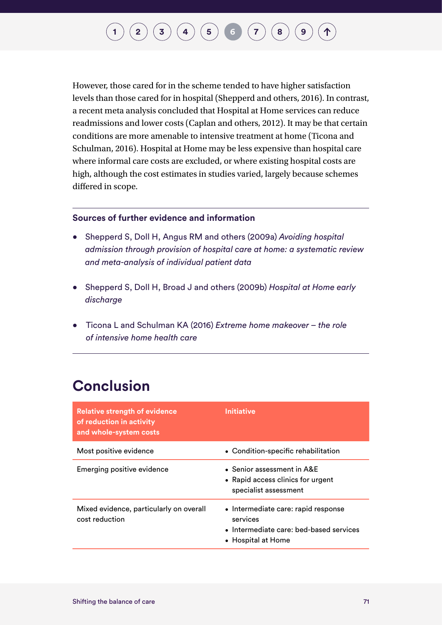## $\bf{(2)}\ \bf{(3)}\ \bf{(4)}\ \bf{(5)}\ \bf{(6)}\ \bf{(7)}\ \bf{(8)}\ \bf{(9)}$  $\bf{(2)}\ \bf{(3)}\ \bf{(4)}\ \bf{(5)}\ \bf{(6)}\ \bf{(7)}\ \bf{(8)}\ \bf{(9)}$  $\bf{(2)}\ \bf{(3)}\ \bf{(4)}\ \bf{(5)}\ \bf{(6)}\ \bf{(7)}\ \bf{(8)}\ \bf{(9)}$  $\bf{(2)}\ \bf{(3)}\ \bf{(4)}\ \bf{(5)}\ \bf{(6)}\ \bf{(7)}\ \bf{(8)}\ \bf{(9)}$  $\bf{(2)}\ \bf{(3)}\ \bf{(4)}\ \bf{(5)}\ \bf{(6)}\ \bf{(7)}\ \bf{(8)}\ \bf{(9)}$  $\bf{(2)}\ \bf{(3)}\ \bf{(4)}\ \bf{(5)}\ \bf{(6)}\ \bf{(7)}\ \bf{(8)}\ \bf{(9)}$  $\bf{(2)}\ \bf{(3)}\ \bf{(4)}\ \bf{(5)}\ \bf{(6)}\ \bf{(7)}\ \bf{(8)}\ \bf{(9)}$  $\bf{(2)}\ \bf{(3)}\ \bf{(4)}\ \bf{(5)}\ \bf{(6)}\ \bf{(7)}\ \bf{(8)}\ \bf{(9)}$  $\bf{(2)}\ \bf{(3)}\ \bf{(4)}\ \bf{(5)}\ \bf{(6)}\ \bf{(7)}\ \bf{(8)}\ \bf{(9)}$  $\bf{(2)}\ \bf{(3)}\ \bf{(4)}\ \bf{(5)}\ \bf{(6)}\ \bf{(7)}\ \bf{(8)}\ \bf{(9)}$  $\bf{(2)}\ \bf{(3)}\ \bf{(4)}\ \bf{(5)}\ \bf{(6)}\ \bf{(7)}\ \bf{(8)}\ \bf{(9)}$  $\bf{(2)}\ \bf{(3)}\ \bf{(4)}\ \bf{(5)}\ \bf{(6)}\ \bf{(7)}\ \bf{(8)}\ \bf{(9)}$  $\bf{(2)}\ \bf{(3)}\ \bf{(4)}\ \bf{(5)}\ \bf{(6)}\ \bf{(7)}\ \bf{(8)}\ \bf{(9)}$  $\bf{(2)}\ \bf{(3)}\ \bf{(4)}\ \bf{(5)}\ \bf{(6)}\ \bf{(7)}\ \bf{(8)}\ \bf{(9)}$  $\bf{(2)}\ \bf{(3)}\ \bf{(4)}\ \bf{(5)}\ \bf{(6)}\ \bf{(7)}\ \bf{(8)}\ \bf{(9)}$  $\bf{(2)}\ \bf{(3)}\ \bf{(4)}\ \bf{(5)}\ \bf{(6)}\ \bf{(7)}\ \bf{(8)}\ \bf{(9)}$  $\bf{(2)}\ \bf{(3)}\ \bf{(4)}\ \bf{(5)}\ \bf{(6)}\ \bf{(7)}\ \bf{(8)}\ \bf{(9)}$

However, those cared for in the scheme tended to have higher satisfaction levels than those cared for in hospital (Shepperd and others, 2016). In contrast, a recent meta analysis concluded that Hospital at Home services can reduce readmissions and lower costs (Caplan and others, 2012). It may be that certain conditions are more amenable to intensive treatment at home (Ticona and Schulman, 2016). Hospital at Home may be less expensive than hospital care where informal care costs are excluded, or where existing hospital costs are high, although the cost estimates in studies varied, largely because schemes differed in scope.

#### **Sources of further evidence and information**

- Shepperd S, Doll H, Angus RM and others (2009a) *Avoiding hospital admission through provision of hospital care at home: a systematic review and meta-analysis of individual patient data*
- Shepperd S, Doll H, Broad J and others (2009b) *Hospital at Home early discharge*
- Ticona L and Schulman KA (2016) *Extreme home makeover the role of intensive home health care*

#### **Conclusion**

| <b>Relative strength of evidence</b><br>of reduction in activity<br>and whole-system costs | Initiative                                                                                                       |
|--------------------------------------------------------------------------------------------|------------------------------------------------------------------------------------------------------------------|
| Most positive evidence                                                                     | • Condition-specific rehabilitation                                                                              |
| Emerging positive evidence                                                                 | • Senior assessment in A&E<br>• Rapid access clinics for urgent<br>specialist assessment                         |
| Mixed evidence, particularly on overall<br>cost reduction                                  | • Intermediate care: rapid response<br>services<br>• Intermediate care: bed-based services<br>• Hospital at Home |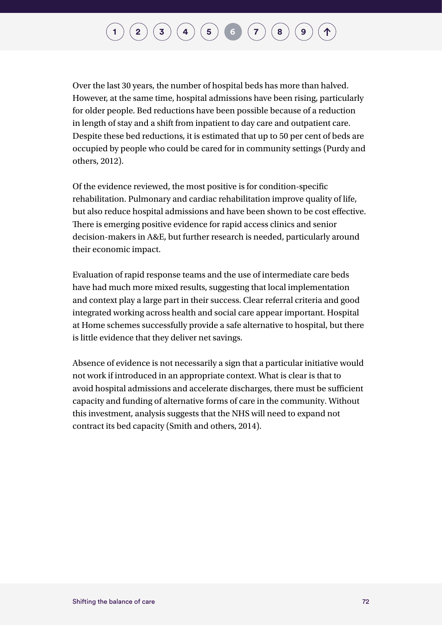Over the last 30 years, the number of hospital beds has more than halved. However, at the same time, hospital admissions have been rising, particularly for older people. Bed reductions have been possible because of a reduction in length of stay and a shift from inpatient to day care and outpatient care. Despite these bed reductions, it is estimated that up to 50 per cent of beds are occupied by people who could be cared for in community settings (Purdy and others, 2012).

Of the evidence reviewed, the most positive is for condition-specific rehabilitation. Pulmonary and cardiac rehabilitation improve quality of life, but also reduce hospital admissions and have been shown to be cost effective. There is emerging positive evidence for rapid access clinics and senior decision-makers in A&E, but further research is needed, particularly around their economic impact.

Evaluation of rapid response teams and the use of intermediate care beds have had much more mixed results, suggesting that local implementation and context play a large part in their success. Clear referral criteria and good integrated working across health and social care appear important. Hospital at Home schemes successfully provide a safe alternative to hospital, but there is little evidence that they deliver net savings.

Absence of evidence is not necessarily a sign that a particular initiative would not work if introduced in an appropriate context. What is clear is that to avoid hospital admissions and accelerate discharges, there must be sufficient capacity and funding of alternative forms of care in the community. Without this investment, analysis suggests that the NHS will need to expand not contract its bed capacity (Smith and others, 2014).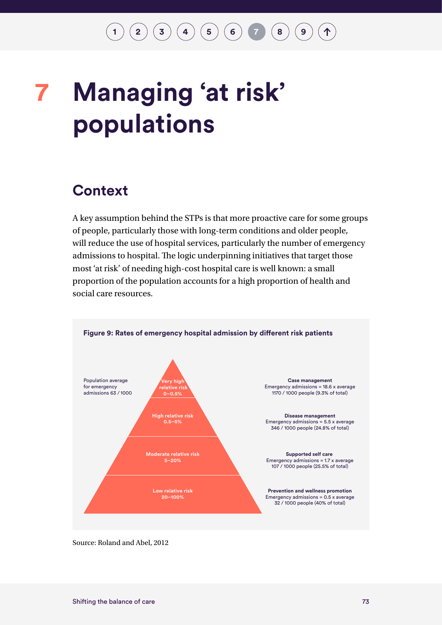# <span id="page-76-0"></span>**Managing 'at risk' 7populations**

#### **Context**

A key assumption behind the STPs is that more proactive care for some groups of people, particularly those with long-term conditions and older people, will reduce the use of hospital services, particularly the number of emergency admissions to hospital. The logic underpinning initiatives that target those most 'at risk' of needing high-cost hospital care is well known: a small proportion of the population accounts for a high proportion of health and social care resources.



Source: Roland and Abel, 2012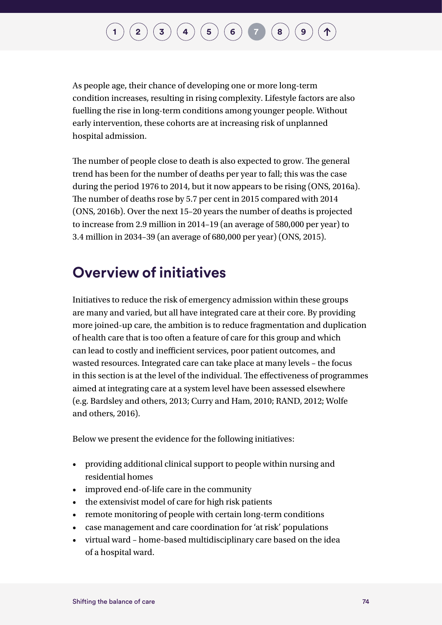As people age, their chance of developing one or more long-term condition increases, resulting in rising complexity. Lifestyle factors are also fuelling the rise in long-term conditions among younger people. Without early intervention, these cohorts are at increasing risk of unplanned hospital admission.

The number of people close to death is also expected to grow. The general trend has been for the number of deaths per year to fall; this was the case during the period 1976 to 2014, but it now appears to be rising (ONS, 2016a). The number of deaths rose by 5.7 per cent in 2015 compared with 2014 (ONS, 2016b). Over the next 15–20 years the number of deaths is projected to increase from 2.9 million in 2014–19 (an average of 580,000 per year) to 3.4 million in 2034–39 (an average of 680,000 per year) (ONS, 2015).

### **Overview of initiatives**

Initiatives to reduce the risk of emergency admission within these groups are many and varied, but all have integrated care at their core. By providing more joined-up care, the ambition is to reduce fragmentation and duplication of health care that is too often a feature of care for this group and which can lead to costly and inefficient services, poor patient outcomes, and wasted resources. Integrated care can take place at many levels – the focus in this section is at the level of the individual. The effectiveness of programmes aimed at integrating care at a system level have been assessed elsewhere (e.g. Bardsley and others, 2013; Curry and Ham, 2010; RAND, 2012; Wolfe and others, 2016).

Below we present the evidence for the following initiatives:

- providing additional clinical support to people within nursing and residential homes
- improved end-of-life care in the community
- the extensivist model of care for high risk patients
- remote monitoring of people with certain long-term conditions
- case management and care coordination for 'at risk' populations
- virtual ward home-based multidisciplinary care based on the idea of a hospital ward.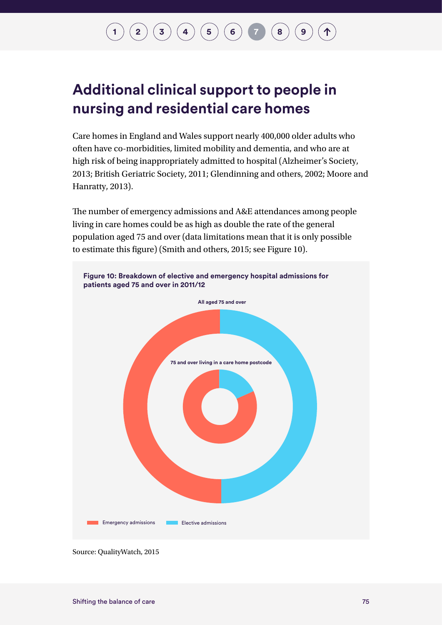### **Additional clinical support to people in nursing and residential care homes**

Care homes in England and Wales support nearly 400,000 older adults who often have co-morbidities, limited mobility and dementia, and who are at high risk of being inappropriately admitted to hospital (Alzheimer's Society, 2013; British Geriatric Society, 2011; Glendinning and others, 2002; Moore and Hanratty, 2013).

The number of emergency admissions and A&E attendances among people living in care homes could be as high as double the rate of the general population aged 75 and over (data limitations mean that it is only possible to estimate this figure) (Smith and others, 2015; see Figure 10).



Source: QualityWatch, 2015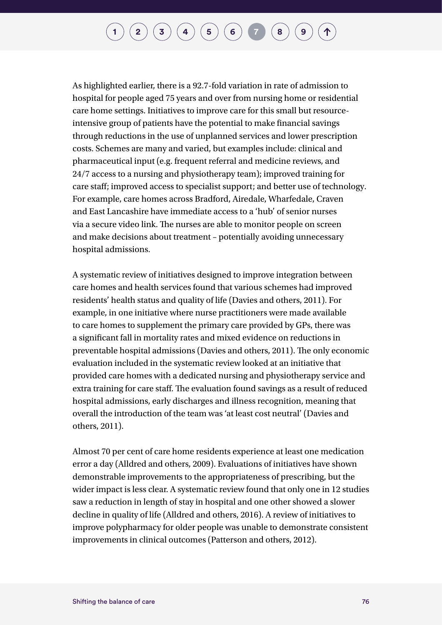As highlighted earlier, there is a 92.7-fold variation in rate of admission to hospital for people aged 75 years and over from nursing home or residential care home settings. Initiatives to improve care for this small but resourceintensive group of patients have the potential to make financial savings through reductions in the use of unplanned services and lower prescription costs. Schemes are many and varied, but examples include: clinical and pharmaceutical input (e.g. frequent referral and medicine reviews, and 24/7 access to a nursing and physiotherapy team); improved training for care staff; improved access to specialist support; and better use of technology. For example, care homes across Bradford, Airedale, Wharfedale, Craven and East Lancashire have immediate access to a 'hub' of senior nurses via a secure video link. The nurses are able to monitor people on screen and make decisions about treatment – potentially avoiding unnecessary hospital admissions.

A systematic review of initiatives designed to improve integration between care homes and health services found that various schemes had improved residents' health status and quality of life (Davies and others, 2011). For example, in one initiative where nurse practitioners were made available to care homes to supplement the primary care provided by GPs, there was a significant fall in mortality rates and mixed evidence on reductions in preventable hospital admissions (Davies and others, 2011). The only economic evaluation included in the systematic review looked at an initiative that provided care homes with a dedicated nursing and physiotherapy service and extra training for care staff. The evaluation found savings as a result of reduced hospital admissions, early discharges and illness recognition, meaning that overall the introduction of the team was 'at least cost neutral' (Davies and others, 2011).

Almost 70 per cent of care home residents experience at least one medication error a day (Alldred and others, 2009). Evaluations of initiatives have shown demonstrable improvements to the appropriateness of prescribing, but the wider impact is less clear. A systematic review found that only one in 12 studies saw a reduction in length of stay in hospital and one other showed a slower decline in quality of life (Alldred and others, 2016). A review of initiatives to improve polypharmacy for older people was unable to demonstrate consistent improvements in clinical outcomes (Patterson and others, 2012).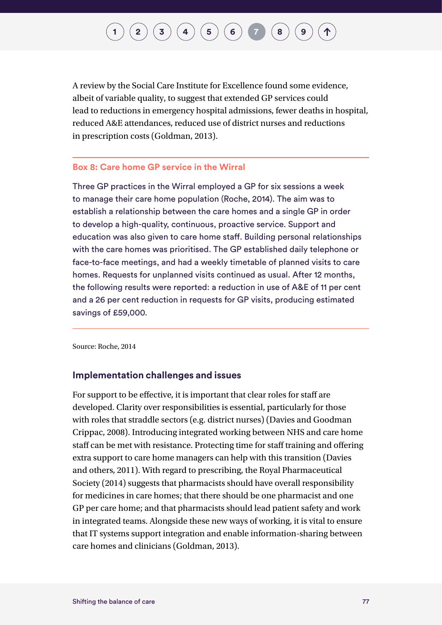A review by the Social Care Institute for Excellence found some evidence, albeit of variable quality, to suggest that extended GP services could lead to reductions in emergency hospital admissions, fewer deaths in hospital, reduced A&E attendances, reduced use of district nurses and reductions in prescription costs (Goldman, 2013).

#### **Box 8: Care home GP service in the Wirral**

Three GP practices in the Wirral employed a GP for six sessions a week to manage their care home population (Roche, 2014). The aim was to establish a relationship between the care homes and a single GP in order to develop a high-quality, continuous, proactive service. Support and education was also given to care home staff. Building personal relationships with the care homes was prioritised. The GP established daily telephone or face-to-face meetings, and had a weekly timetable of planned visits to care homes. Requests for unplanned visits continued as usual. After 12 months, the following results were reported: a reduction in use of A&E of 11 per cent and a 26 per cent reduction in requests for GP visits, producing estimated savings of £59,000.

Source: Roche, 2014

#### **Implementation challenges and issues**

For support to be effective, it is important that clear roles for staff are developed. Clarity over responsibilities is essential, particularly for those with roles that straddle sectors (e.g. district nurses) (Davies and Goodman Crippac, 2008). Introducing integrated working between NHS and care home staff can be met with resistance. Protecting time for staff training and offering extra support to care home managers can help with this transition (Davies and others, 2011). With regard to prescribing, the Royal Pharmaceutical Society (2014) suggests that pharmacists should have overall responsibility for medicines in care homes; that there should be one pharmacist and one GP per care home; and that pharmacists should lead patient safety and work in integrated teams. Alongside these new ways of working, it is vital to ensure that IT systems support integration and enable information-sharing between care homes and clinicians (Goldman, 2013).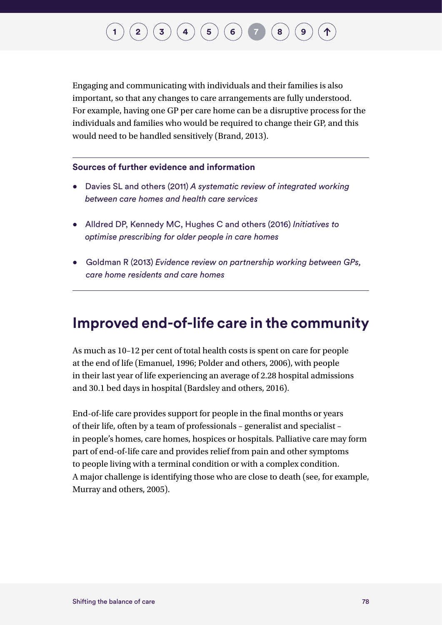Engaging and communicating with individuals and their families is also important, so that any changes to care arrangements are fully understood. For example, having one GP per care home can be a disruptive process for the individuals and families who would be required to change their GP, and this would need to be handled sensitively (Brand, 2013).

#### **Sources of further evidence and information**

- Davies SL and others (2011) *A systematic review of integrated working between care homes and health care services*
- Alldred DP, Kennedy MC, Hughes C and others (2016) *Initiatives to optimise prescribing for older people in care homes*
- Goldman R (2013) *Evidence review on partnership working between GPs, care home residents and care homes*

#### **Improved end-of-life care in the community**

As much as 10–12 per cent of total health costs is spent on care for people at the end of life (Emanuel, 1996; Polder and others, 2006), with people in their last year of life experiencing an average of 2.28 hospital admissions and 30.1 bed days in hospital (Bardsley and others, 2016).

End-of-life care provides support for people in the final months or years of their life, often by a team of professionals – generalist and specialist – in people's homes, care homes, hospices or hospitals. Palliative care may form part of end-of-life care and provides relief from pain and other symptoms to people living with a terminal condition or with a complex condition. A major challenge is identifying those who are close to death (see, for example, Murray and others, 2005).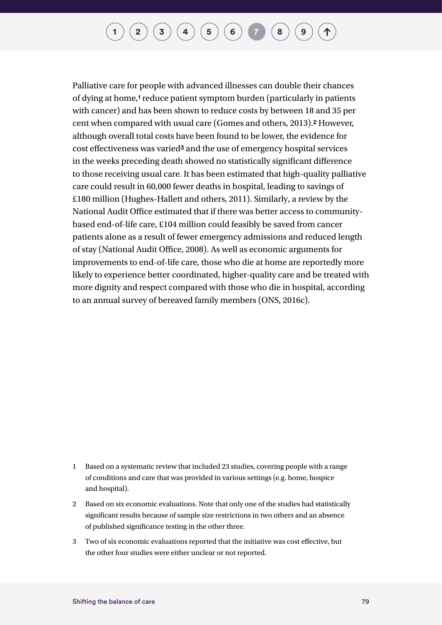Palliative care for people with advanced illnesses can double their chances of dying at home,**1** reduce patient symptom burden (particularly in patients with cancer) and has been shown to reduce costs by between 18 and 35 per cent when compared with usual care (Gomes and others, 2013).**2** However, although overall total costs have been found to be lower, the evidence for cost effectiveness was varied**3** and the use of emergency hospital services in the weeks preceding death showed no statistically significant difference to those receiving usual care. It has been estimated that high-quality palliative care could result in 60,000 fewer deaths in hospital, leading to savings of £180 million (Hughes-Hallett and others, 2011). Similarly, a review by the National Audit Office estimated that if there was better access to communitybased end-of-life care, £104 million could feasibly be saved from cancer patients alone as a result of fewer emergency admissions and reduced length of stay (National Audit Office, 2008). As well as economic arguments for improvements to end-of-life care, those who die at home are reportedly more likely to experience better coordinated, higher-quality care and be treated with more dignity and respect compared with those who die in hospital, according to an annual survey of bereaved family members (ONS, 2016c).

- 1 Based on a systematic review that included 23 studies, covering people with a range of conditions and care that was provided in various settings (e.g. home, hospice and hospital).
- 2 Based on six economic evaluations. Note that only one of the studies had statistically significant results because of sample size restrictions in two others and an absence of published significance testing in the other three.
- 3 Two of six economic evaluations reported that the initiative was cost effective, but the other four studies were either unclear or not reported.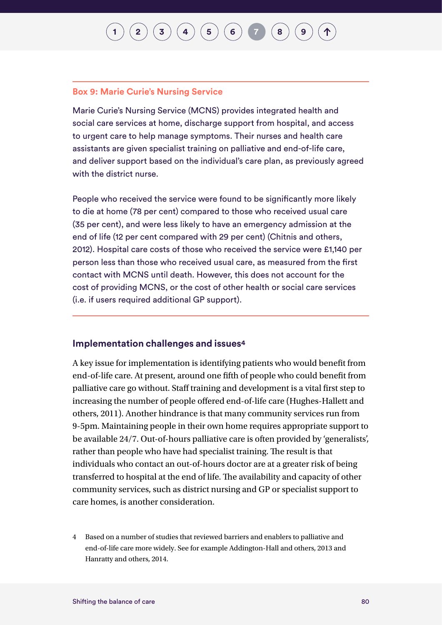## **[1](#page-7-0) [2](#page-10-0)**  $\left( \frac{1}{2} \right) \left( \frac{1}{2} \right) \left( \frac{1}{4} \right) \left( \frac{1}{2} \right) \left( \frac{1}{2} \right) \left( \frac{1}{2} \right) \left( \frac{1}{2} \right)$  $\left( \frac{1}{2} \right) \left( \frac{1}{2} \right) \left( \frac{1}{4} \right) \left( \frac{1}{2} \right) \left( \frac{1}{2} \right) \left( \frac{1}{2} \right) \left( \frac{1}{2} \right)$  $\left( \frac{1}{2} \right) \left( \frac{1}{2} \right) \left( \frac{1}{4} \right) \left( \frac{1}{2} \right) \left( \frac{1}{2} \right) \left( \frac{1}{2} \right) \left( \frac{1}{2} \right)$

#### **Box 9: Marie Curie's Nursing Service**

Marie Curie's Nursing Service (MCNS) provides integrated health and social care services at home, discharge support from hospital, and access to urgent care to help manage symptoms. Their nurses and health care assistants are given specialist training on palliative and end-of-life care, and deliver support based on the individual's care plan, as previously agreed with the district nurse.

People who received the service were found to be significantly more likely to die at home (78 per cent) compared to those who received usual care (35 per cent), and were less likely to have an emergency admission at the end of life (12 per cent compared with 29 per cent) (Chitnis and others, 2012). Hospital care costs of those who received the service were £1,140 per person less than those who received usual care, as measured from the first contact with MCNS until death. However, this does not account for the cost of providing MCNS, or the cost of other health or social care services (i.e. if users required additional GP support).

#### **Implementation challenges and issues4**

A key issue for implementation is identifying patients who would benefit from end-of-life care. At present, around one fifth of people who could benefit from palliative care go without. Staff training and development is a vital first step to increasing the number of people offered end-of-life care (Hughes-Hallett and others, 2011). Another hindrance is that many community services run from 9-5pm. Maintaining people in their own home requires appropriate support to be available 24/7. Out-of-hours palliative care is often provided by 'generalists', rather than people who have had specialist training. The result is that individuals who contact an out-of-hours doctor are at a greater risk of being transferred to hospital at the end of life. The availability and capacity of other community services, such as district nursing and GP or specialist support to care homes, is another consideration.

4 Based on a number of studies that reviewed barriers and enablers to palliative and end-of-life care more widely. See for example Addington-Hall and others, 2013 and Hanratty and others, 2014.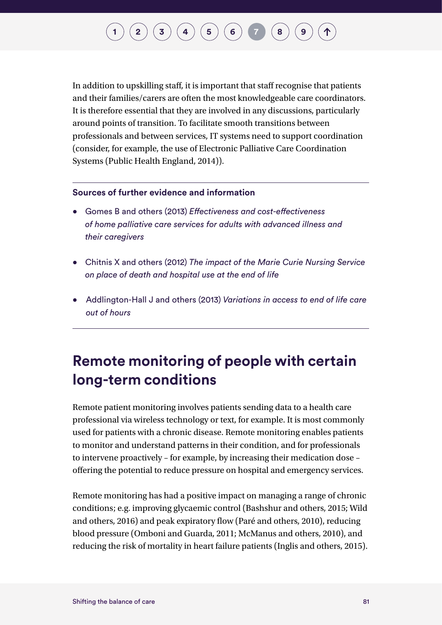In addition to upskilling staff, it is important that staff recognise that patients and their families/carers are often the most knowledgeable care coordinators. It is therefore essential that they are involved in any discussions, particularly around points of transition. To facilitate smooth transitions between professionals and between services, IT systems need to support coordination (consider, for example, the use of Electronic Palliative Care Coordination Systems (Public Health England, 2014)).

#### **Sources of further evidence and information**

- Gomes B and others (2013) *Effectiveness and cost-effectiveness of home palliative care services for adults with advanced illness and their caregivers*
- Chitnis X and others (2012) *The impact of the Marie Curie Nursing Service on place of death and hospital use at the end of life*
- Addlington-Hall J and others (2013) *Variations in access to end of life care out of hours*

### **Remote monitoring of people with certain long-term conditions**

Remote patient monitoring involves patients sending data to a health care professional via wireless technology or text, for example. It is most commonly used for patients with a chronic disease. Remote monitoring enables patients to monitor and understand patterns in their condition, and for professionals to intervene proactively – for example, by increasing their medication dose – offering the potential to reduce pressure on hospital and emergency services.

Remote monitoring has had a positive impact on managing a range of chronic conditions; e.g. improving glycaemic control (Bashshur and others, 2015; Wild and others, 2016) and peak expiratory flow (Paré and others, 2010), reducing blood pressure (Omboni and Guarda, 2011; McManus and others, 2010), and reducing the risk of mortality in heart failure patients (Inglis and others, 2015).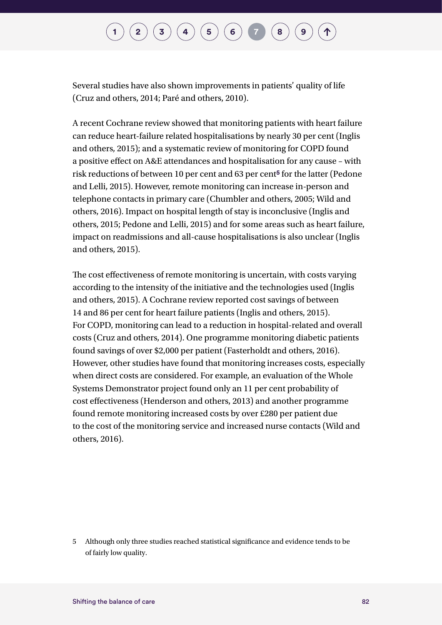Several studies have also shown improvements in patients' quality of life (Cruz and others, 2014; Paré and others, 2010).

A recent Cochrane review showed that monitoring patients with heart failure can reduce heart-failure related hospitalisations by nearly 30 per cent (Inglis and others, 2015); and a systematic review of monitoring for COPD found a positive effect on A&E attendances and hospitalisation for any cause – with risk reductions of between 10 per cent and 63 per cent**5** for the latter (Pedone and Lelli, 2015). However, remote monitoring can increase in-person and telephone contacts in primary care (Chumbler and others, 2005; Wild and others, 2016). Impact on hospital length of stay is inconclusive (Inglis and others, 2015; Pedone and Lelli, 2015) and for some areas such as heart failure, impact on readmissions and all-cause hospitalisations is also unclear (Inglis and others, 2015).

The cost effectiveness of remote monitoring is uncertain, with costs varying according to the intensity of the initiative and the technologies used (Inglis and others, 2015). A Cochrane review reported cost savings of between 14 and 86 per cent for heart failure patients (Inglis and others, 2015). For COPD, monitoring can lead to a reduction in hospital-related and overall costs (Cruz and others, 2014). One programme monitoring diabetic patients found savings of over \$2,000 per patient (Fasterholdt and others, 2016). However, other studies have found that monitoring increases costs, especially when direct costs are considered. For example, an evaluation of the Whole Systems Demonstrator project found only an 11 per cent probability of cost effectiveness (Henderson and others, 2013) and another programme found remote monitoring increased costs by over £280 per patient due to the cost of the monitoring service and increased nurse contacts (Wild and others, 2016).

5 Although only three studies reached statistical significance and evidence tends to be of fairly low quality.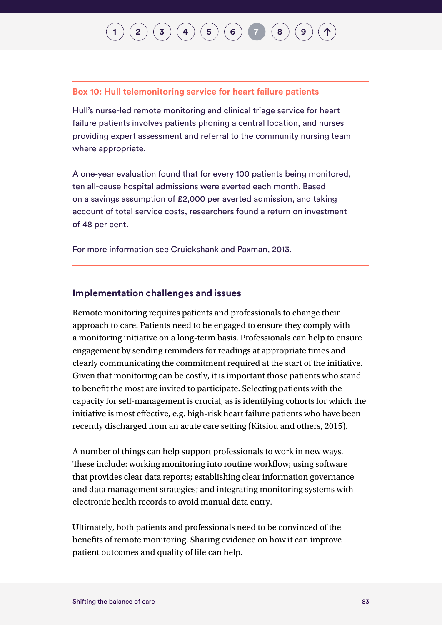## $\binom{2}{\frac{3}{4}} \binom{4}{5} \binom{5}{6} \binom{7}{7} \binom{8}{8}$  $\binom{2}{\frac{3}{4}} \binom{4}{5} \binom{5}{6} \binom{7}{7} \binom{8}{8}$  $\binom{2}{\frac{3}{4}} \binom{4}{5} \binom{5}{6} \binom{7}{7} \binom{8}{8}$  $\binom{2}{\frac{3}{4}} \binom{4}{5} \binom{5}{6} \binom{7}{7} \binom{8}{8}$  $\binom{2}{\frac{3}{4}} \binom{4}{5} \binom{5}{6} \binom{7}{7} \binom{8}{8}$  $\binom{2}{\frac{3}{4}} \binom{4}{5} \binom{5}{6} \binom{7}{7} \binom{8}{8}$  $\binom{2}{\frac{3}{4}} \binom{4}{5} \binom{5}{6} \binom{7}{7} \binom{8}{8}$  $\binom{2}{\frac{3}{4}} \binom{4}{5} \binom{5}{6} \binom{7}{7} \binom{8}{8}$  $\binom{2}{\frac{3}{4}} \binom{4}{5} \binom{5}{6} \binom{7}{7} \binom{8}{8}$  $\binom{2}{\frac{3}{4}} \binom{4}{5} \binom{5}{6} \binom{7}{7} \binom{8}{8}$  $\binom{2}{\frac{3}{4}} \binom{4}{5} \binom{5}{6} \binom{7}{7} \binom{8}{8}$  $\binom{2}{\frac{3}{4}} \binom{4}{5} \binom{5}{6} \binom{7}{7} \binom{8}{8}$  $\binom{2}{\frac{3}{4}} \binom{4}{5} \binom{5}{6} \binom{7}{7} \binom{8}{8}$  $\binom{2}{\frac{3}{4}} \binom{4}{5} \binom{5}{6} \binom{7}{7} \binom{8}{8}$  $\binom{2}{\frac{3}{4}} \binom{4}{5} \binom{5}{6} \binom{7}{7} \binom{8}{8}$

#### **Box 10: Hull telemonitoring service for heart failure patients**

Hull's nurse-led remote monitoring and clinical triage service for heart failure patients involves patients phoning a central location, and nurses providing expert assessment and referral to the community nursing team where appropriate.

A one-year evaluation found that for every 100 patients being monitored, ten all-cause hospital admissions were averted each month. Based on a savings assumption of £2,000 per averted admission, and taking account of total service costs, researchers found a return on investment of 48 per cent.

For more information see Cruickshank and Paxman, 2013.

#### **Implementation challenges and issues**

Remote monitoring requires patients and professionals to change their approach to care. Patients need to be engaged to ensure they comply with a monitoring initiative on a long-term basis. Professionals can help to ensure engagement by sending reminders for readings at appropriate times and clearly communicating the commitment required at the start of the initiative. Given that monitoring can be costly, it is important those patients who stand to benefit the most are invited to participate. Selecting patients with the capacity for self-management is crucial, as is identifying cohorts for which the initiative is most effective, e.g. high-risk heart failure patients who have been recently discharged from an acute care setting (Kitsiou and others, 2015).

A number of things can help support professionals to work in new ways. These include: working monitoring into routine workflow; using software that provides clear data reports; establishing clear information governance and data management strategies; and integrating monitoring systems with electronic health records to avoid manual data entry.

Ultimately, both patients and professionals need to be convinced of the benefits of remote monitoring. Sharing evidence on how it can improve patient outcomes and quality of life can help.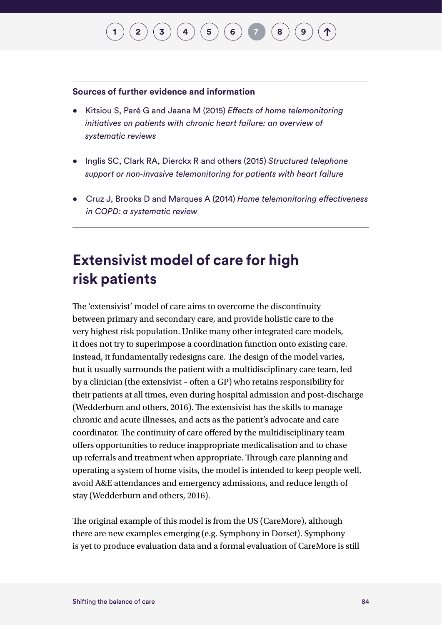## $\binom{1}{2}\binom{3}{4}\binom{4}{5}\binom{5}{6}\binom{7}{7}\binom{8}{8}$  $\binom{1}{2}\binom{3}{4}\binom{4}{5}\binom{5}{6}\binom{7}{7}\binom{8}{8}$  $\binom{1}{2}\binom{3}{4}\binom{4}{5}\binom{5}{6}\binom{7}{7}\binom{8}{8}$  $\binom{1}{2}\binom{3}{4}\binom{4}{5}\binom{5}{6}\binom{7}{7}\binom{8}{8}$  $\binom{1}{2}\binom{3}{4}\binom{4}{5}\binom{5}{6}\binom{7}{7}\binom{8}{8}$  $\binom{1}{2}\binom{3}{4}\binom{4}{5}\binom{5}{6}\binom{7}{7}\binom{8}{8}$  $\binom{1}{2}\binom{3}{4}\binom{4}{5}\binom{5}{6}\binom{7}{7}\binom{8}{8}$  $\binom{1}{2}\binom{3}{4}\binom{4}{5}\binom{5}{6}\binom{7}{7}\binom{8}{8}$  $\binom{1}{2}\binom{3}{4}\binom{4}{5}\binom{5}{6}\binom{7}{7}\binom{8}{8}$  $\binom{1}{2}\binom{3}{4}\binom{4}{5}\binom{5}{6}\binom{7}{7}\binom{8}{8}$  $\binom{1}{2}\binom{3}{4}\binom{4}{5}\binom{5}{6}\binom{7}{7}\binom{8}{8}$  $\binom{1}{2}\binom{3}{4}\binom{4}{5}\binom{5}{6}\binom{7}{7}\binom{8}{8}$  $\binom{1}{2}\binom{3}{4}\binom{4}{5}\binom{5}{6}\binom{7}{7}\binom{8}{8}$  $\binom{1}{2}\binom{3}{4}\binom{4}{5}\binom{5}{6}\binom{7}{7}\binom{8}{8}$  $\binom{1}{2}\binom{3}{4}\binom{4}{5}\binom{5}{6}\binom{7}{7}\binom{8}{8}$  $\binom{1}{2}\binom{3}{4}\binom{4}{5}\binom{5}{6}\binom{7}{7}\binom{8}{8}$  $\binom{1}{2}\binom{3}{4}\binom{4}{5}\binom{5}{6}\binom{7}{7}\binom{8}{8}$

#### **Sources of further evidence and information**

- Kitsiou S, Paré G and Jaana M (2015) *Effects of home telemonitoring initiatives on patients with chronic heart failure: an overview of systematic reviews*
- Inglis SC, Clark RA, Dierckx R and others (2015) *Structured telephone support or non-invasive telemonitoring for patients with heart failure*
- Cruz J, Brooks D and Marques A (2014) *Home telemonitoring effectiveness in COPD: a systematic review*

### **Extensivist model of care for high risk patients**

The 'extensivist' model of care aims to overcome the discontinuity between primary and secondary care, and provide holistic care to the very highest risk population. Unlike many other integrated care models, it does not try to superimpose a coordination function onto existing care. Instead, it fundamentally redesigns care. The design of the model varies, but it usually surrounds the patient with a multidisciplinary care team, led by a clinician (the extensivist – often a GP) who retains responsibility for their patients at all times, even during hospital admission and post-discharge (Wedderburn and others, 2016). The extensivist has the skills to manage chronic and acute illnesses, and acts as the patient's advocate and care coordinator. The continuity of care offered by the multidisciplinary team offers opportunities to reduce inappropriate medicalisation and to chase up referrals and treatment when appropriate. Through care planning and operating a system of home visits, the model is intended to keep people well, avoid A&E attendances and emergency admissions, and reduce length of stay (Wedderburn and others, 2016).

The original example of this model is from the US (CareMore), although there are new examples emerging (e.g. Symphony in Dorset). Symphony is yet to produce evaluation data and a formal evaluation of CareMore is still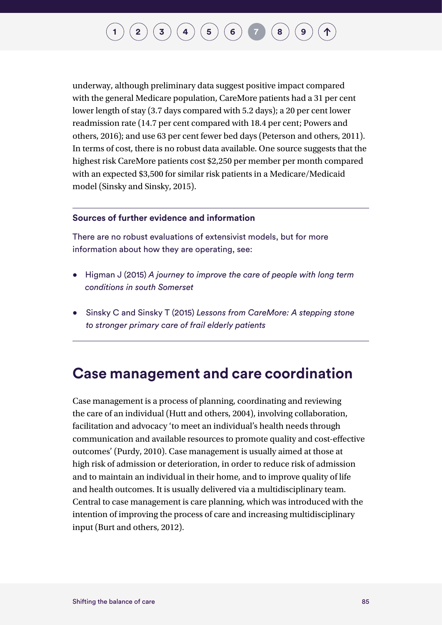underway, although preliminary data suggest positive impact compared with the general Medicare population, CareMore patients had a 31 per cent lower length of stay (3.7 days compared with 5.2 days); a 20 per cent lower readmission rate (14.7 per cent compared with 18.4 per cent; Powers and others, 2016); and use 63 per cent fewer bed days (Peterson and others, 2011). In terms of cost, there is no robust data available. One source suggests that the highest risk CareMore patients cost \$2,250 per member per month compared with an expected \$3,500 for similar risk patients in a Medicare/Medicaid model (Sinsky and Sinsky, 2015).

#### **Sources of further evidence and information**

There are no robust evaluations of extensivist models, but for more information about how they are operating, see:

- Higman J (2015) *A journey to improve the care of people with long term conditions in south Somerset*
- Sinsky C and Sinsky T (2015) *Lessons from CareMore: A stepping stone to stronger primary care of frail elderly patients*

#### **Case management and care coordination**

Case management is a process of planning, coordinating and reviewing the care of an individual (Hutt and others, 2004), involving collaboration, facilitation and advocacy 'to meet an individual's health needs through communication and available resources to promote quality and cost-effective outcomes' (Purdy, 2010). Case management is usually aimed at those at high risk of admission or deterioration, in order to reduce risk of admission and to maintain an individual in their home, and to improve quality of life and health outcomes. It is usually delivered via a multidisciplinary team. Central to case management is care planning, which was introduced with the intention of improving the process of care and increasing multidisciplinary input (Burt and others, 2012).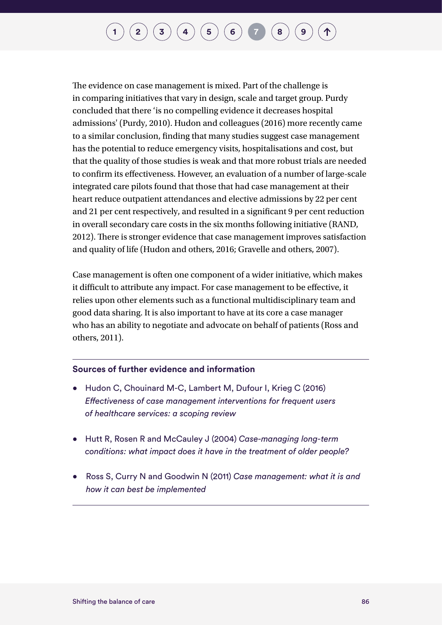The evidence on case management is mixed. Part of the challenge is in comparing initiatives that vary in design, scale and target group. Purdy concluded that there 'is no compelling evidence it decreases hospital admissions' (Purdy, 2010). Hudon and colleagues (2016) more recently came to a similar conclusion, finding that many studies suggest case management has the potential to reduce emergency visits, hospitalisations and cost, but that the quality of those studies is weak and that more robust trials are needed to confirm its effectiveness. However, an evaluation of a number of large-scale integrated care pilots found that those that had case management at their heart reduce outpatient attendances and elective admissions by 22 per cent and 21 per cent respectively, and resulted in a significant 9 per cent reduction in overall secondary care costs in the six months following initiative (RAND, 2012). There is stronger evidence that case management improves satisfaction and quality of life (Hudon and others, 2016; Gravelle and others, 2007).

Case management is often one component of a wider initiative, which makes it difficult to attribute any impact. For case management to be effective, it relies upon other elements such as a functional multidisciplinary team and good data sharing. It is also important to have at its core a case manager who has an ability to negotiate and advocate on behalf of patients (Ross and others, 2011).

#### **Sources of further evidence and information**

- Hudon C, Chouinard M-C, Lambert M, Dufour I, Krieg C (2016) *Effectiveness of case management interventions for frequent users of healthcare services: a scoping review*
- Hutt R, Rosen R and McCauley J (2004) *Case-managing long-term conditions: what impact does it have in the treatment of older people?*
- Ross S, Curry N and Goodwin N (2011) *Case management: what it is and how it can best be implemented*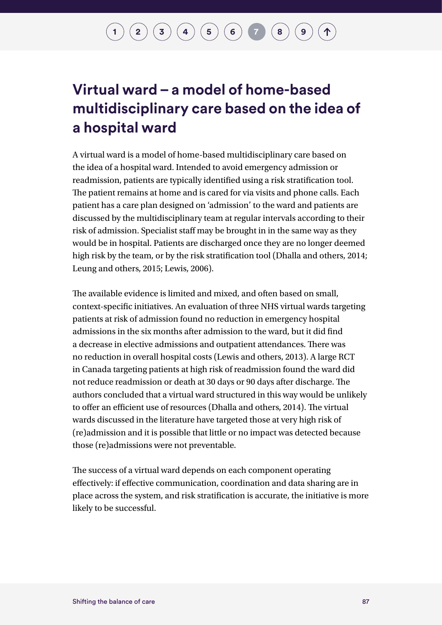### **Virtual ward – a model of home-based multidisciplinary care based on the idea of a hospital ward**

A virtual ward is a model of home-based multidisciplinary care based on the idea of a hospital ward. Intended to avoid emergency admission or readmission, patients are typically identified using a risk stratification tool. The patient remains at home and is cared for via visits and phone calls. Each patient has a care plan designed on 'admission' to the ward and patients are discussed by the multidisciplinary team at regular intervals according to their risk of admission. Specialist staff may be brought in in the same way as they would be in hospital. Patients are discharged once they are no longer deemed high risk by the team, or by the risk stratification tool (Dhalla and others, 2014; Leung and others, 2015; Lewis, 2006).

The available evidence is limited and mixed, and often based on small, context-specific initiatives. An evaluation of three NHS virtual wards targeting patients at risk of admission found no reduction in emergency hospital admissions in the six months after admission to the ward, but it did find a decrease in elective admissions and outpatient attendances. There was no reduction in overall hospital costs (Lewis and others, 2013). A large RCT in Canada targeting patients at high risk of readmission found the ward did not reduce readmission or death at 30 days or 90 days after discharge. The authors concluded that a virtual ward structured in this way would be unlikely to offer an efficient use of resources (Dhalla and others, 2014). The virtual wards discussed in the literature have targeted those at very high risk of (re)admission and it is possible that little or no impact was detected because those (re)admissions were not preventable.

The success of a virtual ward depends on each component operating effectively: if effective communication, coordination and data sharing are in place across the system, and risk stratification is accurate, the initiative is more likely to be successful.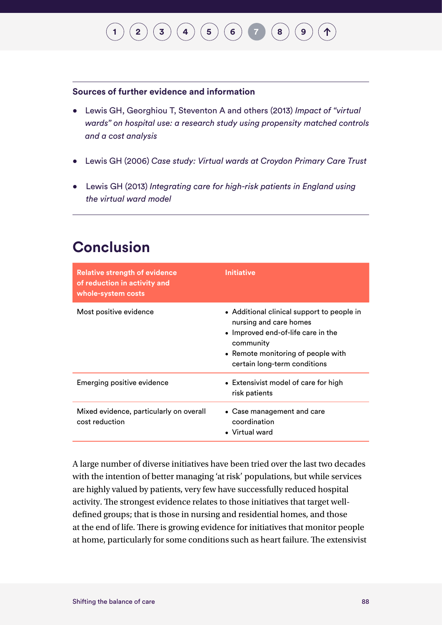#### **Sources of further evidence and information**

- Lewis GH, Georghiou T, Steventon A and others (2013) *Impact of "virtual wards" on hospital use: a research study using propensity matched controls and a cost analysis*
- Lewis GH (2006) *Case study: Virtual wards at Croydon Primary Care Trust*
- Lewis GH (2013) *Integrating care for high-risk patients in England using the virtual ward model*

### **Conclusion**

| <b>Relative strength of evidence</b><br>of reduction in activity and<br>whole-system costs | <b>Initiative</b>                                                                                                                                                                             |
|--------------------------------------------------------------------------------------------|-----------------------------------------------------------------------------------------------------------------------------------------------------------------------------------------------|
| Most positive evidence                                                                     | • Additional clinical support to people in<br>nursing and care homes<br>• Improved end-of-life care in the<br>community<br>• Remote monitoring of people with<br>certain long-term conditions |
| Emerging positive evidence                                                                 | • Extensivist model of care for high<br>risk patients                                                                                                                                         |
| Mixed evidence, particularly on overall<br>cost reduction                                  | • Case management and care<br>coordination<br>• Virtual ward                                                                                                                                  |

A large number of diverse initiatives have been tried over the last two decades with the intention of better managing 'at risk' populations, but while services are highly valued by patients, very few have successfully reduced hospital activity. The strongest evidence relates to those initiatives that target welldefined groups; that is those in nursing and residential homes, and those at the end of life. There is growing evidence for initiatives that monitor people at home, particularly for some conditions such as heart failure. The extensivist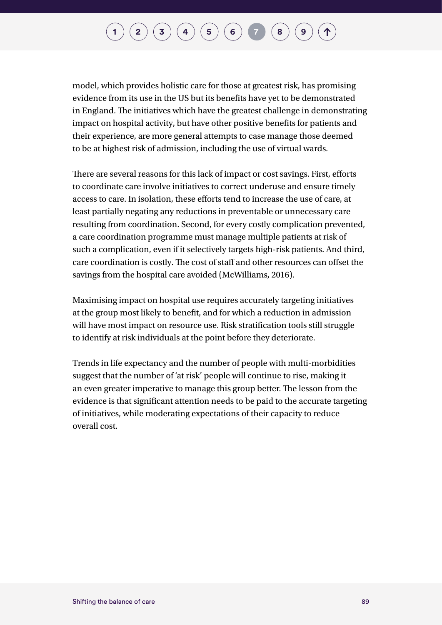## $\binom{1}{2}\binom{3}{4}\binom{4}{5}\binom{5}{6}\binom{7}{7}\binom{8}{8}$  $\binom{1}{2}\binom{3}{4}\binom{4}{5}\binom{5}{6}\binom{7}{7}\binom{8}{8}$  $\binom{1}{2}\binom{3}{4}\binom{4}{5}\binom{5}{6}\binom{7}{7}\binom{8}{8}$  $\binom{1}{2}\binom{3}{4}\binom{4}{5}\binom{5}{6}\binom{7}{7}\binom{8}{8}$  $\binom{1}{2}\binom{3}{4}\binom{4}{5}\binom{5}{6}\binom{7}{7}\binom{8}{8}$  $\binom{1}{2}\binom{3}{4}\binom{4}{5}\binom{5}{6}\binom{7}{7}\binom{8}{8}$  $\binom{1}{2}\binom{3}{4}\binom{4}{5}\binom{5}{6}\binom{7}{7}\binom{8}{8}$  $\binom{1}{2}\binom{3}{4}\binom{4}{5}\binom{5}{6}\binom{7}{7}\binom{8}{8}$  $\binom{1}{2}\binom{3}{4}\binom{4}{5}\binom{5}{6}\binom{7}{7}\binom{8}{8}$  $\binom{1}{2}\binom{3}{4}\binom{4}{5}\binom{5}{6}\binom{7}{7}\binom{8}{8}$  $\binom{1}{2}\binom{3}{4}\binom{4}{5}\binom{5}{6}\binom{7}{7}\binom{8}{8}$  $\binom{1}{2}\binom{3}{4}\binom{4}{5}\binom{5}{6}\binom{7}{7}\binom{8}{8}$  $\binom{1}{2}\binom{3}{4}\binom{4}{5}\binom{5}{6}\binom{7}{7}\binom{8}{8}$  $\binom{1}{2}\binom{3}{4}\binom{4}{5}\binom{5}{6}\binom{7}{7}\binom{8}{8}$  $\binom{1}{2}\binom{3}{4}\binom{4}{5}\binom{5}{6}\binom{7}{7}\binom{8}{8}$  $\binom{1}{2}\binom{3}{4}\binom{4}{5}\binom{5}{6}\binom{7}{7}\binom{8}{8}$  $\binom{1}{2}\binom{3}{4}\binom{4}{5}\binom{5}{6}\binom{7}{7}\binom{8}{8}$

model, which provides holistic care for those at greatest risk, has promising evidence from its use in the US but its benefits have yet to be demonstrated in England. The initiatives which have the greatest challenge in demonstrating impact on hospital activity, but have other positive benefits for patients and their experience, are more general attempts to case manage those deemed to be at highest risk of admission, including the use of virtual wards.

There are several reasons for this lack of impact or cost savings. First, efforts to coordinate care involve initiatives to correct underuse and ensure timely access to care. In isolation, these efforts tend to increase the use of care, at least partially negating any reductions in preventable or unnecessary care resulting from coordination. Second, for every costly complication prevented, a care coordination programme must manage multiple patients at risk of such a complication, even if it selectively targets high-risk patients. And third, care coordination is costly. The cost of staff and other resources can offset the savings from the hospital care avoided (McWilliams, 2016).

Maximising impact on hospital use requires accurately targeting initiatives at the group most likely to benefit, and for which a reduction in admission will have most impact on resource use. Risk stratification tools still struggle to identify at risk individuals at the point before they deteriorate.

Trends in life expectancy and the number of people with multi-morbidities suggest that the number of 'at risk' people will continue to rise, making it an even greater imperative to manage this group better. The lesson from the evidence is that significant attention needs to be paid to the accurate targeting of initiatives, while moderating expectations of their capacity to reduce overall cost.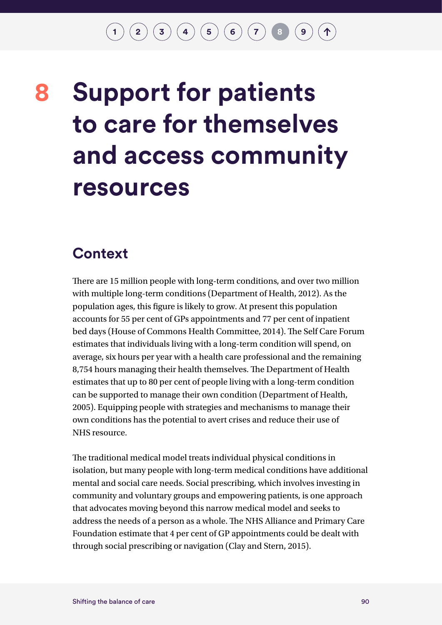## <span id="page-93-0"></span>**Support for patients to care for themselves and access community resources 8**

#### **Context**

There are 15 million people with long-term conditions, and over two million with multiple long-term conditions (Department of Health, 2012). As the population ages, this figure is likely to grow. At present this population accounts for 55 per cent of GPs appointments and 77 per cent of inpatient bed days (House of Commons Health Committee, 2014). The Self Care Forum estimates that individuals living with a long-term condition will spend, on average, six hours per year with a health care professional and the remaining 8,754 hours managing their health themselves. The Department of Health estimates that up to 80 per cent of people living with a long-term condition can be supported to manage their own condition (Department of Health, 2005). Equipping people with strategies and mechanisms to manage their own conditions has the potential to avert crises and reduce their use of NHS resource.

The traditional medical model treats individual physical conditions in isolation, but many people with long-term medical conditions have additional mental and social care needs. Social prescribing, which involves investing in community and voluntary groups and empowering patients, is one approach that advocates moving beyond this narrow medical model and seeks to address the needs of a person as a whole. The NHS Alliance and Primary Care Foundation estimate that 4 per cent of GP appointments could be dealt with through social prescribing or navigation (Clay and Stern, 2015).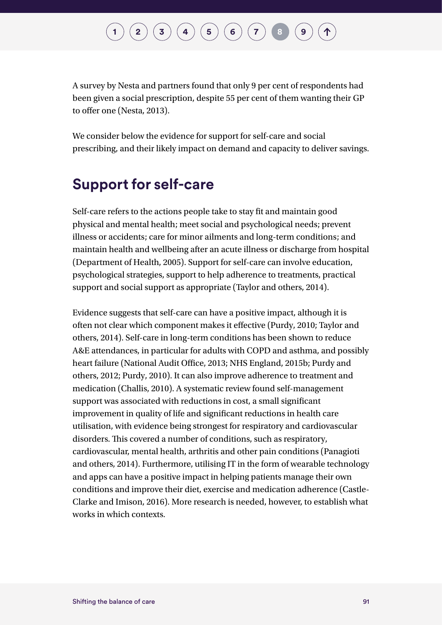A survey by Nesta and partners found that only 9 per cent of respondents had been given a social prescription, despite 55 per cent of them wanting their GP to offer one (Nesta, 2013).

We consider below the evidence for support for self-care and social prescribing, and their likely impact on demand and capacity to deliver savings.

#### **Support for self-care**

Self-care refers to the actions people take to stay fit and maintain good physical and mental health; meet social and psychological needs; prevent illness or accidents; care for minor ailments and long-term conditions; and maintain health and wellbeing after an acute illness or discharge from hospital (Department of Health, 2005). Support for self-care can involve education, psychological strategies, support to help adherence to treatments, practical support and social support as appropriate (Taylor and others, 2014).

Evidence suggests that self-care can have a positive impact, although it is often not clear which component makes it effective (Purdy, 2010; Taylor and others, 2014). Self-care in long-term conditions has been shown to reduce A&E attendances, in particular for adults with COPD and asthma, and possibly heart failure (National Audit Office, 2013; NHS England, 2015b; Purdy and others, 2012; Purdy, 2010). It can also improve adherence to treatment and medication (Challis, 2010). A systematic review found self-management support was associated with reductions in cost, a small significant improvement in quality of life and significant reductions in health care utilisation, with evidence being strongest for respiratory and cardiovascular disorders. This covered a number of conditions, such as respiratory, cardiovascular, mental health, arthritis and other pain conditions (Panagioti and others, 2014). Furthermore, utilising IT in the form of wearable technology and apps can have a positive impact in helping patients manage their own conditions and improve their diet, exercise and medication adherence (Castle-Clarke and Imison, 2016). More research is needed, however, to establish what works in which contexts.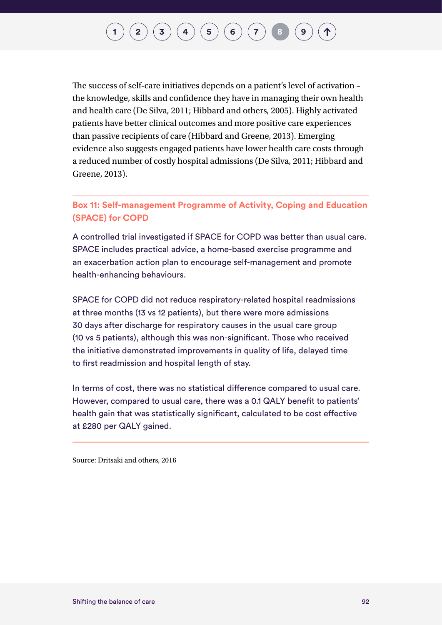## $\binom{2}{\frac{3}{4}} \binom{4}{5} \binom{5}{6} \binom{7}{7} \frac{8}{8}$  $\binom{2}{\frac{3}{4}} \binom{4}{5} \binom{5}{6} \binom{7}{7} \frac{8}{8}$  $\binom{2}{\frac{3}{4}} \binom{4}{5} \binom{5}{6} \binom{7}{7} \frac{8}{8}$  $\binom{2}{\frac{3}{4}} \binom{4}{5} \binom{5}{6} \binom{7}{7} \frac{8}{8}$  $\binom{2}{\frac{3}{4}} \binom{4}{5} \binom{5}{6} \binom{7}{7} \frac{8}{8}$  $\binom{2}{\frac{3}{4}} \binom{4}{5} \binom{5}{6} \binom{7}{7} \frac{8}{8}$  $\binom{2}{\frac{3}{4}} \binom{4}{5} \binom{5}{6} \binom{7}{7} \frac{8}{8}$  $\binom{2}{\frac{3}{4}} \binom{4}{5} \binom{5}{6} \binom{7}{7} \frac{8}{8}$  $\binom{2}{\frac{3}{4}} \binom{4}{5} \binom{5}{6} \binom{7}{7} \frac{8}{8}$  $\binom{2}{\frac{3}{4}} \binom{4}{5} \binom{5}{6} \binom{7}{7} \frac{8}{8}$  $\binom{2}{\frac{3}{4}} \binom{4}{5} \binom{5}{6} \binom{7}{7} \frac{8}{8}$  $\binom{2}{\frac{3}{4}} \binom{4}{5} \binom{5}{6} \binom{7}{7} \frac{8}{8}$  $\binom{2}{\frac{3}{4}} \binom{4}{5} \binom{5}{6} \binom{7}{7} \frac{8}{8}$  $\binom{2}{\frac{3}{4}} \binom{4}{5} \binom{5}{6} \binom{7}{7} \frac{8}{8}$  $\binom{2}{\frac{3}{4}} \binom{4}{5} \binom{5}{6} \binom{7}{7} \frac{8}{8}$

The success of self-care initiatives depends on a patient's level of activation – the knowledge, skills and confidence they have in managing their own health and health care (De Silva, 2011; Hibbard and others, 2005). Highly activated patients have better clinical outcomes and more positive care experiences than passive recipients of care (Hibbard and Greene, 2013). Emerging evidence also suggests engaged patients have lower health care costs through a reduced number of costly hospital admissions (De Silva, 2011; Hibbard and Greene, 2013).

#### **Box 11: Self-management Programme of Activity, Coping and Education (SPACE) for COPD**

A controlled trial investigated if SPACE for COPD was better than usual care. SPACE includes practical advice, a home-based exercise programme and an exacerbation action plan to encourage self-management and promote health-enhancing behaviours.

SPACE for COPD did not reduce respiratory-related hospital readmissions at three months (13 vs 12 patients), but there were more admissions 30 days after discharge for respiratory causes in the usual care group (10 vs 5 patients), although this was non-significant. Those who received the initiative demonstrated improvements in quality of life, delayed time to first readmission and hospital length of stay.

In terms of cost, there was no statistical difference compared to usual care. However, compared to usual care, there was a 0.1 QALY benefit to patients' health gain that was statistically significant, calculated to be cost effective at £280 per QALY gained.

Source: Dritsaki and others, 2016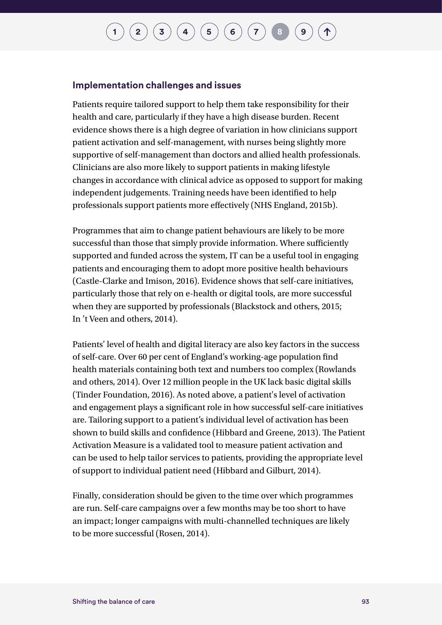## $\binom{1}{2}\binom{3}{4}\binom{4}{5}\binom{5}{6}\binom{7}{7}$  $\binom{1}{2}\binom{3}{4}\binom{4}{5}\binom{5}{6}\binom{7}{7}$  $\binom{1}{2}\binom{3}{4}\binom{4}{5}\binom{5}{6}\binom{7}{7}$  $\binom{1}{2}\binom{3}{4}\binom{4}{5}\binom{5}{6}\binom{7}{7}$  $\binom{1}{2}\binom{3}{4}\binom{4}{5}\binom{5}{6}\binom{7}{7}$  $\binom{1}{2}\binom{3}{4}\binom{4}{5}\binom{5}{6}\binom{7}{7}$  $\binom{1}{2}\binom{3}{4}\binom{4}{5}\binom{5}{6}\binom{7}{7}$  $\binom{1}{2}\binom{3}{4}\binom{4}{5}\binom{5}{6}\binom{7}{7}$  $\binom{1}{2}\binom{3}{4}\binom{4}{5}\binom{5}{6}\binom{7}{7}$  $\binom{1}{2}\binom{3}{4}\binom{4}{5}\binom{5}{6}\binom{7}{7}$  $\binom{1}{2}\binom{3}{4}\binom{4}{5}\binom{5}{6}\binom{7}{7}$  $\binom{1}{2}\binom{3}{4}\binom{4}{5}\binom{5}{6}\binom{7}{7}$  $\binom{1}{2}\binom{3}{4}\binom{4}{5}\binom{5}{6}\binom{7}{7}$  $\binom{1}{2}\binom{3}{4}\binom{4}{5}\binom{5}{6}\binom{7}{7}$  $\binom{1}{2}\binom{3}{4}\binom{4}{5}\binom{5}{6}\binom{7}{7}$

#### **Implementation challenges and issues**

Patients require tailored support to help them take responsibility for their health and care, particularly if they have a high disease burden. Recent evidence shows there is a high degree of variation in how clinicians support patient activation and self-management, with nurses being slightly more supportive of self-management than doctors and allied health professionals. Clinicians are also more likely to support patients in making lifestyle changes in accordance with clinical advice as opposed to support for making independent judgements. Training needs have been identified to help professionals support patients more effectively (NHS England, 2015b).

Programmes that aim to change patient behaviours are likely to be more successful than those that simply provide information. Where sufficiently supported and funded across the system, IT can be a useful tool in engaging patients and encouraging them to adopt more positive health behaviours (Castle-Clarke and Imison, 2016). Evidence shows that self-care initiatives, particularly those that rely on e-health or digital tools, are more successful when they are supported by professionals (Blackstock and others, 2015; In 't Veen and others, 2014).

Patients' level of health and digital literacy are also key factors in the success of self-care. Over 60 per cent of England's working-age population find health materials containing both text and numbers too complex (Rowlands and others, 2014). Over 12 million people in the UK lack basic digital skills (Tinder Foundation, 2016). As noted above, a patient's level of activation and engagement plays a significant role in how successful self-care initiatives are. Tailoring support to a patient's individual level of activation has been shown to build skills and confidence (Hibbard and Greene, 2013). The Patient Activation Measure is a validated tool to measure patient activation and can be used to help tailor services to patients, providing the appropriate level of support to individual patient need (Hibbard and Gilburt, 2014).

Finally, consideration should be given to the time over which programmes are run. Self-care campaigns over a few months may be too short to have an impact; longer campaigns with multi-channelled techniques are likely to be more successful (Rosen, 2014).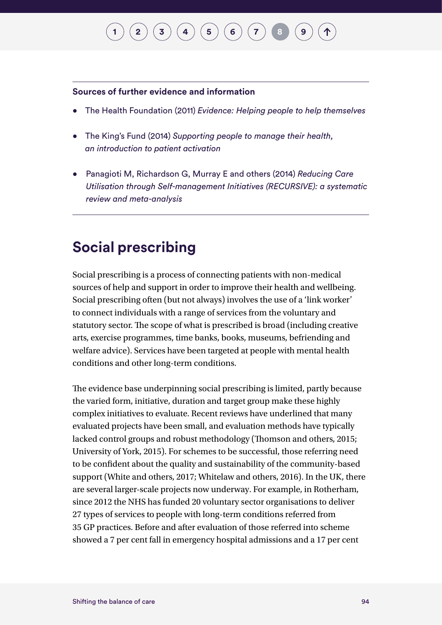#### **Sources of further evidence and information**

- The Health Foundation (2011) *Evidence: Helping people to help themselves*
- The King's Fund (2014) *Supporting people to manage their health, an introduction to patient activation*
- Panagioti M, Richardson G, Murray E and others (2014) *Reducing Care Utilisation through Self-management Initiatives (RECURSIVE): a systematic review and meta-analysis*

#### **Social prescribing**

Social prescribing is a process of connecting patients with non-medical sources of help and support in order to improve their health and wellbeing. Social prescribing often (but not always) involves the use of a 'link worker' to connect individuals with a range of services from the voluntary and statutory sector. The scope of what is prescribed is broad (including creative arts, exercise programmes, time banks, books, museums, befriending and welfare advice). Services have been targeted at people with mental health conditions and other long-term conditions.

The evidence base underpinning social prescribing is limited, partly because the varied form, initiative, duration and target group make these highly complex initiatives to evaluate. Recent reviews have underlined that many evaluated projects have been small, and evaluation methods have typically lacked control groups and robust methodology (Thomson and others, 2015; University of York, 2015). For schemes to be successful, those referring need to be confident about the quality and sustainability of the community-based support (White and others, 2017; Whitelaw and others, 2016). In the UK, there are several larger-scale projects now underway. For example, in Rotherham, since 2012 the NHS has funded 20 voluntary sector organisations to deliver 27 types of services to people with long-term conditions referred from 35 GP practices. Before and after evaluation of those referred into scheme showed a 7 per cent fall in emergency hospital admissions and a 17 per cent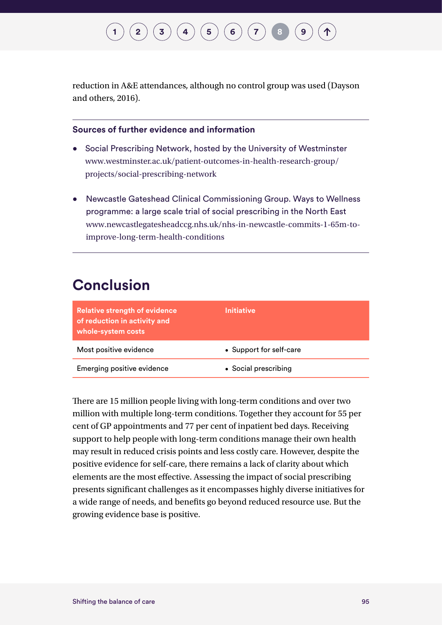reduction in A&E attendances, although no control group was used (Dayson and others, 2016).

#### **Sources of further evidence and information**

- Social Prescribing Network, hosted by the University of Westminster [www.westminster.ac.uk/patient-outcomes-in-health-research-group/](https://www.westminster.ac.uk/patient-outcomes-in-health-research-group/projects/social-prescribing-network) [projects/social-prescribing-network](https://www.westminster.ac.uk/patient-outcomes-in-health-research-group/projects/social-prescribing-network)
- Newcastle Gateshead Clinical Commissioning Group. Ways to Wellness programme: a large scale trial of social prescribing in the North East [www.newcastlegatesheadccg.nhs.uk/nhs-in-newcastle-commits-1-65m-to](http://www.newcastlegatesheadccg.nhs.uk/nhs-in-newcastle-commits-1-65m-to-improve-long-term-health-conditio)[improve-long-term-health-conditions](http://www.newcastlegatesheadccg.nhs.uk/nhs-in-newcastle-commits-1-65m-to-improve-long-term-health-conditio)

#### **Conclusion**

| <b>Relative strength of evidence</b><br>of reduction in activity and<br>whole-system costs | <b>Initiative</b>       |
|--------------------------------------------------------------------------------------------|-------------------------|
| Most positive evidence                                                                     | • Support for self-care |
| Emerging positive evidence                                                                 | • Social prescribing    |

There are 15 million people living with long-term conditions and over two million with multiple long-term conditions. Together they account for 55 per cent of GP appointments and 77 per cent of inpatient bed days. Receiving support to help people with long-term conditions manage their own health may result in reduced crisis points and less costly care. However, despite the positive evidence for self-care, there remains a lack of clarity about which elements are the most effective. Assessing the impact of social prescribing presents significant challenges as it encompasses highly diverse initiatives for a wide range of needs, and benefits go beyond reduced resource use. But the growing evidence base is positive.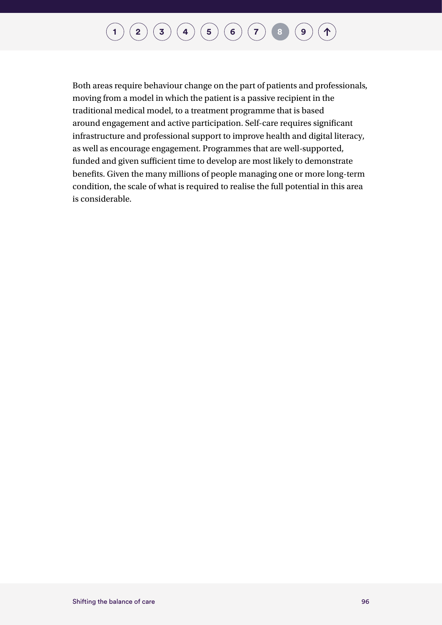## **[1](#page-7-0)**  $(2)(3)(4)(5)(6)(7)$  $(2)(3)(4)(5)(6)(7)$  $(2)(3)(4)(5)(6)(7)$  $(2)(3)(4)(5)(6)(7)$  $(2)(3)(4)(5)(6)(7)$  $(2)(3)(4)(5)(6)(7)$  $(2)(3)(4)(5)(6)(7)$  $(2)(3)(4)(5)(6)(7)$  $(2)(3)(4)(5)(6)(7)$  $(2)(3)(4)(5)(6)(7)$  $(2)(3)(4)(5)(6)(7)$  $(2)(3)(4)(5)(6)(7)$  $(2)(3)(4)(5)(6)(7)$ <br>**[8](#page-93-0) [9](#page-100-0)**

Both areas require behaviour change on the part of patients and professionals, moving from a model in which the patient is a passive recipient in the traditional medical model, to a treatment programme that is based around engagement and active participation. Self-care requires significant infrastructure and professional support to improve health and digital literacy, as well as encourage engagement. Programmes that are well-supported, funded and given sufficient time to develop are most likely to demonstrate benefits. Given the many millions of people managing one or more long-term condition, the scale of what is required to realise the full potential in this area is considerable.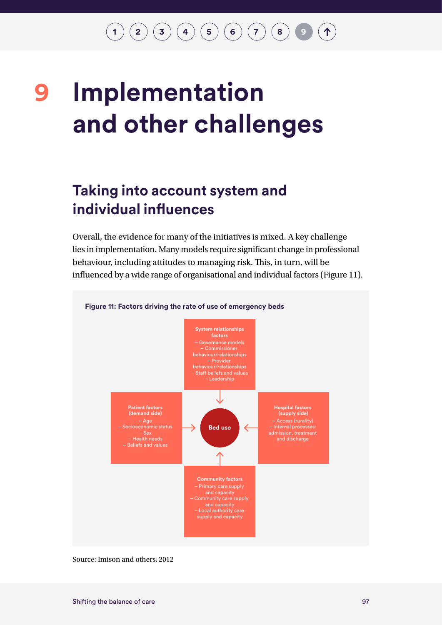**[1](#page-7-0) [2](#page-10-0) [3](#page-23-0) [4](#page-29-0) [5](#page-48-0) [6](#page-60-0) [7](#page-76-0) [8](#page-93-0) 9**  $\hat{\mathcal{T}}$ 

## <span id="page-100-0"></span>**Implementation and other challenges 9**

### **Taking into account system and individual influences**

Overall, the evidence for many of the initiatives is mixed. A key challenge lies in implementation. Many models require significant change in professional behaviour, including attitudes to managing risk. This, in turn, will be influenced by a wide range of organisational and individual factors (Figure 11).



Source: Imison and others, 2012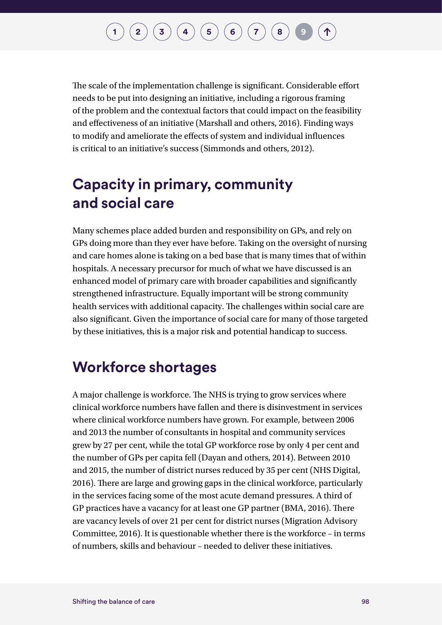### $\binom{1}{2}\binom{3}{4}\binom{4}{5}\binom{5}{6}\binom{7}{7}$  $\binom{1}{2}\binom{3}{4}\binom{4}{5}\binom{5}{6}\binom{7}{7}$  $\binom{1}{2}\binom{3}{4}\binom{4}{5}\binom{5}{6}\binom{7}{7}$  $\binom{1}{2}\binom{3}{4}\binom{4}{5}\binom{5}{6}\binom{7}{7}$  $\binom{1}{2}\binom{3}{4}\binom{4}{5}\binom{5}{6}\binom{7}{7}$  $\binom{1}{2}\binom{3}{4}\binom{4}{5}\binom{5}{6}\binom{7}{7}$  $\binom{1}{2}\binom{3}{4}\binom{4}{5}\binom{5}{6}\binom{7}{7}$  $\binom{1}{2}\binom{3}{4}\binom{4}{5}\binom{5}{6}\binom{7}{7}$  $\binom{1}{2}\binom{3}{4}\binom{4}{5}\binom{5}{6}\binom{7}{7}$  $\binom{1}{2}\binom{3}{4}\binom{4}{5}\binom{5}{6}\binom{7}{7}$  $\binom{1}{2}\binom{3}{4}\binom{4}{5}\binom{5}{6}\binom{7}{7}$  $\binom{1}{2}\binom{3}{4}\binom{4}{5}\binom{5}{6}\binom{7}{7}$  $\binom{1}{2}\binom{3}{4}\binom{4}{5}\binom{5}{6}\binom{7}{7}$  $\binom{1}{2}\binom{3}{4}\binom{4}{5}\binom{5}{6}\binom{7}{7}$  $\binom{1}{2}\binom{3}{4}\binom{4}{5}\binom{5}{6}\binom{7}{7}$

The scale of the implementation challenge is significant. Considerable effort needs to be put into designing an initiative, including a rigorous framing of the problem and the contextual factors that could impact on the feasibility and effectiveness of an initiative (Marshall and others, 2016). Finding ways to modify and ameliorate the effects of system and individual influences is critical to an initiative's success (Simmonds and others, 2012).

### **Capacity in primary, community and social care**

Many schemes place added burden and responsibility on GPs, and rely on GPs doing more than they ever have before. Taking on the oversight of nursing and care homes alone is taking on a bed base that is many times that of within hospitals. A necessary precursor for much of what we have discussed is an enhanced model of primary care with broader capabilities and significantly strengthened infrastructure. Equally important will be strong community health services with additional capacity. The challenges within social care are also significant. Given the importance of social care for many of those targeted by these initiatives, this is a major risk and potential handicap to success.

#### **Workforce shortages**

A major challenge is workforce. The NHS is trying to grow services where clinical workforce numbers have fallen and there is disinvestment in services where clinical workforce numbers have grown. For example, between 2006 and 2013 the number of consultants in hospital and community services grew by 27 per cent, while the total GP workforce rose by only 4 per cent and the number of GPs per capita fell (Dayan and others, 2014). Between 2010 and 2015, the number of district nurses reduced by 35 per cent (NHS Digital, 2016). There are large and growing gaps in the clinical workforce, particularly in the services facing some of the most acute demand pressures. A third of GP practices have a vacancy for at least one GP partner (BMA, 2016). There are vacancy levels of over 21 per cent for district nurses (Migration Advisory Committee, 2016). It is questionable whether there is the workforce – in terms of numbers, skills and behaviour – needed to deliver these initiatives.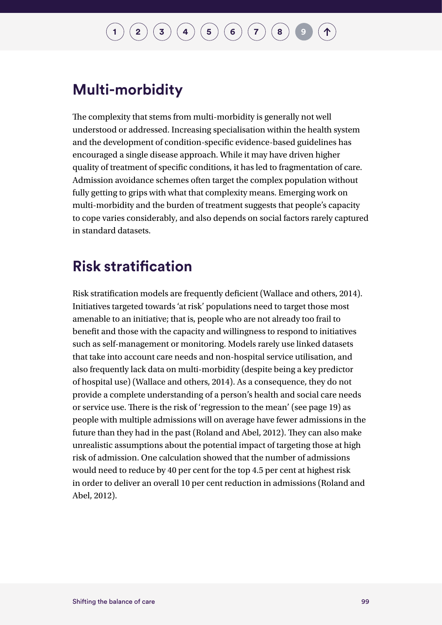## $\binom{1}{2}\binom{3}{4}\binom{4}{5}\binom{5}{6}\binom{7}{7}$  $\binom{1}{2}\binom{3}{4}\binom{4}{5}\binom{5}{6}\binom{7}{7}$  $\binom{1}{2}\binom{3}{4}\binom{4}{5}\binom{5}{6}\binom{7}{7}$  $\binom{1}{2}\binom{3}{4}\binom{4}{5}\binom{5}{6}\binom{7}{7}$  $\binom{1}{2}\binom{3}{4}\binom{4}{5}\binom{5}{6}\binom{7}{7}$  $\binom{1}{2}\binom{3}{4}\binom{4}{5}\binom{5}{6}\binom{7}{7}$  $\binom{1}{2}\binom{3}{4}\binom{4}{5}\binom{5}{6}\binom{7}{7}$  $\binom{1}{2}\binom{3}{4}\binom{4}{5}\binom{5}{6}\binom{7}{7}$  $\binom{1}{2}\binom{3}{4}\binom{4}{5}\binom{5}{6}\binom{7}{7}$  $\binom{1}{2}\binom{3}{4}\binom{4}{5}\binom{5}{6}\binom{7}{7}$  $\binom{1}{2}\binom{3}{4}\binom{4}{5}\binom{5}{6}\binom{7}{7}$  $\binom{1}{2}\binom{3}{4}\binom{4}{5}\binom{5}{6}\binom{7}{7}$  $\binom{1}{2}\binom{3}{4}\binom{4}{5}\binom{5}{6}\binom{7}{7}$  $\binom{1}{2}\binom{3}{4}\binom{4}{5}\binom{5}{6}\binom{7}{7}$  $\binom{1}{2}\binom{3}{4}\binom{4}{5}\binom{5}{6}\binom{7}{7}$

#### **Multi-morbidity**

The complexity that stems from multi-morbidity is generally not well understood or addressed. Increasing specialisation within the health system and the development of condition-specific evidence-based guidelines has encouraged a single disease approach. While it may have driven higher quality of treatment of specific conditions, it has led to fragmentation of care. Admission avoidance schemes often target the complex population without fully getting to grips with what that complexity means. Emerging work on multi-morbidity and the burden of treatment suggests that people's capacity to cope varies considerably, and also depends on social factors rarely captured in standard datasets.

#### **Risk stratification**

Risk stratification models are frequently deficient (Wallace and others, 2014). Initiatives targeted towards 'at risk' populations need to target those most amenable to an initiative; that is, people who are not already too frail to benefit and those with the capacity and willingness to respond to initiatives such as self-management or monitoring. Models rarely use linked datasets that take into account care needs and non-hospital service utilisation, and also frequently lack data on multi-morbidity (despite being a key predictor of hospital use) (Wallace and others, 2014). As a consequence, they do not provide a complete understanding of a person's health and social care needs or service use. There is the risk of 'regression to the mean' (see page 19) as people with multiple admissions will on average have fewer admissions in the future than they had in the past (Roland and Abel, 2012). They can also make unrealistic assumptions about the potential impact of targeting those at high risk of admission. One calculation showed that the number of admissions would need to reduce by 40 per cent for the top 4.5 per cent at highest risk in order to deliver an overall 10 per cent reduction in admissions (Roland and Abel, 2012).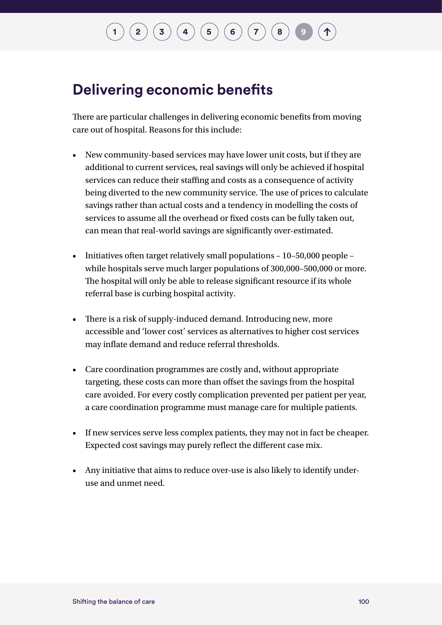### **Delivering economic benefits**

There are particular challenges in delivering economic benefits from moving care out of hospital. Reasons for this include:

- New community-based services may have lower unit costs, but if they are additional to current services, real savings will only be achieved if hospital services can reduce their staffing and costs as a consequence of activity being diverted to the new community service. The use of prices to calculate savings rather than actual costs and a tendency in modelling the costs of services to assume all the overhead or fixed costs can be fully taken out, can mean that real-world savings are significantly over-estimated.
- Initiatives often target relatively small populations 10–50,000 people while hospitals serve much larger populations of 300,000–500,000 or more. The hospital will only be able to release significant resource if its whole referral base is curbing hospital activity.
- There is a risk of supply-induced demand. Introducing new, more accessible and 'lower cost' services as alternatives to higher cost services may inflate demand and reduce referral thresholds.
- Care coordination programmes are costly and, without appropriate targeting, these costs can more than offset the savings from the hospital care avoided. For every costly complication prevented per patient per year, a care coordination programme must manage care for multiple patients.
- If new services serve less complex patients, they may not in fact be cheaper. Expected cost savings may purely reflect the different case mix.
- Any initiative that aims to reduce over-use is also likely to identify underuse and unmet need.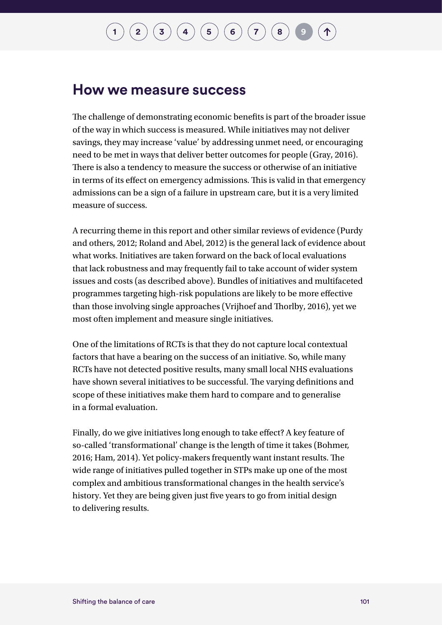#### **How we measure success**

The challenge of demonstrating economic benefits is part of the broader issue of the way in which success is measured. While initiatives may not deliver savings, they may increase 'value' by addressing unmet need, or encouraging need to be met in ways that deliver better outcomes for people (Gray, 2016). There is also a tendency to measure the success or otherwise of an initiative in terms of its effect on emergency admissions. This is valid in that emergency admissions can be a sign of a failure in upstream care, but it is a very limited measure of success.

A recurring theme in this report and other similar reviews of evidence (Purdy and others, 2012; Roland and Abel, 2012) is the general lack of evidence about what works. Initiatives are taken forward on the back of local evaluations that lack robustness and may frequently fail to take account of wider system issues and costs (as described above). Bundles of initiatives and multifaceted programmes targeting high-risk populations are likely to be more effective than those involving single approaches (Vrijhoef and Thorlby, 2016), yet we most often implement and measure single initiatives.

One of the limitations of RCTs is that they do not capture local contextual factors that have a bearing on the success of an initiative. So, while many RCTs have not detected positive results, many small local NHS evaluations have shown several initiatives to be successful. The varying definitions and scope of these initiatives make them hard to compare and to generalise in a formal evaluation.

Finally, do we give initiatives long enough to take effect? A key feature of so-called 'transformational' change is the length of time it takes (Bohmer, 2016; Ham, 2014). Yet policy-makers frequently want instant results. The wide range of initiatives pulled together in STPs make up one of the most complex and ambitious transformational changes in the health service's history. Yet they are being given just five years to go from initial design to delivering results.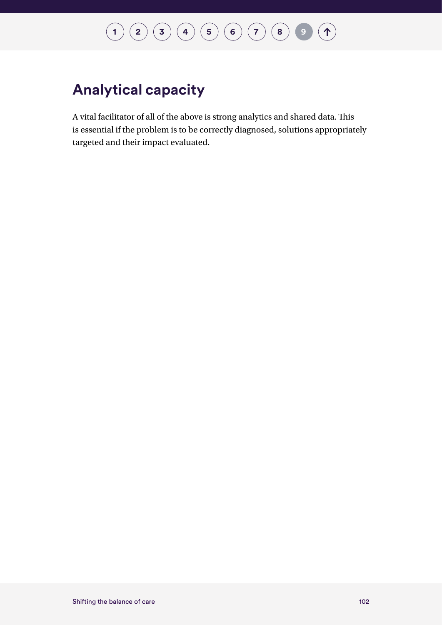## **[1](#page-7-0) [2](#page-10-0) [3](#page-23-0) [4](#page-29-0) [5](#page-48-0) [6](#page-60-0) [7](#page-76-0) [8](#page-93-0) [9](#page-100-0)**

### **Analytical capacity**

A vital facilitator of all of the above is strong analytics and shared data. This is essential if the problem is to be correctly diagnosed, solutions appropriately targeted and their impact evaluated.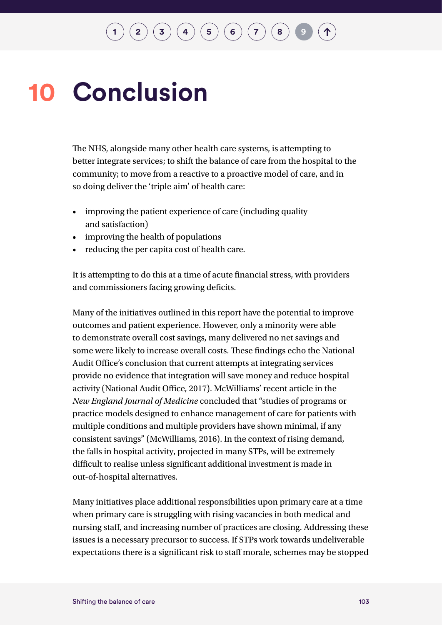# **10 Conclusion**

The NHS, alongside many other health care systems, is attempting to better integrate services; to shift the balance of care from the hospital to the community; to move from a reactive to a proactive model of care, and in so doing deliver the 'triple aim' of health care:

- improving the patient experience of care (including quality and satisfaction)
- improving the health of populations
- reducing the per capita cost of health care.

It is attempting to do this at a time of acute financial stress, with providers and commissioners facing growing deficits.

Many of the initiatives outlined in this report have the potential to improve outcomes and patient experience. However, only a minority were able to demonstrate overall cost savings, many delivered no net savings and some were likely to increase overall costs. These findings echo the National Audit Office's conclusion that current attempts at integrating services provide no evidence that integration will save money and reduce hospital activity (National Audit Office, 2017). McWilliams' recent article in the *New England Journal of Medicine* concluded that "studies of programs or practice models designed to enhance management of care for patients with multiple conditions and multiple providers have shown minimal, if any consistent savings" (McWilliams, 2016). In the context of rising demand, the falls in hospital activity, projected in many STPs, will be extremely difficult to realise unless significant additional investment is made in out-of-hospital alternatives.

Many initiatives place additional responsibilities upon primary care at a time when primary care is struggling with rising vacancies in both medical and nursing staff, and increasing number of practices are closing. Addressing these issues is a necessary precursor to success. If STPs work towards undeliverable expectations there is a significant risk to staff morale, schemes may be stopped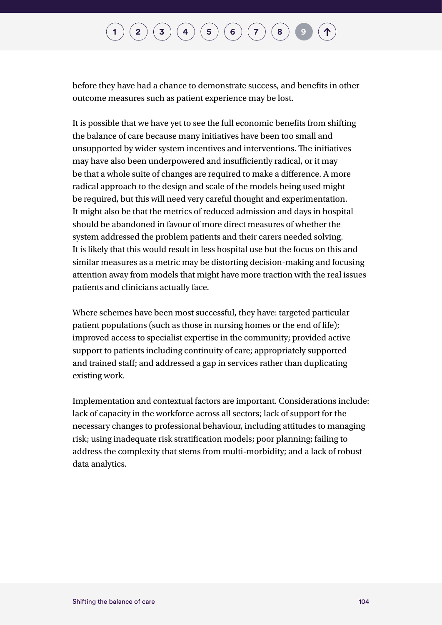## $\binom{1}{2}\binom{3}{4}\binom{4}{5}\binom{5}{6}\binom{7}{7}$  $\binom{1}{2}\binom{3}{4}\binom{4}{5}\binom{5}{6}\binom{7}{7}$  $\binom{1}{2}\binom{3}{4}\binom{4}{5}\binom{5}{6}\binom{7}{7}$  $\binom{1}{2}\binom{3}{4}\binom{4}{5}\binom{5}{6}\binom{7}{7}$  $\binom{1}{2}\binom{3}{4}\binom{4}{5}\binom{5}{6}\binom{7}{7}$  $\binom{1}{2}\binom{3}{4}\binom{4}{5}\binom{5}{6}\binom{7}{7}$  $\binom{1}{2}\binom{3}{4}\binom{4}{5}\binom{5}{6}\binom{7}{7}$  $\binom{1}{2}\binom{3}{4}\binom{4}{5}\binom{5}{6}\binom{7}{7}$  $\binom{1}{2}\binom{3}{4}\binom{4}{5}\binom{5}{6}\binom{7}{7}$  $\binom{1}{2}\binom{3}{4}\binom{4}{5}\binom{5}{6}\binom{7}{7}$  $\binom{1}{2}\binom{3}{4}\binom{4}{5}\binom{5}{6}\binom{7}{7}$  $\binom{1}{2}\binom{3}{4}\binom{4}{5}\binom{5}{6}\binom{7}{7}$  $\binom{1}{2}\binom{3}{4}\binom{4}{5}\binom{5}{6}\binom{7}{7}$  $\binom{1}{2}\binom{3}{4}\binom{4}{5}\binom{5}{6}\binom{7}{7}$  $\binom{1}{2}\binom{3}{4}\binom{4}{5}\binom{5}{6}\binom{7}{7}$

before they have had a chance to demonstrate success, and benefits in other outcome measures such as patient experience may be lost.

It is possible that we have yet to see the full economic benefits from shifting the balance of care because many initiatives have been too small and unsupported by wider system incentives and interventions. The initiatives may have also been underpowered and insufficiently radical, or it may be that a whole suite of changes are required to make a difference. A more radical approach to the design and scale of the models being used might be required, but this will need very careful thought and experimentation. It might also be that the metrics of reduced admission and days in hospital should be abandoned in favour of more direct measures of whether the system addressed the problem patients and their carers needed solving. It is likely that this would result in less hospital use but the focus on this and similar measures as a metric may be distorting decision-making and focusing attention away from models that might have more traction with the real issues patients and clinicians actually face.

Where schemes have been most successful, they have: targeted particular patient populations (such as those in nursing homes or the end of life); improved access to specialist expertise in the community; provided active support to patients including continuity of care; appropriately supported and trained staff; and addressed a gap in services rather than duplicating existing work.

Implementation and contextual factors are important. Considerations include: lack of capacity in the workforce across all sectors; lack of support for the necessary changes to professional behaviour, including attitudes to managing risk; using inadequate risk stratification models; poor planning; failing to address the complexity that stems from multi-morbidity; and a lack of robust data analytics.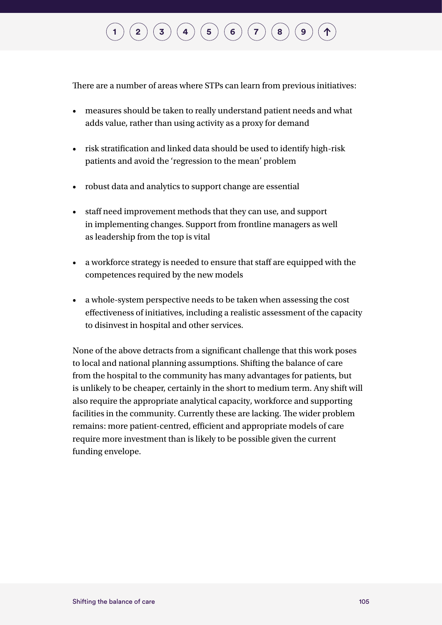# $\mathbf{r} \left( \mathbf{z} \right) \left( \mathbf{3} \right) \left( \mathbf{4} \right) \left( \mathbf{5} \right) \left( \mathbf{6} \right) \left( \mathbf{7} \right) \left( \mathbf{8} \right)$  $\mathbf{r} \left( \mathbf{z} \right) \left( \mathbf{3} \right) \left( \mathbf{4} \right) \left( \mathbf{5} \right) \left( \mathbf{6} \right) \left( \mathbf{7} \right) \left( \mathbf{8} \right)$  $\mathbf{r} \left( \mathbf{z} \right) \left( \mathbf{3} \right) \left( \mathbf{4} \right) \left( \mathbf{5} \right) \left( \mathbf{6} \right) \left( \mathbf{7} \right) \left( \mathbf{8} \right)$  $\mathbf{r} \left( \mathbf{z} \right) \left( \mathbf{3} \right) \left( \mathbf{4} \right) \left( \mathbf{5} \right) \left( \mathbf{6} \right) \left( \mathbf{7} \right) \left( \mathbf{8} \right)$  $\mathbf{r} \left( \mathbf{z} \right) \left( \mathbf{3} \right) \left( \mathbf{4} \right) \left( \mathbf{5} \right) \left( \mathbf{6} \right) \left( \mathbf{7} \right) \left( \mathbf{8} \right)$  $\mathbf{r} \left( \mathbf{z} \right) \left( \mathbf{3} \right) \left( \mathbf{4} \right) \left( \mathbf{5} \right) \left( \mathbf{6} \right) \left( \mathbf{7} \right) \left( \mathbf{8} \right)$  $\mathbf{r} \left( \mathbf{z} \right) \left( \mathbf{3} \right) \left( \mathbf{4} \right) \left( \mathbf{5} \right) \left( \mathbf{6} \right) \left( \mathbf{7} \right) \left( \mathbf{8} \right)$  $\mathbf{r} \left( \mathbf{z} \right) \left( \mathbf{3} \right) \left( \mathbf{4} \right) \left( \mathbf{5} \right) \left( \mathbf{6} \right) \left( \mathbf{7} \right) \left( \mathbf{8} \right)$  $\mathbf{r} \left( \mathbf{z} \right) \left( \mathbf{3} \right) \left( \mathbf{4} \right) \left( \mathbf{5} \right) \left( \mathbf{6} \right) \left( \mathbf{7} \right) \left( \mathbf{8} \right)$  $\mathbf{r} \left( \mathbf{z} \right) \left( \mathbf{3} \right) \left( \mathbf{4} \right) \left( \mathbf{5} \right) \left( \mathbf{6} \right) \left( \mathbf{7} \right) \left( \mathbf{8} \right)$  $\mathbf{r} \left( \mathbf{z} \right) \left( \mathbf{3} \right) \left( \mathbf{4} \right) \left( \mathbf{5} \right) \left( \mathbf{6} \right) \left( \mathbf{7} \right) \left( \mathbf{8} \right)$  $\mathbf{r} \left( \mathbf{z} \right) \left( \mathbf{3} \right) \left( \mathbf{4} \right) \left( \mathbf{5} \right) \left( \mathbf{6} \right) \left( \mathbf{7} \right) \left( \mathbf{8} \right)$  $\mathbf{r} \left( \mathbf{z} \right) \left( \mathbf{3} \right) \left( \mathbf{4} \right) \left( \mathbf{5} \right) \left( \mathbf{6} \right) \left( \mathbf{7} \right) \left( \mathbf{8} \right)$

There are a number of areas where STPs can learn from previous initiatives:

- measures should be taken to really understand patient needs and what adds value, rather than using activity as a proxy for demand
- risk stratification and linked data should be used to identify high-risk patients and avoid the 'regression to the mean' problem
- robust data and analytics to support change are essential
- staff need improvement methods that they can use, and support in implementing changes. Support from frontline managers as well as leadership from the top is vital
- a workforce strategy is needed to ensure that staff are equipped with the competences required by the new models
- a whole-system perspective needs to be taken when assessing the cost effectiveness of initiatives, including a realistic assessment of the capacity to disinvest in hospital and other services.

None of the above detracts from a significant challenge that this work poses to local and national planning assumptions. Shifting the balance of care from the hospital to the community has many advantages for patients, but is unlikely to be cheaper, certainly in the short to medium term. Any shift will also require the appropriate analytical capacity, workforce and supporting facilities in the community. Currently these are lacking. The wider problem remains: more patient-centred, efficient and appropriate models of care require more investment than is likely to be possible given the current funding envelope.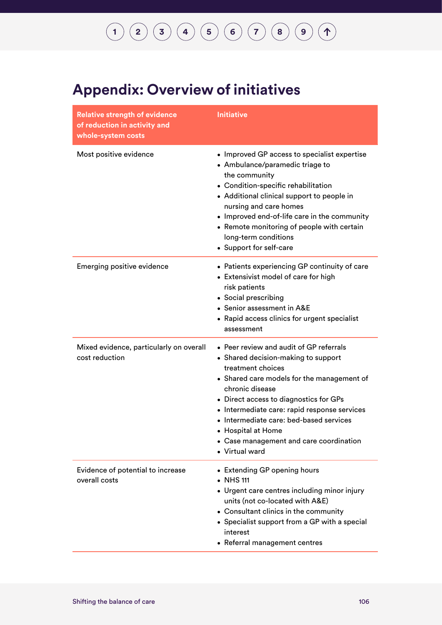# **[1](#page-7-0) [2](#page-10-0) [3](#page-23-0) [4](#page-29-0) [5](#page-48-0) [6](#page-60-0) [7](#page-76-0) [8](#page-93-0) [9](#page-100-0)**

#### **Appendix: Overview of initiatives**

| <b>Relative strength of evidence</b><br>of reduction in activity and<br>whole-system costs | <b>Initiative</b>                                                                                                                                                                                                                                                                                                                                                                            |
|--------------------------------------------------------------------------------------------|----------------------------------------------------------------------------------------------------------------------------------------------------------------------------------------------------------------------------------------------------------------------------------------------------------------------------------------------------------------------------------------------|
| Most positive evidence                                                                     | • Improved GP access to specialist expertise<br>• Ambulance/paramedic triage to<br>the community<br>• Condition-specific rehabilitation<br>• Additional clinical support to people in<br>nursing and care homes<br>• Improved end-of-life care in the community<br>• Remote monitoring of people with certain<br>long-term conditions<br>• Support for self-care                             |
| <b>Emerging positive evidence</b>                                                          | • Patients experiencing GP continuity of care<br>• Extensivist model of care for high<br>risk patients<br>• Social prescribing<br>• Senior assessment in A&E<br>• Rapid access clinics for urgent specialist<br>assessment                                                                                                                                                                   |
| Mixed evidence, particularly on overall<br>cost reduction                                  | • Peer review and audit of GP referrals<br>• Shared decision-making to support<br>treatment choices<br>• Shared care models for the management of<br>chronic disease<br>• Direct access to diagnostics for GPs<br>• Intermediate care: rapid response services<br>• Intermediate care: bed-based services<br>• Hospital at Home<br>• Case management and care coordination<br>• Virtual ward |
| Evidence of potential to increase<br>overall costs                                         | • Extending GP opening hours<br>• NHS 111<br>• Urgent care centres including minor injury<br>units (not co-located with A&E)<br>• Consultant clinics in the community<br>• Specialist support from a GP with a special<br>interest<br>• Referral management centres                                                                                                                          |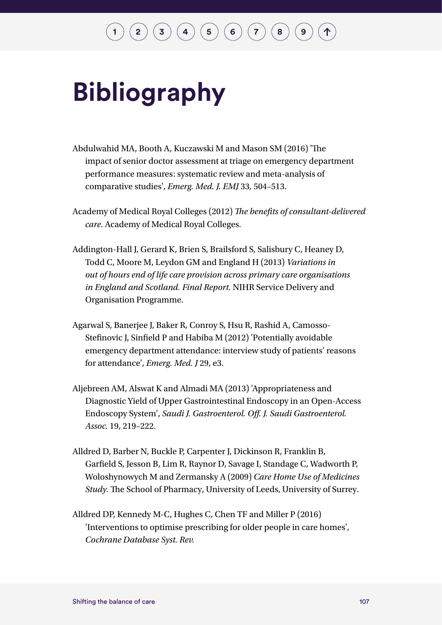# **Bibliography**

- Abdulwahid MA, Booth A, Kuczawski M and Mason SM (2016) 'The impact of senior doctor assessment at triage on emergency department performance measures: systematic review and meta-analysis of comparative studies', *Emerg. Med. J. EMJ* 33*,* 504–513.
- Academy of Medical Royal Colleges (2012) *The benefits of consultant-delivered care*. Academy of Medical Royal Colleges.
- Addington-Hall J, Gerard K, Brien S, Brailsford S, Salisbury C, Heaney D, Todd C, Moore M, Leydon GM and England H (2013) *Variations in out of hours end of life care provision across primary care organisations in England and Scotland. Final Report.* NIHR Service Delivery and Organisation Programme.
- Agarwal S, Banerjee J, Baker R, Conroy S, Hsu R, Rashid A, Camosso-Stefinovic J, Sinfield P and Habiba M (2012) 'Potentially avoidable emergency department attendance: interview study of patients' reasons for attendance', *Emerg. Med. J* 29, e3.
- Aljebreen AM, Alswat K and Almadi MA (2013) 'Appropriateness and Diagnostic Yield of Upper Gastrointestinal Endoscopy in an Open-Access Endoscopy System', *Saudi J. Gastroenterol. Off. J. Saudi Gastroenterol. Assoc.* 19, 219–222.
- Alldred D, Barber N, Buckle P, Carpenter J, Dickinson R, Franklin B, Garfield S, Jesson B, Lim R, Raynor D, Savage I, Standage C, Wadworth P, Woloshynowych M and Zermansky A (2009) *Care Home Use of Medicines Study.* The School of Pharmacy, University of Leeds, University of Surrey.
- Alldred DP, Kennedy M-C, Hughes C, Chen TF and Miller P (2016) 'Interventions to optimise prescribing for older people in care homes', *Cochrane Database Syst. Rev.*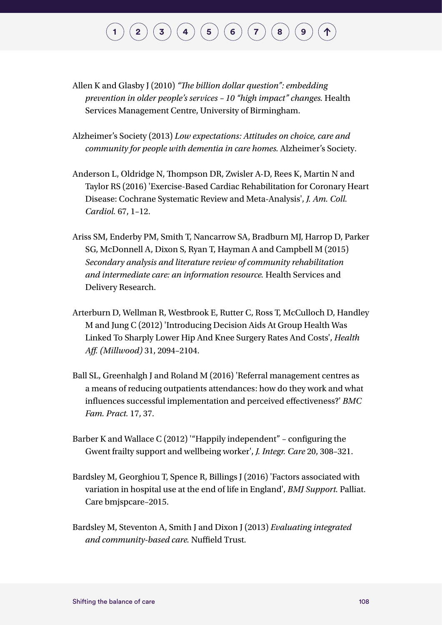# $\binom{1}{2}\binom{3}{4}\binom{4}{5}\binom{5}{6}\binom{7}{7}$  $\binom{1}{2}\binom{3}{4}\binom{4}{5}\binom{5}{6}\binom{7}{7}$  $\binom{1}{2}\binom{3}{4}\binom{4}{5}\binom{5}{6}\binom{7}{7}$  $\binom{1}{2}\binom{3}{4}\binom{4}{5}\binom{5}{6}\binom{7}{7}$  $\binom{1}{2}\binom{3}{4}\binom{4}{5}\binom{5}{6}\binom{7}{7}$  $\binom{1}{2}\binom{3}{4}\binom{4}{5}\binom{5}{6}\binom{7}{7}$  $\binom{1}{2}\binom{3}{4}\binom{4}{5}\binom{5}{6}\binom{7}{7}$  $\binom{1}{2}\binom{3}{4}\binom{4}{5}\binom{5}{6}\binom{7}{7}$  $\binom{1}{2}\binom{3}{4}\binom{4}{5}\binom{5}{6}\binom{7}{7}$  $\binom{1}{2}\binom{3}{4}\binom{4}{5}\binom{5}{6}\binom{7}{7}$  $\binom{1}{2}\binom{3}{4}\binom{4}{5}\binom{5}{6}\binom{7}{7}$  $\binom{1}{2}\binom{3}{4}\binom{4}{5}\binom{5}{6}\binom{7}{7}$  $\binom{1}{2}\binom{3}{4}\binom{4}{5}\binom{5}{6}\binom{7}{7}$  $\binom{1}{2}\binom{3}{4}\binom{4}{5}\binom{5}{6}\binom{7}{7}$  $\binom{1}{2}\binom{3}{4}\binom{4}{5}\binom{5}{6}\binom{7}{7}$

- Allen K and Glasby J (2010) *"The billion dollar question": embedding prevention in older people's services – 10 "high impact" changes.* Health Services Management Centre, University of Birmingham.
- Alzheimer's Society (2013) *Low expectations: Attitudes on choice, care and community for people with dementia in care homes.* Alzheimer's Society.
- Anderson L, Oldridge N, Thompson DR, Zwisler A-D, Rees K, Martin N and Taylor RS (2016) 'Exercise-Based Cardiac Rehabilitation for Coronary Heart Disease: Cochrane Systematic Review and Meta-Analysis', *J. Am. Coll. Cardiol.* 67, 1–12.
- Ariss SM, Enderby PM, Smith T, Nancarrow SA, Bradburn MJ, Harrop D, Parker SG, McDonnell A, Dixon S, Ryan T, Hayman A and Campbell M (2015) *Secondary analysis and literature review of community rehabilitation and intermediate care: an information resource.* Health Services and Delivery Research.
- Arterburn D, Wellman R, Westbrook E, Rutter C, Ross T, McCulloch D, Handley M and Jung C (2012) 'Introducing Decision Aids At Group Health Was Linked To Sharply Lower Hip And Knee Surgery Rates And Costs', *Health Aff. (Millwood)* 31, 2094–2104.
- Ball SL, Greenhalgh J and Roland M (2016) 'Referral management centres as a means of reducing outpatients attendances: how do they work and what influences successful implementation and perceived effectiveness?' *BMC Fam. Pract.* 17, 37.
- Barber K and Wallace C (2012) '"Happily independent" configuring the Gwent frailty support and wellbeing worker', *J. Integr. Care* 20, 308–321.
- Bardsley M, Georghiou T, Spence R, Billings J (2016) 'Factors associated with variation in hospital use at the end of life in England', *BMJ Support.* Palliat. Care bmjspcare–2015.
- Bardsley M, Steventon A, Smith J and Dixon J (2013) *Evaluating integrated and community-based care.* Nuffield Trust.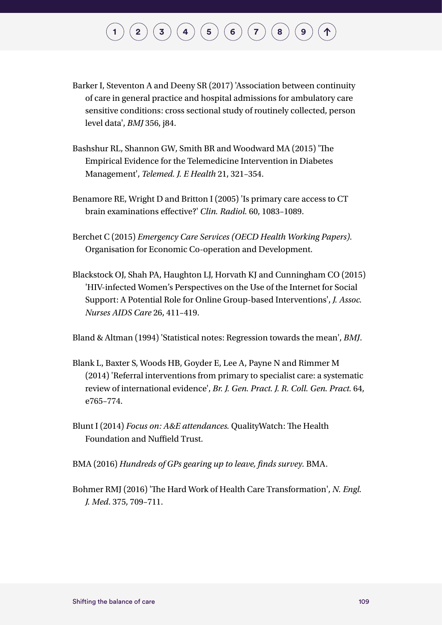# $\binom{2}{\frac{3}{\frac{4}{\sqrt{2}}}}\binom{4}{\frac{5}{\sqrt{2}}}\binom{5}{\frac{6}{\sqrt{2}}}\binom{7}{\frac{8}{\sqrt{2}}}\binom{8}{\frac{9}{\sqrt{2}}}\binom{9}{\sqrt{2}}$  $\binom{2}{\frac{3}{\frac{4}{\sqrt{2}}}}\binom{4}{\frac{5}{\sqrt{2}}}\binom{5}{\frac{6}{\sqrt{2}}}\binom{7}{\frac{8}{\sqrt{2}}}\binom{8}{\frac{9}{\sqrt{2}}}\binom{9}{\sqrt{2}}$  $\binom{2}{\frac{3}{\frac{4}{\sqrt{2}}}}\binom{4}{\frac{5}{\sqrt{2}}}\binom{5}{\frac{6}{\sqrt{2}}}\binom{7}{\frac{8}{\sqrt{2}}}\binom{8}{\frac{9}{\sqrt{2}}}\binom{9}{\sqrt{2}}$  $\binom{2}{\frac{3}{\frac{4}{\sqrt{2}}}}\binom{4}{\frac{5}{\sqrt{2}}}\binom{5}{\frac{6}{\sqrt{2}}}\binom{7}{\frac{8}{\sqrt{2}}}\binom{8}{\frac{9}{\sqrt{2}}}\binom{9}{\sqrt{2}}$  $\binom{2}{\frac{3}{\frac{4}{\sqrt{2}}}}\binom{4}{\frac{5}{\sqrt{2}}}\binom{5}{\frac{6}{\sqrt{2}}}\binom{7}{\frac{8}{\sqrt{2}}}\binom{8}{\frac{9}{\sqrt{2}}}\binom{9}{\sqrt{2}}$  $\binom{2}{\frac{3}{\frac{4}{\sqrt{2}}}}\binom{4}{\frac{5}{\sqrt{2}}}\binom{5}{\frac{6}{\sqrt{2}}}\binom{7}{\frac{8}{\sqrt{2}}}\binom{8}{\frac{9}{\sqrt{2}}}\binom{9}{\sqrt{2}}$  $\binom{2}{\frac{3}{\frac{4}{\sqrt{2}}}}\binom{4}{\frac{5}{\sqrt{2}}}\binom{5}{\frac{6}{\sqrt{2}}}\binom{7}{\frac{8}{\sqrt{2}}}\binom{8}{\frac{9}{\sqrt{2}}}\binom{9}{\sqrt{2}}$  $\binom{2}{\frac{3}{\frac{4}{\sqrt{2}}}}\binom{4}{\frac{5}{\sqrt{2}}}\binom{5}{\frac{6}{\sqrt{2}}}\binom{7}{\frac{8}{\sqrt{2}}}\binom{8}{\frac{9}{\sqrt{2}}}\binom{9}{\sqrt{2}}$  $\binom{2}{\frac{3}{\frac{4}{\sqrt{2}}}}\binom{4}{\frac{5}{\sqrt{2}}}\binom{5}{\frac{6}{\sqrt{2}}}\binom{7}{\frac{8}{\sqrt{2}}}\binom{8}{\frac{9}{\sqrt{2}}}\binom{9}{\sqrt{2}}$  $\binom{2}{\frac{3}{\frac{4}{\sqrt{2}}}}\binom{4}{\frac{5}{\sqrt{2}}}\binom{5}{\frac{6}{\sqrt{2}}}\binom{7}{\frac{8}{\sqrt{2}}}\binom{8}{\frac{9}{\sqrt{2}}}\binom{9}{\sqrt{2}}$  $\binom{2}{\frac{3}{\frac{4}{\sqrt{2}}}}\binom{4}{\frac{5}{\sqrt{2}}}\binom{5}{\frac{6}{\sqrt{2}}}\binom{7}{\frac{8}{\sqrt{2}}}\binom{8}{\frac{9}{\sqrt{2}}}\binom{9}{\sqrt{2}}$  $\binom{2}{\frac{3}{\frac{4}{\sqrt{2}}}}\binom{4}{\frac{5}{\sqrt{2}}}\binom{5}{\frac{6}{\sqrt{2}}}\binom{7}{\frac{8}{\sqrt{2}}}\binom{8}{\frac{9}{\sqrt{2}}}\binom{9}{\sqrt{2}}$  $\binom{2}{\frac{3}{\frac{4}{\sqrt{2}}}}\binom{4}{\frac{5}{\sqrt{2}}}\binom{5}{\frac{6}{\sqrt{2}}}\binom{7}{\frac{8}{\sqrt{2}}}\binom{8}{\frac{9}{\sqrt{2}}}\binom{9}{\sqrt{2}}$  $\binom{2}{\frac{3}{\frac{4}{\sqrt{2}}}}\binom{4}{\frac{5}{\sqrt{2}}}\binom{5}{\frac{6}{\sqrt{2}}}\binom{7}{\frac{8}{\sqrt{2}}}\binom{8}{\frac{9}{\sqrt{2}}}\binom{9}{\sqrt{2}}$  $\binom{2}{\frac{3}{\frac{4}{\sqrt{2}}}}\binom{4}{\frac{5}{\sqrt{2}}}\binom{5}{\frac{6}{\sqrt{2}}}\binom{7}{\frac{8}{\sqrt{2}}}\binom{8}{\frac{9}{\sqrt{2}}}\binom{9}{\sqrt{2}}$  $\binom{2}{\frac{3}{\frac{4}{\sqrt{2}}}}\binom{4}{\frac{5}{\sqrt{2}}}\binom{5}{\frac{6}{\sqrt{2}}}\binom{7}{\frac{8}{\sqrt{2}}}\binom{8}{\frac{9}{\sqrt{2}}}\binom{9}{\sqrt{2}}$  $\binom{2}{\frac{3}{\frac{4}{\sqrt{2}}}}\binom{4}{\frac{5}{\sqrt{2}}}\binom{5}{\frac{6}{\sqrt{2}}}\binom{7}{\frac{8}{\sqrt{2}}}\binom{8}{\frac{9}{\sqrt{2}}}\binom{9}{\sqrt{2}}$

- Barker I, Steventon A and Deeny SR (2017) 'Association between continuity of care in general practice and hospital admissions for ambulatory care sensitive conditions: cross sectional study of routinely collected, person level data', *BMJ* 356, j84.
- Bashshur RL, Shannon GW, Smith BR and Woodward MA (2015) 'The Empirical Evidence for the Telemedicine Intervention in Diabetes Management', *Telemed. J. E Health* 21, 321–354.
- Benamore RE, Wright D and Britton I (2005) 'Is primary care access to CT brain examinations effective?' *Clin. Radiol.* 60, 1083–1089.
- Berchet C (2015) *Emergency Care Services (OECD Health Working Papers).*  Organisation for Economic Co-operation and Development.
- Blackstock OJ, Shah PA, Haughton LJ, Horvath KJ and Cunningham CO (2015) 'HIV-infected Women's Perspectives on the Use of the Internet for Social Support: A Potential Role for Online Group-based Interventions', *J. Assoc. Nurses AIDS Care* 26, 411–419.

Bland & Altman (1994) 'Statistical notes: Regression towards the mean', *BMJ*.

- Blank L, Baxter S, Woods HB, Goyder E, Lee A, Payne N and Rimmer M (2014) 'Referral interventions from primary to specialist care: a systematic review of international evidence', *Br. J. Gen. Pract. J. R. Coll. Gen. Pract.* 64, e765–774.
- Blunt I (2014) *Focus on: A&E attendances.* QualityWatch: The Health Foundation and Nuffield Trust.
- BMA (2016) *Hundreds of GPs gearing up to leave, finds survey.* BMA.
- Bohmer RMJ (2016) 'The Hard Work of Health Care Transformation', *N. Engl. J. Med*. 375, 709–711.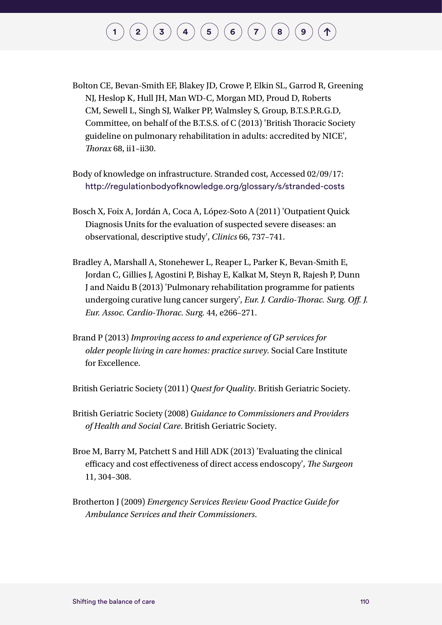- Bolton CE, Bevan-Smith EF, Blakey JD, Crowe P, Elkin SL, Garrod R, Greening NJ, Heslop K, Hull JH, Man WD-C, Morgan MD, Proud D, Roberts CM, Sewell L, Singh SJ, Walker PP, Walmsley S, Group, B.T.S.P.R.G.D, Committee, on behalf of the B.T.S.S. of C (2013) 'British Thoracic Society guideline on pulmonary rehabilitation in adults: accredited by NICE', *Thorax* 68, ii1–ii30.
- Body of knowledge on infrastructure. Stranded cost, Accessed 02/09/17: <http://regulationbodyofknowledge.org/glossary/s/stranded-costs>
- Bosch X, Foix A, Jordán A, Coca A, López-Soto A (2011) 'Outpatient Quick Diagnosis Units for the evaluation of suspected severe diseases: an observational, descriptive study', *Clinics* 66, 737–741.
- Bradley A, Marshall A, Stonehewer L, Reaper L, Parker K, Bevan-Smith E, Jordan C, Gillies J, Agostini P, Bishay E, Kalkat M, Steyn R, Rajesh P, Dunn J and Naidu B (2013) 'Pulmonary rehabilitation programme for patients undergoing curative lung cancer surgery', *Eur. J. Cardio-Thorac. Surg. Off. J. Eur. Assoc. Cardio-Thorac. Surg.* 44, e266–271.
- Brand P (2013) *Improving access to and experience of GP services for older people living in care homes: practice survey.* Social Care Institute for Excellence.

British Geriatric Society (2011) *Quest for Quality*. British Geriatric Society.

- British Geriatric Society (2008) *Guidance to Commissioners and Providers of Health and Social Care*. British Geriatric Society.
- Broe M, Barry M, Patchett S and Hill ADK (2013) 'Evaluating the clinical efficacy and cost effectiveness of direct access endoscopy', *The Surgeon* 11, 304–308.
- Brotherton J (2009) *Emergency Services Review Good Practice Guide for Ambulance Services and their Commissioners*.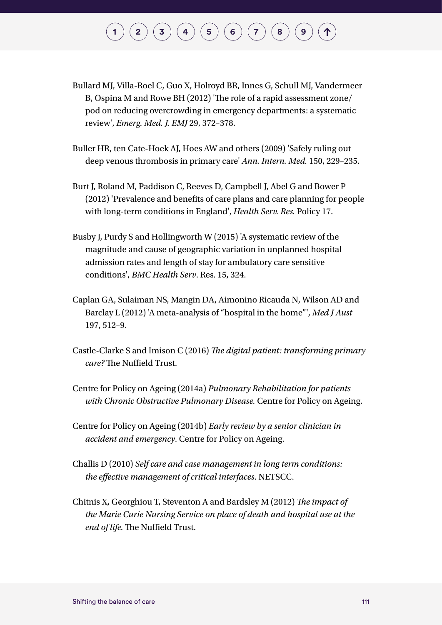- Bullard MJ, Villa-Roel C, Guo X, Holroyd BR, Innes G, Schull MJ, Vandermeer B, Ospina M and Rowe BH (2012) 'The role of a rapid assessment zone/ pod on reducing overcrowding in emergency departments: a systematic review', *Emerg. Med. J. EMJ* 29, 372–378.
- Buller HR, ten Cate-Hoek AJ, Hoes AW and others (2009) 'Safely ruling out deep venous thrombosis in primary care' *Ann. Intern. Med.* 150, 229–235.
- Burt J, Roland M, Paddison C, Reeves D, Campbell J, Abel G and Bower P (2012) 'Prevalence and benefits of care plans and care planning for people with long-term conditions in England', *Health Serv. Res.* Policy 17.
- Busby J, Purdy S and Hollingworth W (2015) 'A systematic review of the magnitude and cause of geographic variation in unplanned hospital admission rates and length of stay for ambulatory care sensitive conditions', *BMC Health Serv*. Res. 15, 324.
- Caplan GA, Sulaiman NS, Mangin DA, Aimonino Ricauda N, Wilson AD and Barclay L (2012) 'A meta-analysis of "hospital in the home"', *Med J Aust* 197, 512–9.
- Castle-Clarke S and Imison C (2016) *The digital patient: transforming primary care?* The Nuffield Trust.
- Centre for Policy on Ageing (2014a) *Pulmonary Rehabilitation for patients with Chronic Obstructive Pulmonary Disease.* Centre for Policy on Ageing.
- Centre for Policy on Ageing (2014b) *Early review by a senior clinician in accident and emergency*. Centre for Policy on Ageing.
- Challis D (2010) *Self care and case management in long term conditions: the effective management of critical interfaces*. NETSCC.
- Chitnis X, Georghiou T, Steventon A and Bardsley M (2012) *The impact of the Marie Curie Nursing Service on place of death and hospital use at the end of life.* The Nuffield Trust.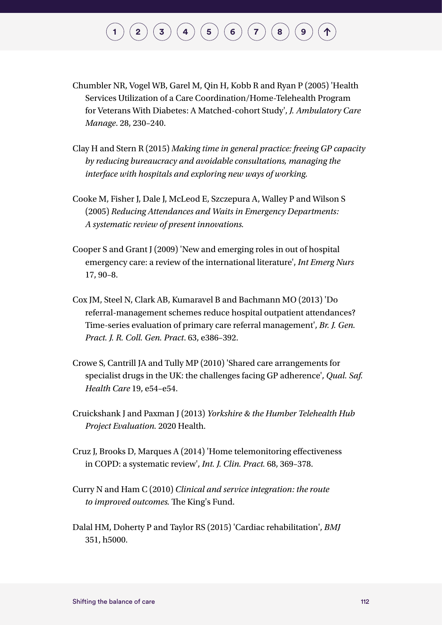- Chumbler NR, Vogel WB, Garel M, Qin H, Kobb R and Ryan P (2005) 'Health Services Utilization of a Care Coordination/Home-Telehealth Program for Veterans With Diabetes: A Matched-cohort Study', *J. Ambulatory Care Manage*. 28, 230–240.
- Clay H and Stern R (2015) *Making time in general practice: freeing GP capacity by reducing bureaucracy and avoidable consultations, managing the interface with hospitals and exploring new ways of working.*
- Cooke M, Fisher J, Dale J, McLeod E, Szczepura A, Walley P and Wilson S (2005) *Reducing Attendances and Waits in Emergency Departments: A systematic review of present innovations.*
- Cooper S and Grant J (2009) 'New and emerging roles in out of hospital emergency care: a review of the international literature', *Int Emerg Nurs* 17, 90–8.
- Cox JM, Steel N, Clark AB, Kumaravel B and Bachmann MO (2013) 'Do referral-management schemes reduce hospital outpatient attendances? Time-series evaluation of primary care referral management', *Br. J. Gen. Pract. J. R. Coll. Gen. Pract*. 63, e386–392.
- Crowe S, Cantrill JA and Tully MP (2010) 'Shared care arrangements for specialist drugs in the UK: the challenges facing GP adherence', *Qual. Saf. Health Care* 19, e54–e54.
- Cruickshank J and Paxman J (2013) *Yorkshire & the Humber Telehealth Hub Project Evaluation.* 2020 Health.
- Cruz J, Brooks D, Marques A (2014) 'Home telemonitoring effectiveness in COPD: a systematic review', *Int. J. Clin. Pract.* 68, 369–378.
- Curry N and Ham C (2010) *Clinical and service integration: the route to improved outcomes.* The King's Fund.
- Dalal HM, Doherty P and Taylor RS (2015) 'Cardiac rehabilitation', *BMJ* 351, h5000.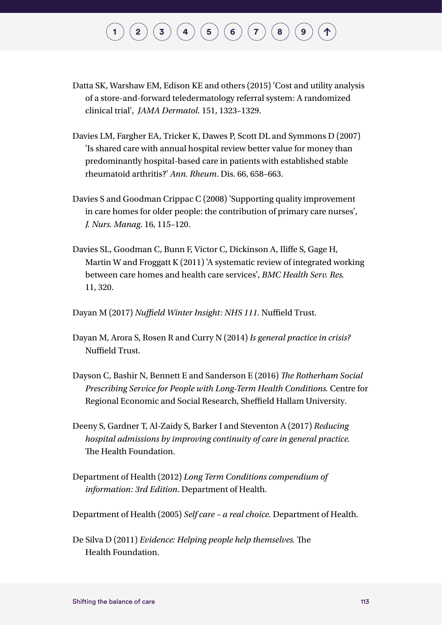- Datta SK, Warshaw EM, Edison KE and others (2015) 'Cost and utility analysis of a store-and-forward teledermatology referral system: A randomized clinical trial', *JAMA Dermatol.* 151, 1323–1329.
- Davies LM, Fargher EA, Tricker K, Dawes P, Scott DL and Symmons D (2007) 'Is shared care with annual hospital review better value for money than predominantly hospital-based care in patients with established stable rheumatoid arthritis?' *Ann. Rheum*. Dis. 66, 658–663.
- Davies S and Goodman Crippac C (2008) 'Supporting quality improvement in care homes for older people: the contribution of primary care nurses', *J. Nurs. Manag*. 16, 115–120.
- Davies SL, Goodman C, Bunn F, Victor C, Dickinson A, Iliffe S, Gage H, Martin W and Froggatt K (2011) 'A systematic review of integrated working between care homes and health care services', *BMC Health Serv. Res.*  11, 320.

Dayan M (2017) *Nuffield Winter Insight: NHS 111.* Nuffield Trust.

- Dayan M, Arora S, Rosen R and Curry N (2014) *Is general practice in crisis?* Nuffield Trust.
- Dayson C, Bashir N, Bennett E and Sanderson E (2016) *The Rotherham Social Prescribing Service for People with Long-Term Health Conditions.* Centre for Regional Economic and Social Research, Sheffield Hallam University.
- Deeny S, Gardner T, Al-Zaidy S, Barker I and Steventon A (2017) *Reducing hospital admissions by improving continuity of care in general practice.*  The Health Foundation.
- Department of Health (2012) *Long Term Conditions compendium of information: 3rd Edition*. Department of Health.

Department of Health (2005) *Self care – a real choice.* Department of Health.

De Silva D (2011) *Evidence: Helping people help themselves.* The Health Foundation.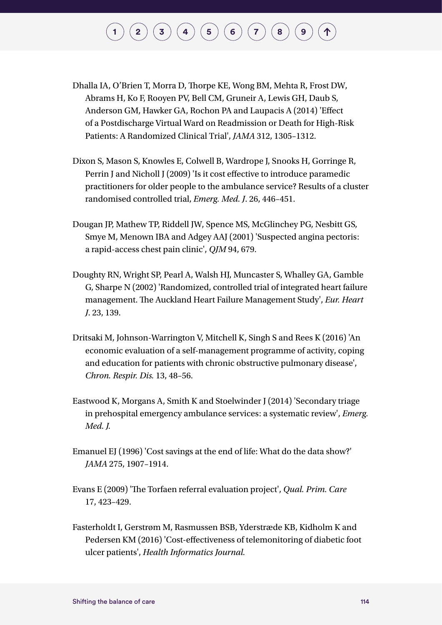# $\binom{1}{2}\binom{3}{4}\binom{4}{5}\binom{5}{6}\binom{7}{7}$  $\binom{1}{2}\binom{3}{4}\binom{4}{5}\binom{5}{6}\binom{7}{7}$  $\binom{1}{2}\binom{3}{4}\binom{4}{5}\binom{5}{6}\binom{7}{7}$  $\binom{1}{2}\binom{3}{4}\binom{4}{5}\binom{5}{6}\binom{7}{7}$  $\binom{1}{2}\binom{3}{4}\binom{4}{5}\binom{5}{6}\binom{7}{7}$  $\binom{1}{2}\binom{3}{4}\binom{4}{5}\binom{5}{6}\binom{7}{7}$  $\binom{1}{2}\binom{3}{4}\binom{4}{5}\binom{5}{6}\binom{7}{7}$  $\binom{1}{2}\binom{3}{4}\binom{4}{5}\binom{5}{6}\binom{7}{7}$  $\binom{1}{2}\binom{3}{4}\binom{4}{5}\binom{5}{6}\binom{7}{7}$  $\binom{1}{2}\binom{3}{4}\binom{4}{5}\binom{5}{6}\binom{7}{7}$  $\binom{1}{2}\binom{3}{4}\binom{4}{5}\binom{5}{6}\binom{7}{7}$  $\binom{1}{2}\binom{3}{4}\binom{4}{5}\binom{5}{6}\binom{7}{7}$  $\binom{1}{2}\binom{3}{4}\binom{4}{5}\binom{5}{6}\binom{7}{7}$  $\binom{1}{2}\binom{3}{4}\binom{4}{5}\binom{5}{6}\binom{7}{7}$  $\binom{1}{2}\binom{3}{4}\binom{4}{5}\binom{5}{6}\binom{7}{7}$

- Dhalla IA, O'Brien T, Morra D, Thorpe KE, Wong BM, Mehta R, Frost DW, Abrams H, Ko F, Rooyen PV, Bell CM, Gruneir A, Lewis GH, Daub S, Anderson GM, Hawker GA, Rochon PA and Laupacis A (2014) 'Effect of a Postdischarge Virtual Ward on Readmission or Death for High-Risk Patients: A Randomized Clinical Trial', *JAMA* 312, 1305–1312.
- Dixon S, Mason S, Knowles E, Colwell B, Wardrope J, Snooks H, Gorringe R, Perrin J and Nicholl J (2009) 'Is it cost effective to introduce paramedic practitioners for older people to the ambulance service? Results of a cluster randomised controlled trial, *Emerg. Med. J*. 26, 446–451.
- Dougan JP, Mathew TP, Riddell JW, Spence MS, McGlinchey PG, Nesbitt GS, Smye M, Menown IBA and Adgey AAJ (2001) 'Suspected angina pectoris: a rapid-access chest pain clinic', *QJM* 94, 679.
- Doughty RN, Wright SP, Pearl A, Walsh HJ, Muncaster S, Whalley GA, Gamble G, Sharpe N (2002) 'Randomized, controlled trial of integrated heart failure management. The Auckland Heart Failure Management Study', *Eur. Heart J*. 23, 139.
- Dritsaki M, Johnson-Warrington V, Mitchell K, Singh S and Rees K (2016) 'An economic evaluation of a self-management programme of activity, coping and education for patients with chronic obstructive pulmonary disease', *Chron. Respir. Dis.* 13, 48–56.
- Eastwood K, Morgans A, Smith K and Stoelwinder J (2014) 'Secondary triage in prehospital emergency ambulance services: a systematic review', *Emerg. Med. J.*
- Emanuel EJ (1996) 'Cost savings at the end of life: What do the data show?' *JAMA* 275, 1907–1914.
- Evans E (2009) 'The Torfaen referral evaluation project', *Qual. Prim. Care*  17, 423–429.
- Fasterholdt I, Gerstrøm M, Rasmussen BSB, Yderstræde KB, Kidholm K and Pedersen KM (2016) 'Cost-effectiveness of telemonitoring of diabetic foot ulcer patients', *Health Informatics Journal.*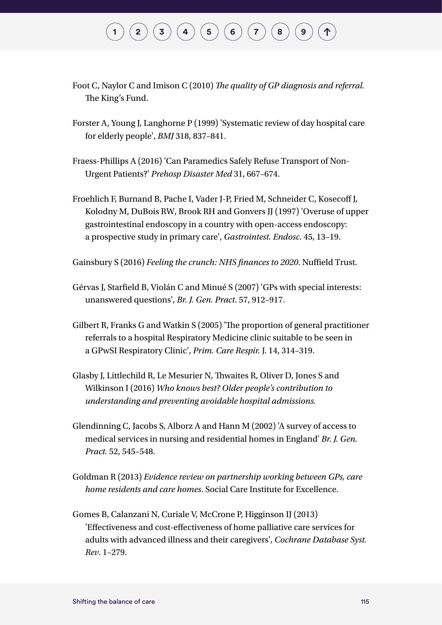- Foot C, Naylor C and Imison C (2010) *The quality of GP diagnosis and referral.*  The King's Fund.
- Forster A, Young J, Langhorne P (1999) 'Systematic review of day hospital care for elderly people', *BMJ* 318, 837–841.
- Fraess-Phillips A (2016) 'Can Paramedics Safely Refuse Transport of Non-Urgent Patients?' *Prehosp Disaster Med* 31, 667–674.
- Froehlich F, Burnand B, Pache I, Vader J-P, Fried M, Schneider C, Kosecoff J, Kolodny M, DuBois RW, Brook RH and Gonvers JJ (1997) 'Overuse of upper gastrointestinal endoscopy in a country with open-access endoscopy: a prospective study in primary care', *Gastrointest. Endosc.* 45, 13–19.

Gainsbury S (2016) *Feeling the crunch: NHS finances to 2020*. Nuffield Trust.

- Gérvas J, Starfield B, Violán C and Minué S (2007) 'GPs with special interests: unanswered questions', *Br. J. Gen. Pract*. 57, 912–917.
- Gilbert R, Franks G and Watkin S (2005) 'The proportion of general practitioner referrals to a hospital Respiratory Medicine clinic suitable to be seen in a GPwSI Respiratory Clinic', *Prim. Care Respir.* J. 14, 314–319.
- Glasby J, Littlechild R, Le Mesurier N, Thwaites R, Oliver D, Jones S and Wilkinson I (2016) *Who knows best? Older people's contribution to understanding and preventing avoidable hospital admissions.*
- Glendinning C, Jacobs S, Alborz A and Hann M (2002) 'A survey of access to medical services in nursing and residential homes in England' *Br. J. Gen. Pract.* 52, 545–548.
- Goldman R (2013) *Evidence review on partnership working between GPs, care home residents and care homes*. Social Care Institute for Excellence.
- Gomes B, Calanzani N, Curiale V, McCrone P, Higginson IJ (2013) 'Effectiveness and cost-effectiveness of home palliative care services for adults with advanced illness and their caregivers', *Cochrane Database Syst. Rev*. 1–279.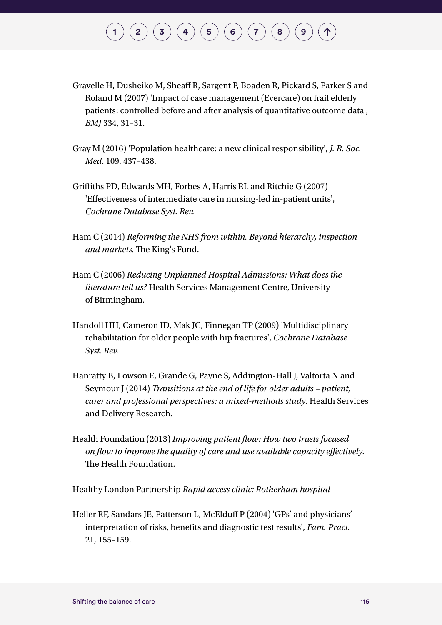- Gravelle H, Dusheiko M, Sheaff R, Sargent P, Boaden R, Pickard S, Parker S and Roland M (2007) 'Impact of case management (Evercare) on frail elderly patients: controlled before and after analysis of quantitative outcome data', *BMJ* 334, 31–31.
- Gray M (2016) 'Population healthcare: a new clinical responsibility', *J. R. Soc. Med*. 109, 437–438.
- Griffiths PD, Edwards MH, Forbes A, Harris RL and Ritchie G (2007) 'Effectiveness of intermediate care in nursing-led in-patient units', *Cochrane Database Syst. Rev.*
- Ham C (2014) *Reforming the NHS from within. Beyond hierarchy, inspection and markets.* The King's Fund.
- Ham C (2006) *Reducing Unplanned Hospital Admissions: What does the literature tell us?* Health Services Management Centre, University of Birmingham.
- Handoll HH, Cameron ID, Mak JC, Finnegan TP (2009) 'Multidisciplinary rehabilitation for older people with hip fractures', *Cochrane Database Syst. Rev.*
- Hanratty B, Lowson E, Grande G, Payne S, Addington-Hall J, Valtorta N and Seymour J (2014) *Transitions at the end of life for older adults – patient, carer and professional perspectives: a mixed-methods study.* Health Services and Delivery Research.
- Health Foundation (2013) *Improving patient flow: How two trusts focused on flow to improve the quality of care and use available capacity effectively.*  The Health Foundation.

Healthy London Partnership *Rapid access clinic: Rotherham hospital*

Heller RF, Sandars JE, Patterson L, McElduff P (2004) 'GPs' and physicians' interpretation of risks, benefits and diagnostic test results', *Fam. Pract.*  21, 155–159.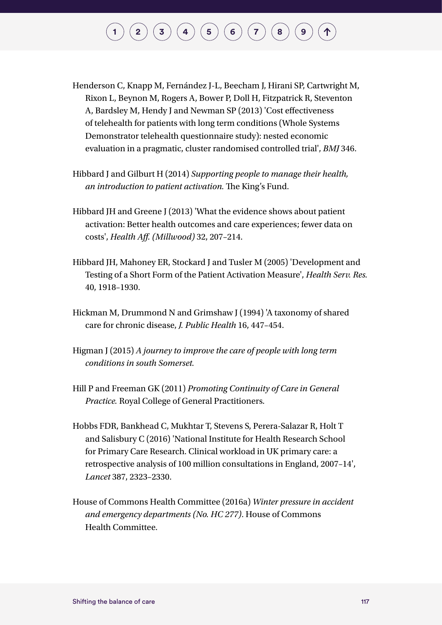- Henderson C, Knapp M, Fernández J-L, Beecham J, Hirani SP, Cartwright M, Rixon L, Beynon M, Rogers A, Bower P, Doll H, Fitzpatrick R, Steventon A, Bardsley M, Hendy J and Newman SP (2013) 'Cost effectiveness of telehealth for patients with long term conditions (Whole Systems Demonstrator telehealth questionnaire study): nested economic evaluation in a pragmatic, cluster randomised controlled trial', *BMJ* 346.
- Hibbard J and Gilburt H (2014) *Supporting people to manage their health, an introduction to patient activation.* The King's Fund.
- Hibbard JH and Greene J (2013) 'What the evidence shows about patient activation: Better health outcomes and care experiences; fewer data on costs', *Health Aff. (Millwood)* 32, 207–214.
- Hibbard JH, Mahoney ER, Stockard J and Tusler M (2005) 'Development and Testing of a Short Form of the Patient Activation Measure', *Health Serv. Res.*  40, 1918–1930.
- Hickman M, Drummond N and Grimshaw J (1994) 'A taxonomy of shared care for chronic disease, *J. Public Health* 16, 447–454.
- Higman J (2015) *A journey to improve the care of people with long term conditions in south Somerset.*
- Hill P and Freeman GK (2011) *Promoting Continuity of Care in General Practice.* Royal College of General Practitioners.
- Hobbs FDR, Bankhead C, Mukhtar T, Stevens S, Perera-Salazar R, Holt T and Salisbury C (2016) 'National Institute for Health Research School for Primary Care Research. Clinical workload in UK primary care: a retrospective analysis of 100 million consultations in England, 2007–14', *Lancet* 387, 2323–2330.
- House of Commons Health Committee (2016a) *Winter pressure in accident and emergency departments (No. HC 277)*. House of Commons Health Committee.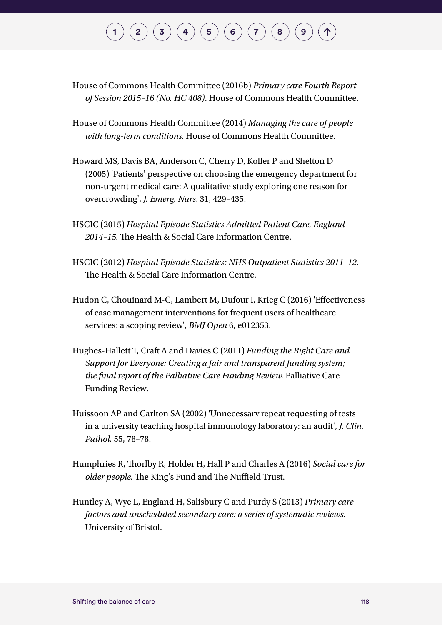House of Commons Health Committee (2016b) *Primary care Fourth Report of Session 2015–16 (No. HC 408)*. House of Commons Health Committee.

- House of Commons Health Committee (2014) *Managing the care of people with long-term conditions.* House of Commons Health Committee.
- Howard MS, Davis BA, Anderson C, Cherry D, Koller P and Shelton D (2005) 'Patients' perspective on choosing the emergency department for non-urgent medical care: A qualitative study exploring one reason for overcrowding', *J. Emerg. Nurs*. 31, 429–435.
- HSCIC (2015) *Hospital Episode Statistics Admitted Patient Care, England 2014–15.* The Health & Social Care Information Centre.
- HSCIC (2012) *Hospital Episode Statistics: NHS Outpatient Statistics 2011–12.*  The Health & Social Care Information Centre.
- Hudon C, Chouinard M-C, Lambert M, Dufour I, Krieg C (2016) 'Effectiveness of case management interventions for frequent users of healthcare services: a scoping review', *BMJ Open* 6, e012353.
- Hughes-Hallett T, Craft A and Davies C (2011) *Funding the Right Care and Support for Everyone: Creating a fair and transparent funding system; the final report of the Palliative Care Funding Review.* Palliative Care Funding Review.
- Huissoon AP and Carlton SA (2002) 'Unnecessary repeat requesting of tests in a university teaching hospital immunology laboratory: an audit', *J. Clin. Pathol.* 55, 78–78.
- Humphries R, Thorlby R, Holder H, Hall P and Charles A (2016) *Social care for older people.* The King's Fund and The Nuffield Trust.
- Huntley A, Wye L, England H, Salisbury C and Purdy S (2013) *Primary care factors and unscheduled secondary care: a series of systematic reviews.*  University of Bristol.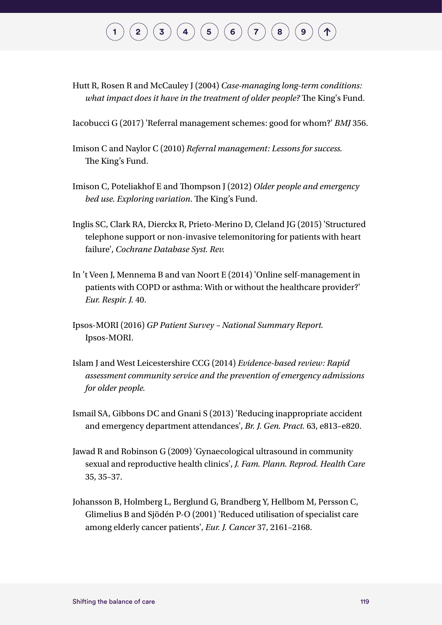Hutt R, Rosen R and McCauley J (2004) *Case-managing long-term conditions: what impact does it have in the treatment of older people?* The King's Fund.

Iacobucci G (2017) 'Referral management schemes: good for whom?' *BMJ* 356.

- Imison C and Naylor C (2010) *Referral management: Lessons for success.*  The King's Fund.
- Imison C, Poteliakhof E and Thompson J (2012) *Older people and emergency bed use. Exploring variation*. The King's Fund.
- Inglis SC, Clark RA, Dierckx R, Prieto-Merino D, Cleland JG (2015) 'Structured telephone support or non-invasive telemonitoring for patients with heart failure', *Cochrane Database Syst. Rev.*
- In 't Veen J, Mennema B and van Noort E (2014) 'Online self-management in patients with COPD or asthma: With or without the healthcare provider?' *Eur. Respir. J.* 40.
- Ipsos-MORI (2016) *GP Patient Survey National Summary Report.*  Ipsos-MORI.
- Islam J and West Leicestershire CCG (2014) *Evidence-based review: Rapid assessment community service and the prevention of emergency admissions for older people.*
- Ismail SA, Gibbons DC and Gnani S (2013) 'Reducing inappropriate accident and emergency department attendances', *Br. J. Gen. Pract.* 63, e813–e820.
- Jawad R and Robinson G (2009) 'Gynaecological ultrasound in community sexual and reproductive health clinics', *J. Fam. Plann. Reprod. Health Care*  35, 35–37.
- Johansson B, Holmberg L, Berglund G, Brandberg Y, Hellbom M, Persson C, Glimelius B and Sjödén P-O (2001) 'Reduced utilisation of specialist care among elderly cancer patients', *Eur. J. Cancer* 37, 2161–2168.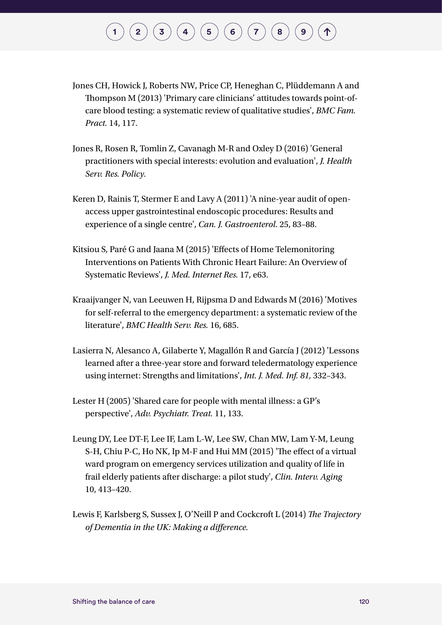- Jones CH, Howick J, Roberts NW, Price CP, Heneghan C, Plüddemann A and Thompson M (2013) 'Primary care clinicians' attitudes towards point-ofcare blood testing: a systematic review of qualitative studies', *BMC Fam. Pract.* 14, 117.
- Jones R, Rosen R, Tomlin Z, Cavanagh M-R and Oxley D (2016) 'General practitioners with special interests: evolution and evaluation', *J. Health Serv. Res. Policy.*
- Keren D, Rainis T, Stermer E and Lavy A (2011) 'A nine-year audit of openaccess upper gastrointestinal endoscopic procedures: Results and experience of a single centre', *Can. J. Gastroenterol.* 25, 83–88.
- Kitsiou S, Paré G and Jaana M (2015) 'Effects of Home Telemonitoring Interventions on Patients With Chronic Heart Failure: An Overview of Systematic Reviews', *J. Med. Internet Res.* 17, e63.
- Kraaijvanger N, van Leeuwen H, Rijpsma D and Edwards M (2016) 'Motives for self-referral to the emergency department: a systematic review of the literature', *BMC Health Serv. Res.* 16, 685.
- Lasierra N, Alesanco A, Gilaberte Y, Magallón R and García J (2012) 'Lessons learned after a three-year store and forward teledermatology experience using internet: Strengths and limitations', *Int. J. Med. Inf. 81,* 332–343.
- Lester H (2005) 'Shared care for people with mental illness: a GP's perspective', *Adv. Psychiatr. Treat.* 11, 133.
- Leung DY, Lee DT-F, Lee IF, Lam L-W, Lee SW, Chan MW, Lam Y-M, Leung S-H, Chiu P-C, Ho NK, Ip M-F and Hui MM (2015) 'The effect of a virtual ward program on emergency services utilization and quality of life in frail elderly patients after discharge: a pilot study', *Clin. Interv. Aging*  10, 413–420.
- Lewis F, Karlsberg S, Sussex J, O'Neill P and Cockcroft L (2014) *The Trajectory of Dementia in the UK: Making a difference.*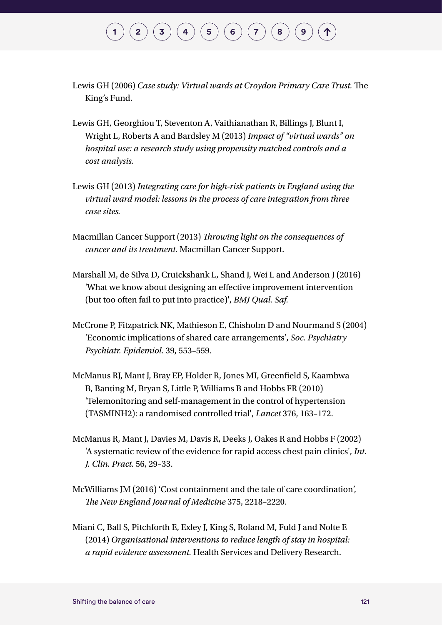#### $\binom{1}{2}\binom{3}{4}\binom{4}{5}\binom{5}{6}\binom{7}{7}$  $\binom{1}{2}\binom{3}{4}\binom{4}{5}\binom{5}{6}\binom{7}{7}$  $\binom{1}{2}\binom{3}{4}\binom{4}{5}\binom{5}{6}\binom{7}{7}$  $\binom{1}{2}\binom{3}{4}\binom{4}{5}\binom{5}{6}\binom{7}{7}$  $\binom{1}{2}\binom{3}{4}\binom{4}{5}\binom{5}{6}\binom{7}{7}$  $\binom{1}{2}\binom{3}{4}\binom{4}{5}\binom{5}{6}\binom{7}{7}$  $\binom{1}{2}\binom{3}{4}\binom{4}{5}\binom{5}{6}\binom{7}{7}$  $\binom{1}{2}\binom{3}{4}\binom{4}{5}\binom{5}{6}\binom{7}{7}$  $\binom{1}{2}\binom{3}{4}\binom{4}{5}\binom{5}{6}\binom{7}{7}$  $\binom{1}{2}\binom{3}{4}\binom{4}{5}\binom{5}{6}\binom{7}{7}$  $\binom{1}{2}\binom{3}{4}\binom{4}{5}\binom{5}{6}\binom{7}{7}$  $\binom{1}{2}\binom{3}{4}\binom{4}{5}\binom{5}{6}\binom{7}{7}$  $\binom{1}{2}\binom{3}{4}\binom{4}{5}\binom{5}{6}\binom{7}{7}$  $\binom{1}{2}\binom{3}{4}\binom{4}{5}\binom{5}{6}\binom{7}{7}$  $\binom{1}{2}\binom{3}{4}\binom{4}{5}\binom{5}{6}\binom{7}{7}$

- Lewis GH (2006) *Case study: Virtual wards at Croydon Primary Care Trust.* The King's Fund.
- Lewis GH, Georghiou T, Steventon A, Vaithianathan R, Billings J, Blunt I, Wright L, Roberts A and Bardsley M (2013) *Impact of "virtual wards" on hospital use: a research study using propensity matched controls and a cost analysis.*
- Lewis GH (2013) *Integrating care for high-risk patients in England using the virtual ward model: lessons in the process of care integration from three case sites.*
- Macmillan Cancer Support (2013) *Throwing light on the consequences of cancer and its treatment.* Macmillan Cancer Support.
- Marshall M, de Silva D, Cruickshank L, Shand J, Wei L and Anderson J (2016) 'What we know about designing an effective improvement intervention (but too often fail to put into practice)', *BMJ Qual. Saf.*
- McCrone P, Fitzpatrick NK, Mathieson E, Chisholm D and Nourmand S (2004) 'Economic implications of shared care arrangements', *Soc. Psychiatry Psychiatr. Epidemiol.* 39, 553–559.
- McManus RJ, Mant J, Bray EP, Holder R, Jones MI, Greenfield S, Kaambwa B, Banting M, Bryan S, Little P, Williams B and Hobbs FR (2010) 'Telemonitoring and self-management in the control of hypertension (TASMINH2): a randomised controlled trial', *Lancet* 376, 163–172.
- McManus R, Mant J, Davies M, Davis R, Deeks J, Oakes R and Hobbs F (2002) 'A systematic review of the evidence for rapid access chest pain clinics', *Int. J. Clin. Pract.* 56, 29–33.
- McWilliams JM (2016) 'Cost containment and the tale of care coordination', *The New England Journal of Medicine* 375, 2218–2220.
- Miani C, Ball S, Pitchforth E, Exley J, King S, Roland M, Fuld J and Nolte E (2014) *Organisational interventions to reduce length of stay in hospital: a rapid evidence assessment.* Health Services and Delivery Research.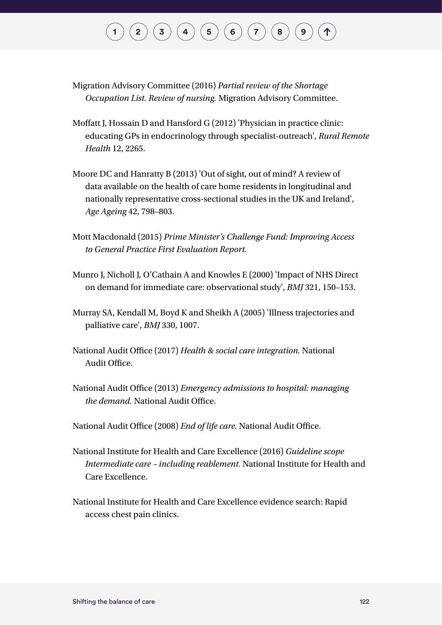Migration Advisory Committee (2016) *Partial review of the Shortage Occupation List. Review of nursing.* Migration Advisory Committee.

- Moffatt J, Hossain D and Hansford G (2012) 'Physician in practice clinic: educating GPs in endocrinology through specialist-outreach', *Rural Remote Health* 12, 2265.
- Moore DC and Hanratty B (2013) 'Out of sight, out of mind? A review of data available on the health of care home residents in longitudinal and nationally representative cross-sectional studies in the UK and Ireland', *Age Ageing* 42, 798–803.
- Mott Macdonald (2015) *Prime Minister's Challenge Fund: Improving Access to General Practice First Evaluation Report.*
- Munro J, Nicholl J, O'Cathain A and Knowles E (2000) 'Impact of NHS Direct on demand for immediate care: observational study', *BMJ* 321, 150–153.
- Murray SA, Kendall M, Boyd K and Sheikh A (2005) 'Illness trajectories and palliative care', *BMJ* 330, 1007.
- National Audit Office (2017) *Health & social care integration.* National Audit Office.
- National Audit Office (2013) *Emergency admissions to hospital: managing the demand.* National Audit Office.
- National Audit Office (2008) *End of life care.* National Audit Office.
- National Institute for Health and Care Excellence (2016) *Guideline scope Intermediate care – including reablement.* National Institute for Health and Care Excellence.
- National Institute for Health and Care Excellence evidence search: Rapid access chest pain clinics.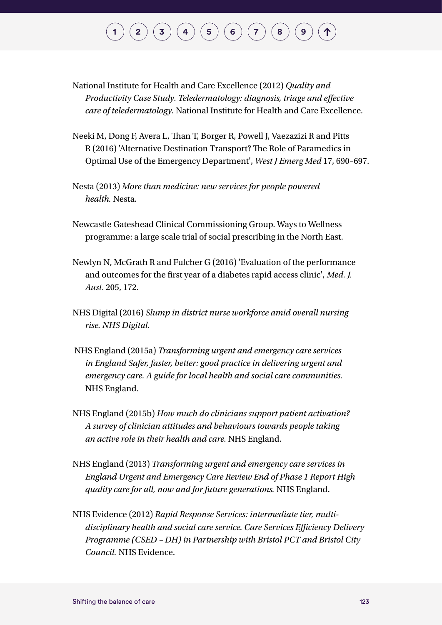# $\binom{1}{2}\binom{3}{4}\binom{4}{5}\binom{5}{6}\binom{7}{7}$  $\binom{1}{2}\binom{3}{4}\binom{4}{5}\binom{5}{6}\binom{7}{7}$  $\binom{1}{2}\binom{3}{4}\binom{4}{5}\binom{5}{6}\binom{7}{7}$  $\binom{1}{2}\binom{3}{4}\binom{4}{5}\binom{5}{6}\binom{7}{7}$  $\binom{1}{2}\binom{3}{4}\binom{4}{5}\binom{5}{6}\binom{7}{7}$  $\binom{1}{2}\binom{3}{4}\binom{4}{5}\binom{5}{6}\binom{7}{7}$  $\binom{1}{2}\binom{3}{4}\binom{4}{5}\binom{5}{6}\binom{7}{7}$  $\binom{1}{2}\binom{3}{4}\binom{4}{5}\binom{5}{6}\binom{7}{7}$  $\binom{1}{2}\binom{3}{4}\binom{4}{5}\binom{5}{6}\binom{7}{7}$  $\binom{1}{2}\binom{3}{4}\binom{4}{5}\binom{5}{6}\binom{7}{7}$  $\binom{1}{2}\binom{3}{4}\binom{4}{5}\binom{5}{6}\binom{7}{7}$  $\binom{1}{2}\binom{3}{4}\binom{4}{5}\binom{5}{6}\binom{7}{7}$  $\binom{1}{2}\binom{3}{4}\binom{4}{5}\binom{5}{6}\binom{7}{7}$  $\binom{1}{2}\binom{3}{4}\binom{4}{5}\binom{5}{6}\binom{7}{7}$  $\binom{1}{2}\binom{3}{4}\binom{4}{5}\binom{5}{6}\binom{7}{7}$

- National Institute for Health and Care Excellence (2012) *Quality and Productivity Case Study. Teledermatology: diagnosis, triage and effective care of teledermatology.* National Institute for Health and Care Excellence.
- Neeki M, Dong F, Avera L, Than T, Borger R, Powell J, Vaezazizi R and Pitts R (2016) 'Alternative Destination Transport? The Role of Paramedics in Optimal Use of the Emergency Department', *West J Emerg Med* 17, 690–697.
- Nesta (2013) *More than medicine: new services for people powered health.* Nesta.
- Newcastle Gateshead Clinical Commissioning Group. Ways to Wellness programme: a large scale trial of social prescribing in the North East.
- Newlyn N, McGrath R and Fulcher G (2016) 'Evaluation of the performance and outcomes for the first year of a diabetes rapid access clinic', *Med. J. Aust*. 205, 172.
- NHS Digital (2016) *Slump in district nurse workforce amid overall nursing rise. NHS Digital.*
- NHS England (2015a) *Transforming urgent and emergency care services in England Safer, faster, better: good practice in delivering urgent and emergency care. A guide for local health and social care communities.*  NHS England.
- NHS England (2015b) *How much do clinicians support patient activation? A survey of clinician attitudes and behaviours towards people taking an active role in their health and care.* NHS England.
- NHS England (2013) *Transforming urgent and emergency care services in England Urgent and Emergency Care Review End of Phase 1 Report High quality care for all, now and for future generations.* NHS England.
- NHS Evidence (2012) *Rapid Response Services: intermediate tier, multidisciplinary health and social care service. Care Services Efficiency Delivery Programme (CSED – DH) in Partnership with Bristol PCT and Bristol City Council.* NHS Evidence.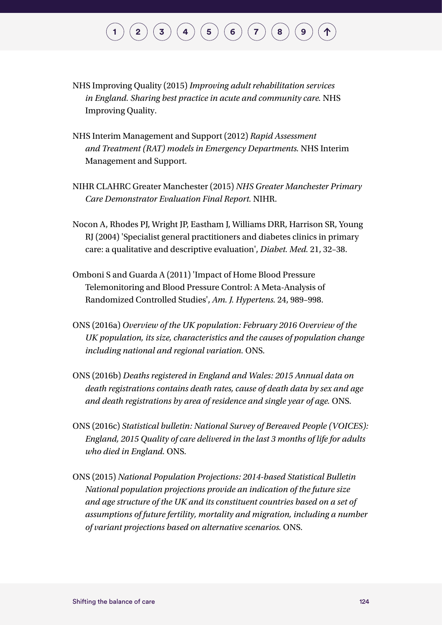- NHS Improving Quality (2015) *Improving adult rehabilitation services in England. Sharing best practice in acute and community care.* NHS Improving Quality.
- NHS Interim Management and Support (2012) *Rapid Assessment and Treatment (RAT) models in Emergency Departments.* NHS Interim Management and Support.
- NIHR CLAHRC Greater Manchester (2015) *NHS Greater Manchester Primary Care Demonstrator Evaluation Final Report.* NIHR.
- Nocon A, Rhodes PJ, Wright JP, Eastham J, Williams DRR, Harrison SR, Young RJ (2004) 'Specialist general practitioners and diabetes clinics in primary care: a qualitative and descriptive evaluation', *Diabet. Med.* 21, 32–38.
- Omboni S and Guarda A (2011) 'Impact of Home Blood Pressure Telemonitoring and Blood Pressure Control: A Meta-Analysis of Randomized Controlled Studies', *Am. J. Hypertens.* 24, 989–998.
- ONS (2016a) *Overview of the UK population: February 2016 Overview of the UK population, its size, characteristics and the causes of population change including national and regional variation.* ONS.
- ONS (2016b) *Deaths registered in England and Wales: 2015 Annual data on death registrations contains death rates, cause of death data by sex and age and death registrations by area of residence and single year of age.* ONS.
- ONS (2016c) *Statistical bulletin: National Survey of Bereaved People (VOICES): England, 2015 Quality of care delivered in the last 3 months of life for adults who died in England.* ONS.
- ONS (2015) *National Population Projections: 2014-based Statistical Bulletin National population projections provide an indication of the future size and age structure of the UK and its constituent countries based on a set of assumptions of future fertility, mortality and migration, including a number of variant projections based on alternative scenarios.* ONS.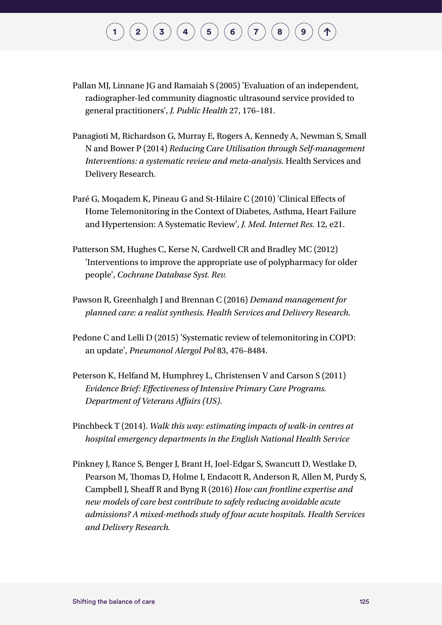- Pallan MJ, Linnane JG and Ramaiah S (2005) 'Evaluation of an independent, radiographer-led community diagnostic ultrasound service provided to general practitioners', *J. Public Health* 27, 176–181.
- Panagioti M, Richardson G, Murray E, Rogers A, Kennedy A, Newman S, Small N and Bower P (2014) *Reducing Care Utilisation through Self-management Interventions: a systematic review and meta-analysis.* Health Services and Delivery Research.
- Paré G, Moqadem K, Pineau G and St-Hilaire C (2010) 'Clinical Effects of Home Telemonitoring in the Context of Diabetes, Asthma, Heart Failure and Hypertension: A Systematic Review', *J. Med. Internet Res.* 12, e21.
- Patterson SM, Hughes C, Kerse N, Cardwell CR and Bradley MC (2012) 'Interventions to improve the appropriate use of polypharmacy for older people', *Cochrane Database Syst. Rev.*
- Pawson R, Greenhalgh J and Brennan C (2016) *Demand management for planned care: a realist synthesis. Health Services and Delivery Research.*
- Pedone C and Lelli D (2015) 'Systematic review of telemonitoring in COPD: an update', *Pneumonol Alergol Pol* 83, 476–8484.
- Peterson K, Helfand M, Humphrey L, Christensen V and Carson S (2011) *Evidence Brief: Effectiveness of Intensive Primary Care Programs. Department of Veterans Affairs (US).*
- Pinchbeck T (2014). *Walk this way: estimating impacts of walk-in centres at hospital emergency departments in the English National Health Service*
- Pinkney J, Rance S, Benger J, Brant H, Joel-Edgar S, Swancutt D, Westlake D, Pearson M, Thomas D, Holme I, Endacott R, Anderson R, Allen M, Purdy S, Campbell J, Sheaff R and Byng R (2016) *How can frontline expertise and new models of care best contribute to safely reducing avoidable acute admissions? A mixed-methods study of four acute hospitals. Health Services and Delivery Research.*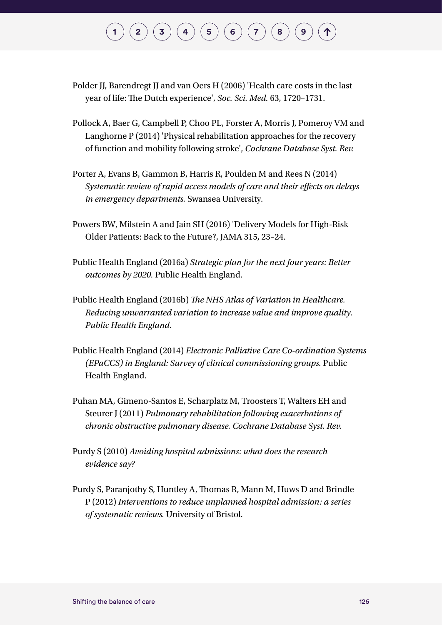- Polder JJ, Barendregt JJ and van Oers H (2006) 'Health care costs in the last year of life: The Dutch experience', *Soc. Sci. Med.* 63, 1720–1731.
- Pollock A, Baer G, Campbell P, Choo PL, Forster A, Morris J, Pomeroy VM and Langhorne P (2014) 'Physical rehabilitation approaches for the recovery of function and mobility following stroke', *Cochrane Database Syst. Rev.*
- Porter A, Evans B, Gammon B, Harris R, Poulden M and Rees N (2014) *Systematic review of rapid access models of care and their effects on delays in emergency departments.* Swansea University*.*
- Powers BW, Milstein A and Jain SH (2016) 'Delivery Models for High-Risk Older Patients: Back to the Future?, JAMA 315, 23–24.
- Public Health England (2016a) *Strategic plan for the next four years: Better outcomes by 2020.* Public Health England.
- Public Health England (2016b) *The NHS Atlas of Variation in Healthcare. Reducing unwarranted variation to increase value and improve quality. Public Health England.*
- Public Health England (2014) *Electronic Palliative Care Co-ordination Systems (EPaCCS) in England: Survey of clinical commissioning groups.* Public Health England.
- Puhan MA, Gimeno-Santos E, Scharplatz M, Troosters T, Walters EH and Steurer J (2011) *Pulmonary rehabilitation following exacerbations of chronic obstructive pulmonary disease. Cochrane Database Syst. Rev.*
- Purdy S (2010) *Avoiding hospital admissions: what does the research evidence say?*
- Purdy S, Paranjothy S, Huntley A, Thomas R, Mann M, Huws D and Brindle P (2012) *Interventions to reduce unplanned hospital admission: a series of systematic reviews.* University of Bristol*.*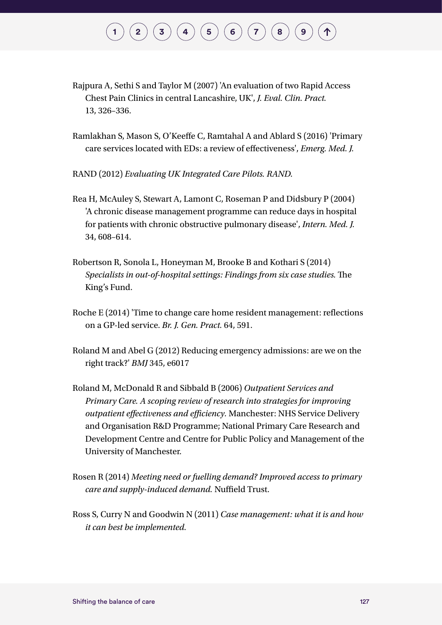- Rajpura A, Sethi S and Taylor M (2007) 'An evaluation of two Rapid Access Chest Pain Clinics in central Lancashire, UK', *J. Eval. Clin. Pract.*  13, 326–336.
- Ramlakhan S, Mason S, O'Keeffe C, Ramtahal A and Ablard S (2016) 'Primary care services located with EDs: a review of effectiveness', *Emerg. Med. J.*
- RAND (2012) *Evaluating UK Integrated Care Pilots. RAND.*
- Rea H, McAuley S, Stewart A, Lamont C, Roseman P and Didsbury P (2004) 'A chronic disease management programme can reduce days in hospital for patients with chronic obstructive pulmonary disease', *Intern. Med. J.*  34, 608–614.
- Robertson R, Sonola L, Honeyman M, Brooke B and Kothari S (2014) *Specialists in out-of-hospital settings: Findings from six case studies.* The King's Fund.
- Roche E (2014) 'Time to change care home resident management: reflections on a GP-led service. *Br. J. Gen. Pract.* 64, 591.
- Roland M and Abel G (2012) Reducing emergency admissions: are we on the right track?' *BMJ* 345, e6017
- Roland M, McDonald R and Sibbald B (2006) *Outpatient Services and Primary Care. A scoping review of research into strategies for improving outpatient effectiveness and efficiency.* Manchester: NHS Service Delivery and Organisation R&D Programme; National Primary Care Research and Development Centre and Centre for Public Policy and Management of the University of Manchester.
- Rosen R (2014) *Meeting need or fuelling demand? Improved access to primary care and supply-induced demand.* Nuffield Trust.
- Ross S, Curry N and Goodwin N (2011) *Case management: what it is and how it can best be implemented.*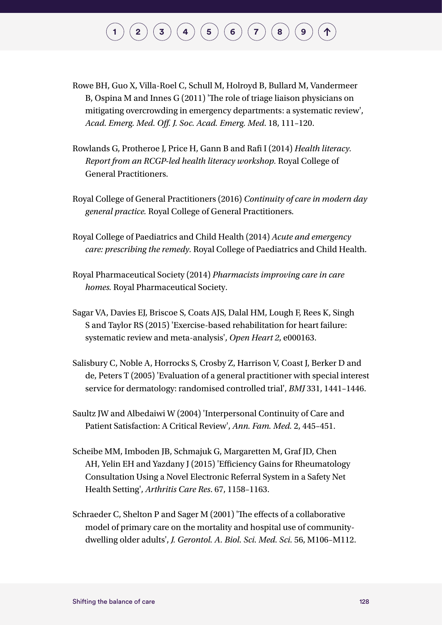#### $\binom{1}{2}\binom{3}{4}\binom{4}{5}\binom{5}{6}\binom{7}{7}$  $\binom{1}{2}\binom{3}{4}\binom{4}{5}\binom{5}{6}\binom{7}{7}$  $\binom{1}{2}\binom{3}{4}\binom{4}{5}\binom{5}{6}\binom{7}{7}$  $\binom{1}{2}\binom{3}{4}\binom{4}{5}\binom{5}{6}\binom{7}{7}$  $\binom{1}{2}\binom{3}{4}\binom{4}{5}\binom{5}{6}\binom{7}{7}$  $\binom{1}{2}\binom{3}{4}\binom{4}{5}\binom{5}{6}\binom{7}{7}$  $\binom{1}{2}\binom{3}{4}\binom{4}{5}\binom{5}{6}\binom{7}{7}$  $\binom{1}{2}\binom{3}{4}\binom{4}{5}\binom{5}{6}\binom{7}{7}$  $\binom{1}{2}\binom{3}{4}\binom{4}{5}\binom{5}{6}\binom{7}{7}$  $\binom{1}{2}\binom{3}{4}\binom{4}{5}\binom{5}{6}\binom{7}{7}$  $\binom{1}{2}\binom{3}{4}\binom{4}{5}\binom{5}{6}\binom{7}{7}$  $\binom{1}{2}\binom{3}{4}\binom{4}{5}\binom{5}{6}\binom{7}{7}$  $\binom{1}{2}\binom{3}{4}\binom{4}{5}\binom{5}{6}\binom{7}{7}$  $\binom{1}{2}\binom{3}{4}\binom{4}{5}\binom{5}{6}\binom{7}{7}$  $\binom{1}{2}\binom{3}{4}\binom{4}{5}\binom{5}{6}\binom{7}{7}$

- Rowe BH, Guo X, Villa-Roel C, Schull M, Holroyd B, Bullard M, Vandermeer B, Ospina M and Innes G (2011) 'The role of triage liaison physicians on mitigating overcrowding in emergency departments: a systematic review', *Acad. Emerg. Med. Off. J. Soc. Acad. Emerg. Med*. 18, 111–120.
- Rowlands G, Protheroe J, Price H, Gann B and Rafi I (2014) *Health literacy. Report from an RCGP-led health literacy workshop.* Royal College of General Practitioners.
- Royal College of General Practitioners (2016) *Continuity of care in modern day general practice.* Royal College of General Practitioners.
- Royal College of Paediatrics and Child Health (2014) *Acute and emergency care: prescribing the remedy.* Royal College of Paediatrics and Child Health.
- Royal Pharmaceutical Society (2014) *Pharmacists improving care in care homes.* Royal Pharmaceutical Society.
- Sagar VA, Davies EJ, Briscoe S, Coats AJS, Dalal HM, Lough F, Rees K, Singh S and Taylor RS (2015) 'Exercise-based rehabilitation for heart failure: systematic review and meta-analysis', *Open Heart 2*, e000163.
- Salisbury C, Noble A, Horrocks S, Crosby Z, Harrison V, Coast J, Berker D and de, Peters T (2005) 'Evaluation of a general practitioner with special interest service for dermatology: randomised controlled trial', *BMJ* 331, 1441–1446.
- Saultz JW and Albedaiwi W (2004) 'Interpersonal Continuity of Care and Patient Satisfaction: A Critical Review', *Ann. Fam. Med.* 2, 445–451.
- Scheibe MM, Imboden JB, Schmajuk G, Margaretten M, Graf JD, Chen AH, Yelin EH and Yazdany J (2015) 'Efficiency Gains for Rheumatology Consultation Using a Novel Electronic Referral System in a Safety Net Health Setting', *Arthritis Care Res*. 67, 1158–1163.
- Schraeder C, Shelton P and Sager M (2001) 'The effects of a collaborative model of primary care on the mortality and hospital use of communitydwelling older adults', *J. Gerontol. A. Biol. Sci. Med. Sci.* 56, M106–M112.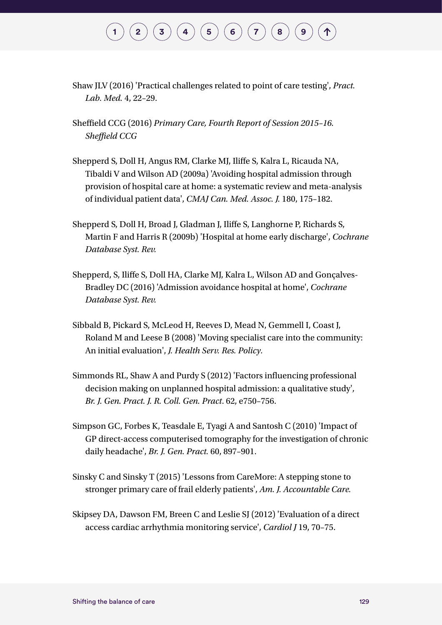- Shaw JLV (2016) 'Practical challenges related to point of care testing', *Pract. Lab. Med.* 4, 22–29.
- Sheffield CCG (2016) *Primary Care, Fourth Report of Session 2015–16. Sheffield CCG*
- Shepperd S, Doll H, Angus RM, Clarke MJ, Iliffe S, Kalra L, Ricauda NA, Tibaldi V and Wilson AD (2009a) 'Avoiding hospital admission through provision of hospital care at home: a systematic review and meta-analysis of individual patient data', *CMAJ Can. Med. Assoc. J.* 180, 175–182.
- Shepperd S, Doll H, Broad J, Gladman J, Iliffe S, Langhorne P, Richards S, Martin F and Harris R (2009b) 'Hospital at home early discharge', *Cochrane Database Syst. Rev.*
- Shepperd, S, Iliffe S, Doll HA, Clarke MJ, Kalra L, Wilson AD and Gonçalves-Bradley DC (2016) 'Admission avoidance hospital at home', *Cochrane Database Syst. Rev.*
- Sibbald B, Pickard S, McLeod H, Reeves D, Mead N, Gemmell I, Coast J, Roland M and Leese B (2008) 'Moving specialist care into the community: An initial evaluation', *J. Health Serv. Res. Policy.*
- Simmonds RL, Shaw A and Purdy S (2012) 'Factors influencing professional decision making on unplanned hospital admission: a qualitative study', *Br. J. Gen. Pract. J. R. Coll. Gen. Pract*. 62, e750–756.
- Simpson GC, Forbes K, Teasdale E, Tyagi A and Santosh C (2010) 'Impact of GP direct-access computerised tomography for the investigation of chronic daily headache', *Br. J. Gen. Pract.* 60, 897–901.
- Sinsky C and Sinsky T (2015) 'Lessons from CareMore: A stepping stone to stronger primary care of frail elderly patients', *Am. J. Accountable Care.*
- Skipsey DA, Dawson FM, Breen C and Leslie SJ (2012) 'Evaluation of a direct access cardiac arrhythmia monitoring service', *Cardiol J* 19, 70–75.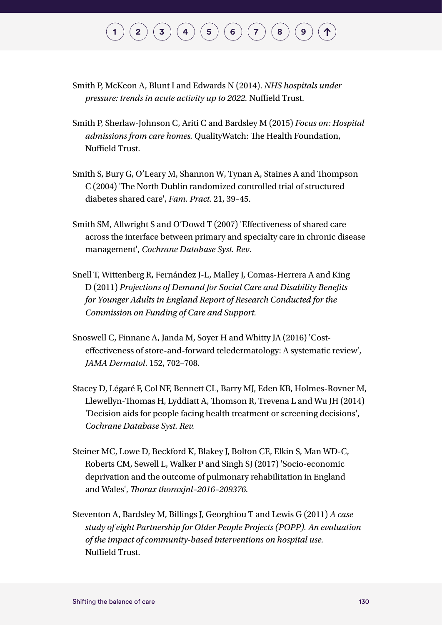# $\binom{1}{2}\binom{3}{4}\binom{4}{5}\binom{5}{6}\binom{7}{7}$  $\binom{1}{2}\binom{3}{4}\binom{4}{5}\binom{5}{6}\binom{7}{7}$  $\binom{1}{2}\binom{3}{4}\binom{4}{5}\binom{5}{6}\binom{7}{7}$  $\binom{1}{2}\binom{3}{4}\binom{4}{5}\binom{5}{6}\binom{7}{7}$  $\binom{1}{2}\binom{3}{4}\binom{4}{5}\binom{5}{6}\binom{7}{7}$  $\binom{1}{2}\binom{3}{4}\binom{4}{5}\binom{5}{6}\binom{7}{7}$  $\binom{1}{2}\binom{3}{4}\binom{4}{5}\binom{5}{6}\binom{7}{7}$  $\binom{1}{2}\binom{3}{4}\binom{4}{5}\binom{5}{6}\binom{7}{7}$  $\binom{1}{2}\binom{3}{4}\binom{4}{5}\binom{5}{6}\binom{7}{7}$  $\binom{1}{2}\binom{3}{4}\binom{4}{5}\binom{5}{6}\binom{7}{7}$  $\binom{1}{2}\binom{3}{4}\binom{4}{5}\binom{5}{6}\binom{7}{7}$  $\binom{1}{2}\binom{3}{4}\binom{4}{5}\binom{5}{6}\binom{7}{7}$  $\binom{1}{2}\binom{3}{4}\binom{4}{5}\binom{5}{6}\binom{7}{7}$  $\binom{1}{2}\binom{3}{4}\binom{4}{5}\binom{5}{6}\binom{7}{7}$  $\binom{1}{2}\binom{3}{4}\binom{4}{5}\binom{5}{6}\binom{7}{7}$

- Smith P, McKeon A, Blunt I and Edwards N (2014). *NHS hospitals under pressure: trends in acute activity up to 2022.* Nuffield Trust.
- Smith P, Sherlaw-Johnson C, Ariti C and Bardsley M (2015) *Focus on: Hospital admissions from care homes.* QualityWatch: The Health Foundation, Nuffield Trust.
- Smith S, Bury G, O'Leary M, Shannon W, Tynan A, Staines A and Thompson C (2004) 'The North Dublin randomized controlled trial of structured diabetes shared care', *Fam. Pract.* 21, 39–45.
- Smith SM, Allwright S and O'Dowd T (2007) 'Effectiveness of shared care across the interface between primary and specialty care in chronic disease management', *Cochrane Database Syst. Rev*.
- Snell T, Wittenberg R, Fernández J-L, Malley J, Comas-Herrera A and King D (2011) *Projections of Demand for Social Care and Disability Benefits for Younger Adults in England Report of Research Conducted for the Commission on Funding of Care and Support.*
- Snoswell C, Finnane A, Janda M, Soyer H and Whitty JA (2016) 'Costeffectiveness of store-and-forward teledermatology: A systematic review', *JAMA Dermatol*. 152, 702–708.
- Stacey D, Légaré F, Col NF, Bennett CL, Barry MJ, Eden KB, Holmes-Rovner M, Llewellyn-Thomas H, Lyddiatt A, Thomson R, Trevena L and Wu JH (2014) 'Decision aids for people facing health treatment or screening decisions', *Cochrane Database Syst. Rev.*
- Steiner MC, Lowe D, Beckford K, Blakey J, Bolton CE, Elkin S, Man WD-C, Roberts CM, Sewell L, Walker P and Singh SJ (2017) 'Socio-economic deprivation and the outcome of pulmonary rehabilitation in England and Wales', *Thorax thoraxjnl–2016–209376.*
- Steventon A, Bardsley M, Billings J, Georghiou T and Lewis G (2011) *A case study of eight Partnership for Older People Projects (POPP). An evaluation of the impact of community-based interventions on hospital use.*  Nuffield Trust.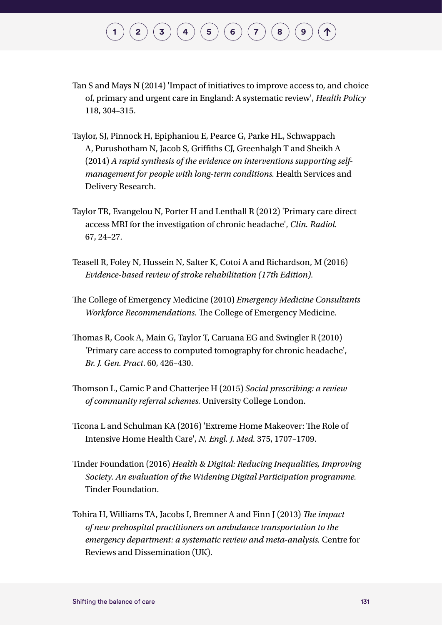- Tan S and Mays N (2014) 'Impact of initiatives to improve access to, and choice of, primary and urgent care in England: A systematic review', *Health Policy*  118, 304–315.
- Taylor, SJ, Pinnock H, Epiphaniou E, Pearce G, Parke HL, Schwappach A, Purushotham N, Jacob S, Griffiths CJ, Greenhalgh T and Sheikh A (2014) *A rapid synthesis of the evidence on interventions supporting selfmanagement for people with long-term conditions.* Health Services and Delivery Research.
- Taylor TR, Evangelou N, Porter H and Lenthall R (2012) 'Primary care direct access MRI for the investigation of chronic headache', *Clin. Radiol.*  67, 24–27.
- Teasell R, Foley N, Hussein N, Salter K, Cotoi A and Richardson, M (2016) *Evidence-based review of stroke rehabilitation (17th Edition).*
- The College of Emergency Medicine (2010) *Emergency Medicine Consultants Workforce Recommendations.* The College of Emergency Medicine.
- Thomas R, Cook A, Main G, Taylor T, Caruana EG and Swingler R (2010) 'Primary care access to computed tomography for chronic headache', *Br. J. Gen. Pract*. 60, 426–430.
- Thomson L, Camic P and Chatterjee H (2015) *Social prescribing: a review of community referral schemes.* University College London.
- Ticona L and Schulman KA (2016) 'Extreme Home Makeover: The Role of Intensive Home Health Care', *N. Engl. J. Med.* 375, 1707–1709.
- Tinder Foundation (2016) *Health & Digital: Reducing Inequalities, Improving Society. An evaluation of the Widening Digital Participation programme.*  Tinder Foundation.
- Tohira H, Williams TA, Jacobs I, Bremner A and Finn J (2013) *The impact of new prehospital practitioners on ambulance transportation to the emergency department: a systematic review and meta-analysis.* Centre for Reviews and Dissemination (UK).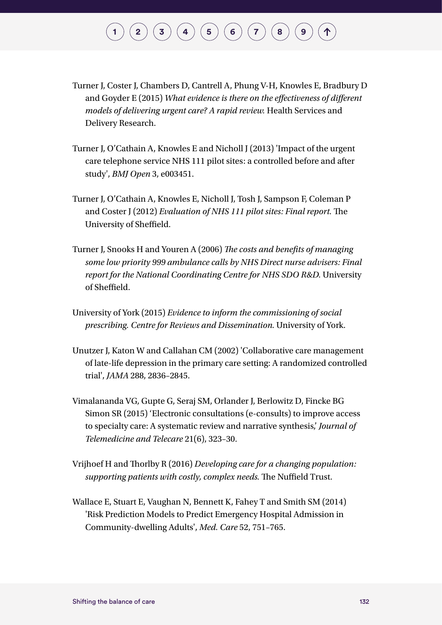- Turner J, Coster J, Chambers D, Cantrell A, Phung V-H, Knowles E, Bradbury D and Goyder E (2015) *What evidence is there on the effectiveness of different models of delivering urgent care? A rapid review.* Health Services and Delivery Research.
- Turner J, O'Cathain A, Knowles E and Nicholl J (2013) 'Impact of the urgent care telephone service NHS 111 pilot sites: a controlled before and after study', *BMJ Open* 3, e003451.
- Turner J, O'Cathain A, Knowles E, Nicholl J, Tosh J, Sampson F, Coleman P and Coster J (2012) *Evaluation of NHS 111 pilot sites: Final report.* The University of Sheffield.
- Turner J, Snooks H and Youren A (2006) *The costs and benefits of managing some low priority 999 ambulance calls by NHS Direct nurse advisers: Final report for the National Coordinating Centre for NHS SDO R&D.* University of Sheffield.
- University of York (2015) *Evidence to inform the commissioning of social prescribing. Centre for Reviews and Dissemination.* University of York.
- Unutzer J, Katon W and Callahan CM (2002) 'Collaborative care management of late-life depression in the primary care setting: A randomized controlled trial', *JAMA* 288, 2836–2845.
- Vimalananda VG, Gupte G, Seraj SM, Orlander J, Berlowitz D, Fincke BG Simon SR (2015) 'Electronic consultations (e-consults) to improve access to specialty care: A systematic review and narrative synthesis,' *Journal of Telemedicine and Telecare* 21(6), 323–30.
- Vrijhoef H and Thorlby R (2016) *Developing care for a changing population: supporting patients with costly, complex needs.* The Nuffield Trust.
- Wallace E, Stuart E, Vaughan N, Bennett K, Fahey T and Smith SM (2014) 'Risk Prediction Models to Predict Emergency Hospital Admission in Community-dwelling Adults', *Med. Care* 52, 751–765.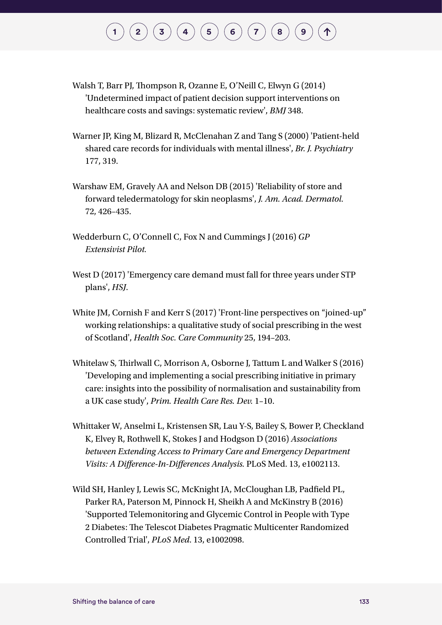- Walsh T, Barr PJ, Thompson R, Ozanne E, O'Neill C, Elwyn G (2014) 'Undetermined impact of patient decision support interventions on healthcare costs and savings: systematic review', *BMJ* 348.
- Warner JP, King M, Blizard R, McClenahan Z and Tang S (2000) 'Patient-held shared care records for individuals with mental illness', *Br. J. Psychiatry*  177, 319.
- Warshaw EM, Gravely AA and Nelson DB (2015) 'Reliability of store and forward teledermatology for skin neoplasms', *J. Am. Acad. Dermatol.*  72, 426–435.
- Wedderburn C, O'Connell C, Fox N and Cummings J (2016) *GP Extensivist Pilot.*
- West D (2017) 'Emergency care demand must fall for three years under STP plans', *HSJ*.
- White JM, Cornish F and Kerr S (2017) 'Front-line perspectives on "joined-up" working relationships: a qualitative study of social prescribing in the west of Scotland', *Health Soc. Care Community* 25, 194–203.
- Whitelaw S, Thirlwall C, Morrison A, Osborne J, Tattum L and Walker S (2016) 'Developing and implementing a social prescribing initiative in primary care: insights into the possibility of normalisation and sustainability from a UK case study', *Prim. Health Care Res. Dev.* 1–10.
- Whittaker W, Anselmi L, Kristensen SR, Lau Y-S, Bailey S, Bower P, Checkland K, Elvey R, Rothwell K, Stokes J and Hodgson D (2016) *Associations between Extending Access to Primary Care and Emergency Department Visits: A Difference-In-Differences Analysis.* PLoS Med. 13, e1002113.
- Wild SH, Hanley J, Lewis SC, McKnight JA, McCloughan LB, Padfield PL, Parker RA, Paterson M, Pinnock H, Sheikh A and McKinstry B (2016) 'Supported Telemonitoring and Glycemic Control in People with Type 2 Diabetes: The Telescot Diabetes Pragmatic Multicenter Randomized Controlled Trial', *PLoS Med*. 13, e1002098.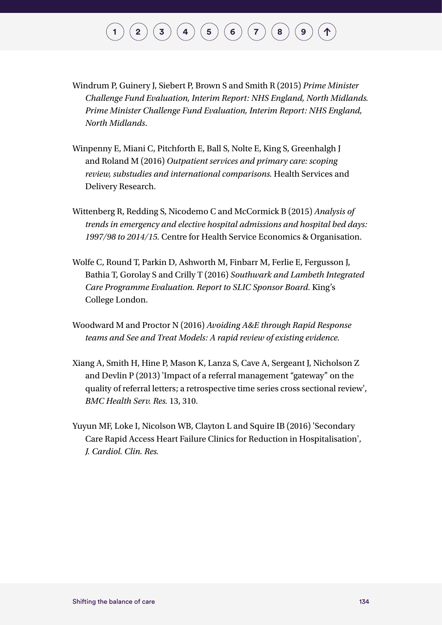- Windrum P, Guinery J, Siebert P, Brown S and Smith R (2015) *Prime Minister Challenge Fund Evaluation, Interim Report: NHS England, North Midlands. Prime Minister Challenge Fund Evaluation, Interim Report: NHS England, North Midlands*.
- Winpenny E, Miani C, Pitchforth E, Ball S, Nolte E, King S, Greenhalgh J and Roland M (2016) *Outpatient services and primary care: scoping review, substudies and international comparisons.* Health Services and Delivery Research.
- Wittenberg R, Redding S, Nicodemo C and McCormick B (2015) *Analysis of trends in emergency and elective hospital admissions and hospital bed days: 1997/98 to 2014/15.* Centre for Health Service Economics & Organisation.
- Wolfe C, Round T, Parkin D, Ashworth M, Finbarr M, Ferlie E, Fergusson J, Bathia T, Gorolay S and Crilly T (2016) *Southwark and Lambeth Integrated Care Programme Evaluation. Report to SLIC Sponsor Board.* King's College London.
- Woodward M and Proctor N (2016) *Avoiding A&E through Rapid Response teams and See and Treat Models: A rapid review of existing evidence.*
- Xiang A, Smith H, Hine P, Mason K, Lanza S, Cave A, Sergeant J, Nicholson Z and Devlin P (2013) 'Impact of a referral management "gateway" on the quality of referral letters; a retrospective time series cross sectional review', *BMC Health Serv. Res.* 13, 310.
- Yuyun MF, Loke I, Nicolson WB, Clayton L and Squire IB (2016) 'Secondary Care Rapid Access Heart Failure Clinics for Reduction in Hospitalisation', *J. Cardiol. Clin. Res.*